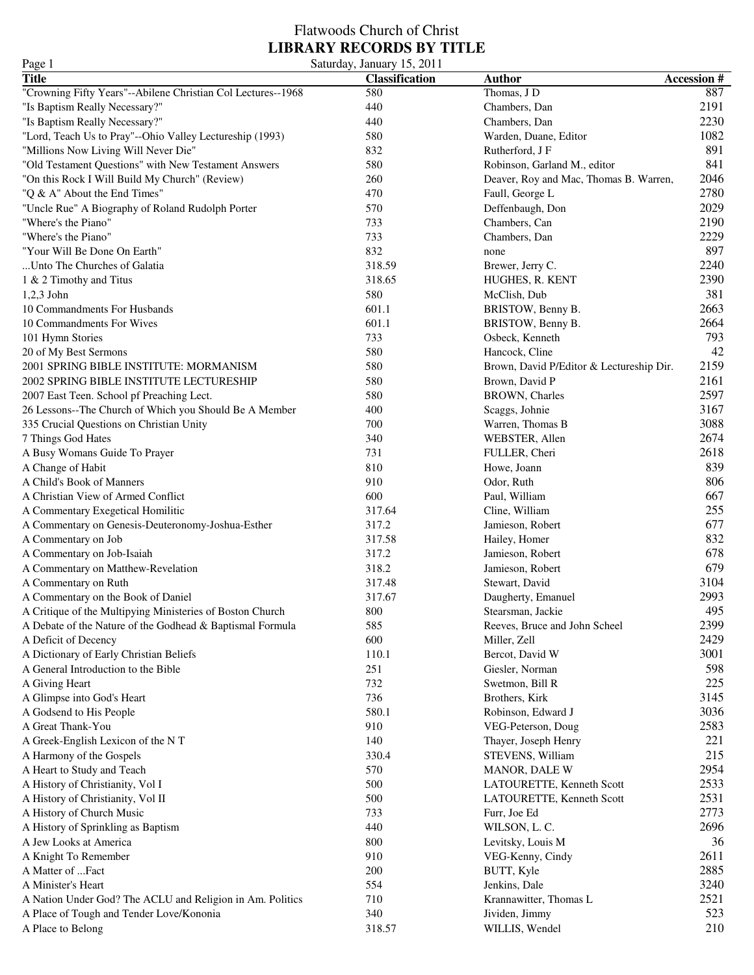| Page 1                                                       | Saturday, January 15, 2011 |                                          |                   |
|--------------------------------------------------------------|----------------------------|------------------------------------------|-------------------|
| <b>Title</b>                                                 | <b>Classification</b>      | <b>Author</b>                            | <b>Accession#</b> |
| "Crowning Fifty Years"--Abilene Christian Col Lectures--1968 | 580                        | Thomas, J D                              | 887               |
| "Is Baptism Really Necessary?"                               | 440                        | Chambers, Dan                            | 2191              |
| "Is Baptism Really Necessary?"                               | 440                        | Chambers, Dan                            | 2230              |
| "Lord, Teach Us to Pray"--Ohio Valley Lectureship (1993)     | 580                        | Warden, Duane, Editor                    | 1082              |
| "Millions Now Living Will Never Die"                         | 832                        | Rutherford, J F                          | 891               |
| "Old Testament Questions" with New Testament Answers         | 580                        | Robinson, Garland M., editor             | 841               |
| "On this Rock I Will Build My Church" (Review)               | 260                        | Deaver, Roy and Mac, Thomas B. Warren,   | 2046              |
| "Q & A" About the End Times"                                 | 470                        | Faull, George L                          | 2780              |
| "Uncle Rue" A Biography of Roland Rudolph Porter             | 570                        | Deffenbaugh, Don                         | 2029              |
| "Where's the Piano"                                          | 733                        | Chambers, Can                            | 2190              |
| "Where's the Piano"                                          | 733                        | Chambers, Dan                            | 2229              |
| "Your Will Be Done On Earth"                                 | 832                        | none                                     | 897               |
| Unto The Churches of Galatia                                 | 318.59                     | Brewer, Jerry C.                         | 2240              |
| 1 & 2 Timothy and Titus                                      | 318.65                     | HUGHES, R. KENT                          | 2390              |
| $1,2,3$ John                                                 | 580                        | McClish, Dub                             | 381               |
| 10 Commandments For Husbands                                 | 601.1                      | BRISTOW, Benny B.                        | 2663              |
| 10 Commandments For Wives                                    | 601.1                      | BRISTOW, Benny B.                        | 2664              |
| 101 Hymn Stories                                             | 733                        | Osbeck, Kenneth                          | 793               |
| 20 of My Best Sermons                                        | 580                        | Hancock, Cline                           | 42                |
| 2001 SPRING BIBLE INSTITUTE: MORMANISM                       | 580                        | Brown, David P/Editor & Lectureship Dir. | 2159              |
| 2002 SPRING BIBLE INSTITUTE LECTURESHIP                      | 580                        | Brown, David P                           | 2161              |
| 2007 East Teen. School pf Preaching Lect.                    | 580                        | <b>BROWN</b> , Charles                   | 2597              |
| 26 Lessons--The Church of Which you Should Be A Member       | 400                        | Scaggs, Johnie                           | 3167              |
| 335 Crucial Questions on Christian Unity                     | 700                        | Warren, Thomas B                         | 3088              |
| 7 Things God Hates                                           | 340                        | WEBSTER, Allen                           | 2674              |
| A Busy Womans Guide To Prayer                                | 731                        | FULLER, Cheri                            | 2618              |
| A Change of Habit                                            | 810                        | Howe, Joann                              | 839               |
| A Child's Book of Manners                                    | 910                        | Odor, Ruth                               | 806               |
| A Christian View of Armed Conflict                           | 600                        | Paul, William                            | 667               |
| A Commentary Exegetical Homilitic                            | 317.64                     | Cline, William                           | 255               |
| A Commentary on Genesis-Deuteronomy-Joshua-Esther            | 317.2                      | Jamieson, Robert                         | 677               |
| A Commentary on Job                                          | 317.58                     | Hailey, Homer                            | 832               |
| A Commentary on Job-Isaiah                                   | 317.2                      | Jamieson, Robert                         | 678               |
| A Commentary on Matthew-Revelation                           | 318.2                      | Jamieson, Robert                         | 679               |
| A Commentary on Ruth                                         | 317.48                     | Stewart, David                           | 3104              |
| A Commentary on the Book of Daniel                           | 317.67                     | Daugherty, Emanuel                       | 2993              |
| A Critique of the Multipying Ministeries of Boston Church    | 800                        | Stearsman, Jackie                        | 495               |
| A Debate of the Nature of the Godhead & Baptismal Formula    | 585                        | Reeves, Bruce and John Scheel            | 2399              |
| A Deficit of Decency                                         | 600                        | Miller, Zell                             | 2429              |
| A Dictionary of Early Christian Beliefs                      | 110.1                      | Bercot, David W                          | 3001              |
| A General Introduction to the Bible                          | 251                        | Giesler, Norman                          | 598               |
| A Giving Heart                                               | 732                        | Swetmon, Bill R                          | 225               |
| A Glimpse into God's Heart                                   | 736                        | Brothers, Kirk                           | 3145              |
| A Godsend to His People                                      | 580.1                      | Robinson, Edward J                       | 3036              |
| A Great Thank-You                                            | 910                        | VEG-Peterson, Doug                       | 2583              |
| A Greek-English Lexicon of the NT                            | 140                        | Thayer, Joseph Henry                     | 221               |
| A Harmony of the Gospels                                     | 330.4                      | STEVENS, William                         | 215               |
| A Heart to Study and Teach                                   | 570                        | MANOR, DALE W                            | 2954              |
| A History of Christianity, Vol I                             | 500                        | LATOURETTE, Kenneth Scott                | 2533              |
| A History of Christianity, Vol II                            | 500                        | LATOURETTE, Kenneth Scott                | 2531              |
| A History of Church Music                                    | 733                        | Furr, Joe Ed                             | 2773              |
| A History of Sprinkling as Baptism                           | 440                        | WILSON, L. C.                            | 2696              |
| A Jew Looks at America                                       | 800                        | Levitsky, Louis M                        | 36                |
| A Knight To Remember                                         | 910                        | VEG-Kenny, Cindy                         | 2611              |
| A Matter of Fact                                             | 200                        | BUTT, Kyle                               | 2885              |
| A Minister's Heart                                           | 554                        | Jenkins, Dale                            | 3240              |
| A Nation Under God? The ACLU and Religion in Am. Politics    | 710                        | Krannawitter, Thomas L                   | 2521              |
| A Place of Tough and Tender Love/Kononia                     | 340                        | Jividen, Jimmy                           | 523               |
| A Place to Belong                                            | 318.57                     | WILLIS, Wendel                           | 210               |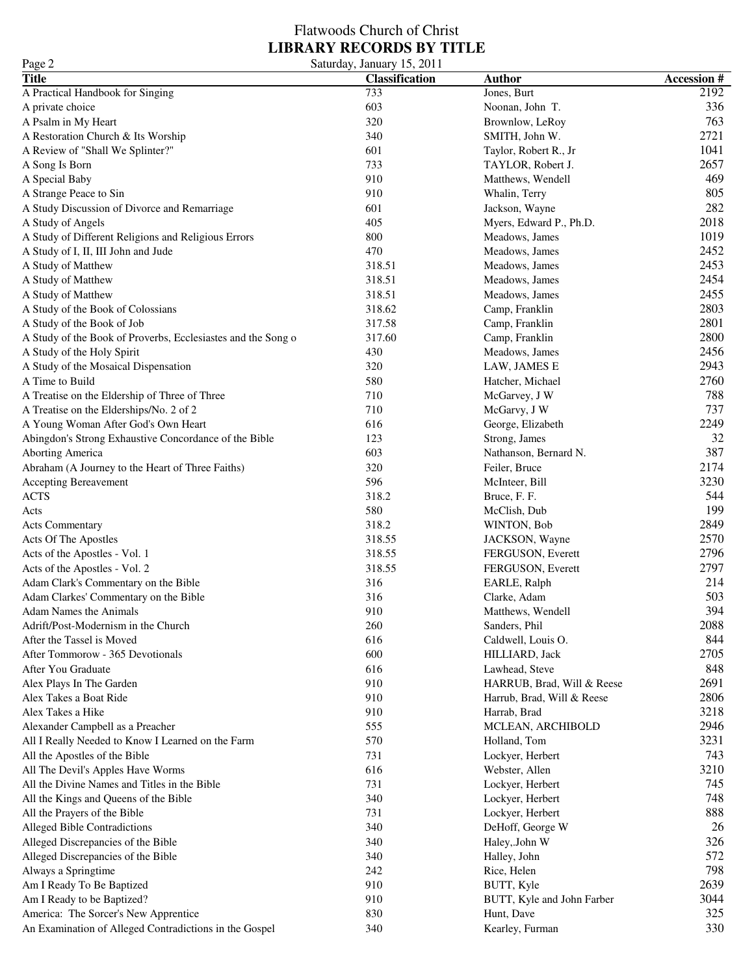| Page 2                                                                                         | Saturday, January 15, 2011 |                               |                   |
|------------------------------------------------------------------------------------------------|----------------------------|-------------------------------|-------------------|
| <b>Title</b>                                                                                   | <b>Classification</b>      | <b>Author</b>                 | <b>Accession#</b> |
| A Practical Handbook for Singing                                                               | 733                        | Jones, Burt                   | 2192              |
| A private choice                                                                               | 603                        | Noonan, John T.               | 336               |
| A Psalm in My Heart                                                                            | 320                        | Brownlow, LeRoy               | 763               |
| A Restoration Church & Its Worship                                                             | 340                        | SMITH, John W.                | 2721              |
| A Review of "Shall We Splinter?"                                                               | 601                        | Taylor, Robert R., Jr         | 1041              |
| A Song Is Born                                                                                 | 733                        | TAYLOR, Robert J.             | 2657              |
| A Special Baby                                                                                 | 910                        | Matthews, Wendell             | 469               |
| A Strange Peace to Sin                                                                         | 910                        | Whalin, Terry                 | 805               |
| A Study Discussion of Divorce and Remarriage                                                   | 601                        | Jackson, Wayne                | 282               |
| A Study of Angels                                                                              | 405                        | Myers, Edward P., Ph.D.       | 2018              |
| A Study of Different Religions and Religious Errors                                            | 800                        | Meadows, James                | 1019              |
| A Study of I, II, III John and Jude                                                            | 470                        | Meadows, James                | 2452              |
| A Study of Matthew                                                                             | 318.51                     | Meadows, James                | 2453              |
| A Study of Matthew                                                                             | 318.51                     | Meadows, James                | 2454              |
| A Study of Matthew                                                                             | 318.51                     | Meadows, James                | 2455              |
| A Study of the Book of Colossians                                                              | 318.62                     | Camp, Franklin                | 2803              |
| A Study of the Book of Job                                                                     | 317.58                     | Camp, Franklin                | 2801              |
| A Study of the Book of Proverbs, Ecclesiastes and the Song o                                   | 317.60                     | Camp, Franklin                | 2800              |
| A Study of the Holy Spirit                                                                     | 430                        | Meadows, James                | 2456              |
| A Study of the Mosaical Dispensation                                                           | 320                        | LAW, JAMES E                  | 2943              |
| A Time to Build                                                                                | 580                        | Hatcher, Michael              | 2760              |
| A Treatise on the Eldership of Three of Three                                                  | 710                        | McGarvey, J W                 | 788               |
| A Treatise on the Elderships/No. 2 of 2                                                        | 710                        | McGarvy, J W                  | 737               |
| A Young Woman After God's Own Heart                                                            | 616                        | George, Elizabeth             | 2249              |
| Abingdon's Strong Exhaustive Concordance of the Bible                                          | 123                        | Strong, James                 | 32                |
| <b>Aborting America</b>                                                                        | 603                        | Nathanson, Bernard N.         | 387               |
| Abraham (A Journey to the Heart of Three Faiths)                                               | 320                        | Feiler, Bruce                 | 2174              |
| Accepting Bereavement                                                                          | 596                        | McInteer, Bill                | 3230              |
| <b>ACTS</b>                                                                                    | 318.2                      | Bruce, F. F.                  | 544               |
| Acts                                                                                           | 580                        | McClish, Dub                  | 199               |
| <b>Acts Commentary</b>                                                                         | 318.2                      | WINTON, Bob                   | 2849              |
| Acts Of The Apostles                                                                           | 318.55                     | JACKSON, Wayne                | 2570              |
| Acts of the Apostles - Vol. 1                                                                  | 318.55                     | FERGUSON, Everett             | 2796              |
| Acts of the Apostles - Vol. 2                                                                  | 318.55                     | FERGUSON, Everett             | 2797              |
| Adam Clark's Commentary on the Bible                                                           | 316                        | EARLE, Ralph                  | 214               |
| Adam Clarkes' Commentary on the Bible                                                          | 316                        | Clarke, Adam                  | 503               |
| Adam Names the Animals                                                                         | 910                        | Matthews, Wendell             | 394               |
| Adrift/Post-Modernism in the Church                                                            | 260                        | Sanders, Phil                 | 2088              |
| After the Tassel is Moved                                                                      | 616                        | Caldwell, Louis O.            | 844               |
| After Tommorow - 365 Devotionals                                                               | 600                        | HILLIARD, Jack                | 2705              |
| After You Graduate                                                                             | 616                        | Lawhead, Steve                | 848               |
| Alex Plays In The Garden                                                                       | 910                        | HARRUB, Brad, Will & Reese    | 2691              |
| Alex Takes a Boat Ride                                                                         | 910                        | Harrub, Brad, Will & Reese    | 2806              |
| Alex Takes a Hike                                                                              | 910                        | Harrab, Brad                  | 3218              |
| Alexander Campbell as a Preacher                                                               | 555                        | MCLEAN, ARCHIBOLD             | 2946              |
| All I Really Needed to Know I Learned on the Farm                                              | 570                        | Holland, Tom                  | 3231              |
| All the Apostles of the Bible                                                                  | 731                        | Lockyer, Herbert              | 743               |
| All The Devil's Apples Have Worms                                                              | 616                        | Webster, Allen                | 3210              |
| All the Divine Names and Titles in the Bible                                                   | 731                        | Lockyer, Herbert              | 745               |
| All the Kings and Queens of the Bible                                                          | 340                        | Lockyer, Herbert              | 748               |
| All the Prayers of the Bible                                                                   | 731                        | Lockyer, Herbert              | 888               |
| <b>Alleged Bible Contradictions</b>                                                            |                            |                               | 26                |
| Alleged Discrepancies of the Bible                                                             | 340<br>340                 | DeHoff, George W              | 326               |
| Alleged Discrepancies of the Bible                                                             | 340                        | Haley, John W<br>Halley, John | 572               |
|                                                                                                | 242                        | Rice, Helen                   | 798               |
| Always a Springtime                                                                            |                            |                               | 2639              |
| Am I Ready To Be Baptized                                                                      | 910                        | BUTT, Kyle                    |                   |
| Am I Ready to be Baptized?                                                                     | 910<br>830                 | BUTT, Kyle and John Farber    | 3044<br>325       |
| America: The Sorcer's New Apprentice<br>An Examination of Alleged Contradictions in the Gospel | 340                        | Hunt, Dave<br>Kearley, Furman | 330               |
|                                                                                                |                            |                               |                   |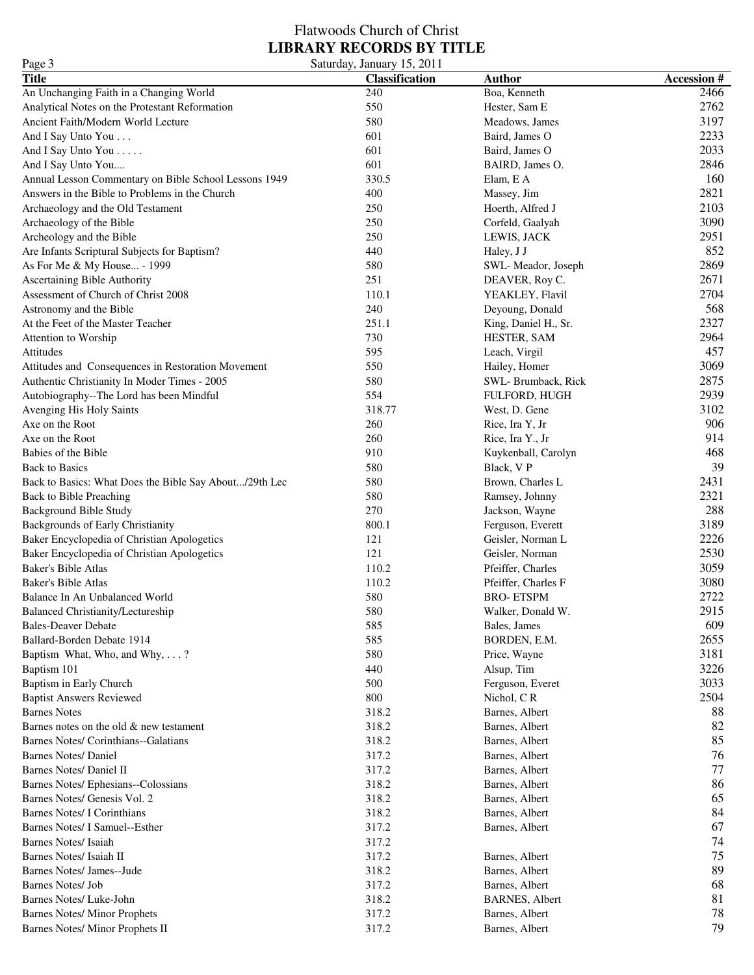| Page 3                                                 | Saturday, January 15, 2011 |                        |                   |
|--------------------------------------------------------|----------------------------|------------------------|-------------------|
| <b>Title</b>                                           | <b>Classification</b>      | <b>Author</b>          | <b>Accession#</b> |
| An Unchanging Faith in a Changing World                | 240                        | Boa, Kenneth           | 2466              |
| Analytical Notes on the Protestant Reformation         | 550                        | Hester, Sam E          | 2762              |
| Ancient Faith/Modern World Lecture                     | 580                        | Meadows, James         | 3197              |
| And I Say Unto You                                     | 601                        | Baird, James O         | 2233              |
| And I Say Unto You                                     | 601                        | Baird, James O         | 2033              |
| And I Say Unto You                                     | 601                        | BAIRD, James O.        | 2846              |
| Annual Lesson Commentary on Bible School Lessons 1949  | 330.5                      | Elam, E A              | 160               |
| Answers in the Bible to Problems in the Church         | 400                        | Massey, Jim            | 2821              |
| Archaeology and the Old Testament                      | 250                        | Hoerth, Alfred J       | 2103              |
| Archaeology of the Bible                               | 250                        | Corfeld, Gaalyah       | 3090              |
| Archeology and the Bible                               | 250                        | LEWIS, JACK            | 2951              |
| Are Infants Scriptural Subjects for Baptism?           | 440                        | Haley, J J             | 852               |
| As For Me & My House - 1999                            | 580                        | SWL-Meador, Joseph     | 2869              |
| Ascertaining Bible Authority                           | 251                        | DEAVER, Roy C.         | 2671              |
| Assessment of Church of Christ 2008                    | 110.1                      | YEAKLEY, Flavil        | 2704              |
|                                                        |                            |                        | 568               |
| Astronomy and the Bible                                | 240                        | Deyoung, Donald        |                   |
| At the Feet of the Master Teacher                      | 251.1                      | King, Daniel H., Sr.   | 2327              |
| Attention to Worship                                   | 730                        | HESTER, SAM            | 2964              |
| Attitudes                                              | 595                        | Leach, Virgil          | 457               |
| Attitudes and Consequences in Restoration Movement     | 550                        | Hailey, Homer          | 3069              |
| Authentic Christianity In Moder Times - 2005           | 580                        | SWL-Brumback, Rick     | 2875              |
| Autobiography--The Lord has been Mindful               | 554                        | FULFORD, HUGH          | 2939              |
| Avenging His Holy Saints                               | 318.77                     | West, D. Gene          | 3102              |
| Axe on the Root                                        | 260                        | Rice, Ira Y, Jr        | 906               |
| Axe on the Root                                        | 260                        | Rice, Ira Y., Jr       | 914               |
| Babies of the Bible                                    | 910                        | Kuykenball, Carolyn    | 468               |
| <b>Back to Basics</b>                                  | 580                        | Black, V P             | 39                |
| Back to Basics: What Does the Bible Say About/29th Lec | 580                        | Brown, Charles L       | 2431              |
| Back to Bible Preaching                                | 580                        | Ramsey, Johnny         | 2321              |
| Background Bible Study                                 | 270                        | Jackson, Wayne         | 288               |
| <b>Backgrounds of Early Christianity</b>               | 800.1                      | Ferguson, Everett      | 3189              |
| Baker Encyclopedia of Christian Apologetics            | 121                        | Geisler, Norman L      | 2226              |
| Baker Encyclopedia of Christian Apologetics            | 121                        | Geisler, Norman        | 2530              |
| <b>Baker's Bible Atlas</b>                             | 110.2                      | Pfeiffer, Charles      | 3059              |
| <b>Baker's Bible Atlas</b>                             | 110.2                      | Pfeiffer, Charles F    | 3080              |
| Balance In An Unbalanced World                         | 580                        | <b>BRO-ETSPM</b>       | 2722              |
| Balanced Christianity/Lectureship                      | 580                        | Walker, Donald W.      | 2915              |
| <b>Bales-Deaver Debate</b>                             | 585                        | Bales, James           | 609               |
| Ballard-Borden Debate 1914                             | 585                        | BORDEN, E.M.           | 2655              |
| Baptism What, Who, and Why, ?                          | 580                        | Price, Wayne           | 3181              |
| Baptism 101                                            | 440                        | Alsup, Tim             | 3226              |
| Baptism in Early Church                                | 500                        | Ferguson, Everet       | 3033              |
| <b>Baptist Answers Reviewed</b>                        | 800                        | Nichol, CR             | 2504              |
| <b>Barnes Notes</b>                                    | 318.2                      | Barnes, Albert         | 88                |
| Barnes notes on the old & new testament                | 318.2                      | Barnes, Albert         | 82                |
| Barnes Notes/ Corinthians--Galatians                   | 318.2                      | Barnes, Albert         | 85                |
| <b>Barnes Notes/ Daniel</b>                            | 317.2                      | Barnes, Albert         | 76                |
| Barnes Notes/ Daniel II                                | 317.2                      | Barnes, Albert         | 77                |
| Barnes Notes/ Ephesians--Colossians                    | 318.2                      | Barnes, Albert         | 86                |
| Barnes Notes/ Genesis Vol. 2                           | 318.2                      | Barnes, Albert         | 65                |
| <b>Barnes Notes/I Corinthians</b>                      | 318.2                      | Barnes, Albert         | 84                |
| Barnes Notes/ I Samuel--Esther                         | 317.2                      | Barnes, Albert         | 67                |
| <b>Barnes Notes/Isaiah</b>                             | 317.2                      |                        | 74                |
| Barnes Notes/ Isaiah II                                | 317.2                      | Barnes, Albert         | 75                |
| Barnes Notes/ James--Jude                              | 318.2                      |                        | 89                |
| <b>Barnes Notes/Job</b>                                | 317.2                      | Barnes, Albert         | 68                |
|                                                        |                            | Barnes, Albert         |                   |
| Barnes Notes/ Luke-John                                | 318.2                      | <b>BARNES</b> , Albert | 81                |
| <b>Barnes Notes/ Minor Prophets</b>                    | 317.2                      | Barnes, Albert         | 78                |
| Barnes Notes/ Minor Prophets II                        | 317.2                      | Barnes, Albert         | 79                |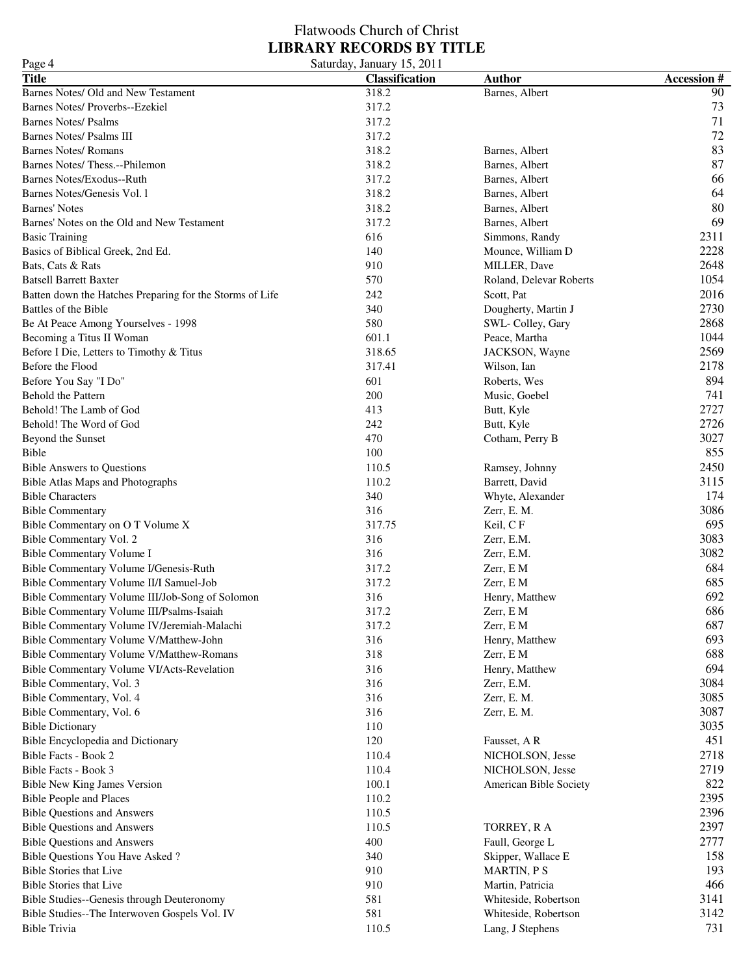| Page 4                                                   | Saturday, January 15, 2011 |                         |                   |
|----------------------------------------------------------|----------------------------|-------------------------|-------------------|
| <b>Title</b>                                             | <b>Classification</b>      | <b>Author</b>           | <b>Accession#</b> |
| Barnes Notes/ Old and New Testament                      | 318.2                      | Barnes, Albert          | 90                |
| Barnes Notes/ Proverbs--Ezekiel                          | 317.2                      |                         | 73                |
| <b>Barnes Notes/ Psalms</b>                              | 317.2                      |                         | 71                |
| <b>Barnes Notes/ Psalms III</b>                          | 317.2                      |                         | 72                |
| <b>Barnes Notes/ Romans</b>                              | 318.2                      | Barnes, Albert          | 83                |
| Barnes Notes/Thess.--Philemon                            | 318.2                      | Barnes, Albert          | 87                |
| Barnes Notes/Exodus--Ruth                                | 317.2                      | Barnes, Albert          | 66                |
| Barnes Notes/Genesis Vol. 1                              | 318.2                      | Barnes, Albert          | 64                |
| <b>Barnes' Notes</b>                                     | 318.2                      | Barnes, Albert          | 80                |
| Barnes' Notes on the Old and New Testament               | 317.2                      | Barnes, Albert          | 69                |
| <b>Basic Training</b>                                    | 616                        | Simmons, Randy          | 2311              |
| Basics of Biblical Greek, 2nd Ed.                        | 140                        | Mounce, William D       | 2228              |
| Bats, Cats & Rats                                        | 910                        | MILLER, Dave            | 2648              |
| <b>Batsell Barrett Baxter</b>                            | 570                        | Roland, Delevar Roberts | 1054              |
| Batten down the Hatches Preparing for the Storms of Life | 242                        | Scott, Pat              | 2016              |
| Battles of the Bible                                     | 340                        | Dougherty, Martin J     | 2730              |
| Be At Peace Among Yourselves - 1998                      | 580                        | SWL- Colley, Gary       | 2868              |
| Becoming a Titus II Woman                                | 601.1                      | Peace, Martha           | 1044              |
| Before I Die, Letters to Timothy & Titus                 | 318.65                     | JACKSON, Wayne          | 2569              |
| Before the Flood                                         | 317.41                     | Wilson, Ian             | 2178              |
| Before You Say "I Do"                                    | 601                        | Roberts, Wes            | 894               |
| Behold the Pattern                                       | 200                        | Music, Goebel           | 741               |
| Behold! The Lamb of God                                  | 413                        | Butt, Kyle              | 2727              |
| Behold! The Word of God                                  | 242                        | Butt, Kyle              | 2726              |
| Beyond the Sunset                                        | 470                        | Cotham, Perry B         | 3027              |
| Bible                                                    | 100                        |                         | 855               |
| <b>Bible Answers to Questions</b>                        | 110.5                      | Ramsey, Johnny          | 2450              |
| Bible Atlas Maps and Photographs                         | 110.2                      | Barrett, David          | 3115              |
| <b>Bible Characters</b>                                  | 340                        | Whyte, Alexander        | 174               |
| <b>Bible Commentary</b>                                  | 316                        | Zerr, E. M.             | 3086              |
| Bible Commentary on O T Volume X                         | 317.75                     | Keil, CF                | 695               |
| Bible Commentary Vol. 2                                  | 316                        | Zerr, E.M.              | 3083              |
| <b>Bible Commentary Volume I</b>                         | 316                        | Zerr, E.M.              | 3082              |
| Bible Commentary Volume I/Genesis-Ruth                   | 317.2                      | Zerr, E M               | 684               |
| Bible Commentary Volume II/I Samuel-Job                  | 317.2                      | Zerr, E M               | 685               |
| Bible Commentary Volume III/Job-Song of Solomon          | 316                        | Henry, Matthew          | 692               |
| Bible Commentary Volume III/Psalms-Isaiah                | 317.2                      | Zerr, E M               | 686               |
| Bible Commentary Volume IV/Jeremiah-Malachi              | 317.2                      | Zerr, E M               | 687               |
| Bible Commentary Volume V/Matthew-John                   | 316                        | Henry, Matthew          | 693               |
| Bible Commentary Volume V/Matthew-Romans                 | 318                        | Zerr, E M               | 688               |
| Bible Commentary Volume VI/Acts-Revelation               | 316                        | Henry, Matthew          | 694               |
| Bible Commentary, Vol. 3                                 | 316                        | Zerr, E.M.              | 3084              |
| Bible Commentary, Vol. 4                                 | 316                        | Zerr, E. M.             | 3085              |
| Bible Commentary, Vol. 6                                 | 316                        | Zerr, E. M.             | 3087              |
| <b>Bible Dictionary</b>                                  | 110                        |                         | 3035              |
| Bible Encyclopedia and Dictionary                        | 120                        | Fausset, AR             | 451               |
| Bible Facts - Book 2                                     | 110.4                      | NICHOLSON, Jesse        | 2718              |
| Bible Facts - Book 3                                     | 110.4                      | NICHOLSON, Jesse        | 2719              |
| Bible New King James Version                             | 100.1                      | American Bible Society  | 822               |
| <b>Bible People and Places</b>                           | 110.2                      |                         | 2395              |
| <b>Bible Questions and Answers</b>                       | 110.5                      |                         | 2396              |
| <b>Bible Questions and Answers</b>                       | 110.5                      | TORREY, R A             | 2397              |
| <b>Bible Questions and Answers</b>                       | 400                        | Faull, George L         | 2777              |
| Bible Questions You Have Asked?                          | 340                        | Skipper, Wallace E      | 158               |
| Bible Stories that Live                                  | 910                        | <b>MARTIN, P S</b>      | 193               |
| <b>Bible Stories that Live</b>                           | 910                        | Martin, Patricia        | 466               |
| Bible Studies--Genesis through Deuteronomy               | 581                        | Whiteside, Robertson    | 3141              |
| Bible Studies--The Interwoven Gospels Vol. IV            | 581                        | Whiteside, Robertson    | 3142              |
| Bible Trivia                                             | 110.5                      | Lang, J Stephens        | 731               |
|                                                          |                            |                         |                   |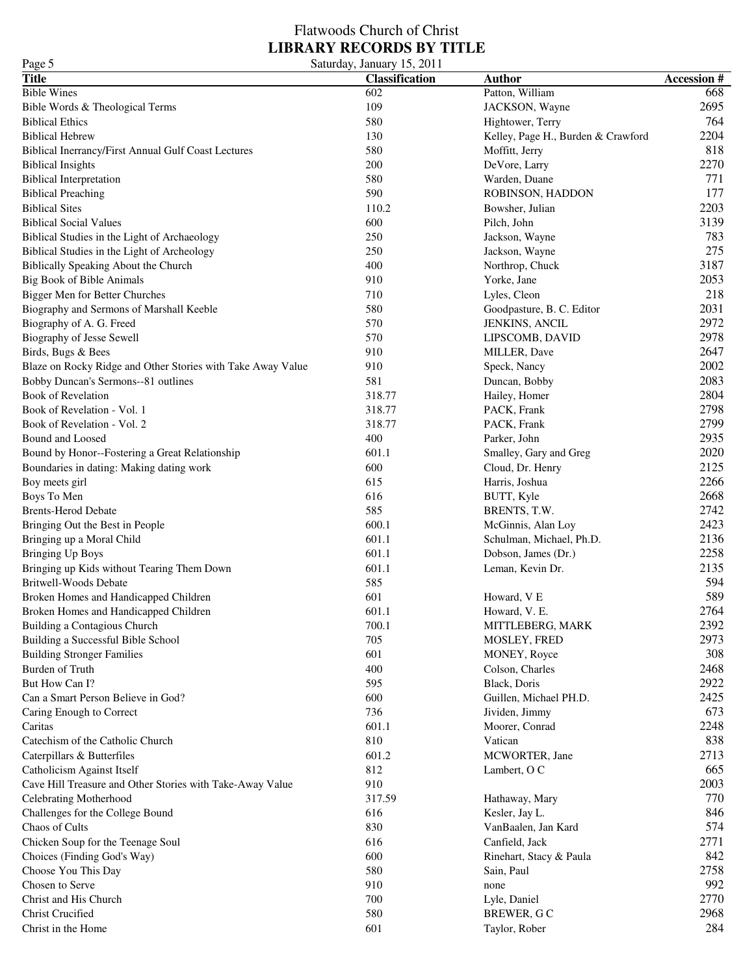| Page 5                                                      | Saturday, January 15, 2011 |                                    |                   |
|-------------------------------------------------------------|----------------------------|------------------------------------|-------------------|
| <b>Title</b>                                                | <b>Classification</b>      | <b>Author</b>                      | <b>Accession#</b> |
| <b>Bible Wines</b>                                          | 602                        | Patton, William                    | 668               |
| Bible Words & Theological Terms                             | 109                        | JACKSON, Wayne                     | 2695              |
| <b>Biblical Ethics</b>                                      | 580                        | Hightower, Terry                   | 764               |
| <b>Biblical Hebrew</b>                                      | 130                        | Kelley, Page H., Burden & Crawford | 2204              |
| Biblical Inerrancy/First Annual Gulf Coast Lectures         | 580                        | Moffitt, Jerry                     | 818               |
| <b>Biblical Insights</b>                                    | 200                        | DeVore, Larry                      | 2270              |
| <b>Biblical Interpretation</b>                              | 580                        | Warden, Duane                      | 771               |
| <b>Biblical Preaching</b>                                   | 590                        | ROBINSON, HADDON                   | 177               |
| <b>Biblical Sites</b>                                       | 110.2                      | Bowsher, Julian                    | 2203              |
| <b>Biblical Social Values</b>                               | 600                        | Pilch, John                        | 3139              |
|                                                             | 250                        |                                    | 783               |
| Biblical Studies in the Light of Archaeology                |                            | Jackson, Wayne                     | 275               |
| Biblical Studies in the Light of Archeology                 | 250                        | Jackson, Wayne                     | 3187              |
| Biblically Speaking About the Church                        | 400                        | Northrop, Chuck                    |                   |
| Big Book of Bible Animals                                   | 910                        | Yorke, Jane                        | 2053              |
| Bigger Men for Better Churches                              | 710                        | Lyles, Cleon                       | 218               |
| Biography and Sermons of Marshall Keeble                    | 580                        | Goodpasture, B. C. Editor          | 2031              |
| Biography of A. G. Freed                                    | 570                        | JENKINS, ANCIL                     | 2972              |
| Biography of Jesse Sewell                                   | 570                        | LIPSCOMB, DAVID                    | 2978              |
| Birds, Bugs & Bees                                          | 910                        | MILLER, Dave                       | 2647              |
| Blaze on Rocky Ridge and Other Stories with Take Away Value | 910                        | Speck, Nancy                       | 2002              |
| Bobby Duncan's Sermons--81 outlines                         | 581                        | Duncan, Bobby                      | 2083              |
| Book of Revelation                                          | 318.77                     | Hailey, Homer                      | 2804              |
| Book of Revelation - Vol. 1                                 | 318.77                     | PACK, Frank                        | 2798              |
| Book of Revelation - Vol. 2                                 | 318.77                     | PACK, Frank                        | 2799              |
| Bound and Loosed                                            | 400                        | Parker, John                       | 2935              |
| Bound by Honor--Fostering a Great Relationship              | 601.1                      | Smalley, Gary and Greg             | 2020              |
| Boundaries in dating: Making dating work                    | 600                        | Cloud, Dr. Henry                   | 2125              |
| Boy meets girl                                              | 615                        | Harris, Joshua                     | 2266              |
| Boys To Men                                                 | 616                        | BUTT, Kyle                         | 2668              |
| <b>Brents-Herod Debate</b>                                  | 585                        | BRENTS, T.W.                       | 2742              |
| Bringing Out the Best in People                             | 600.1                      | McGinnis, Alan Loy                 | 2423              |
| Bringing up a Moral Child                                   | 601.1                      | Schulman, Michael, Ph.D.           | 2136              |
| <b>Bringing Up Boys</b>                                     | 601.1                      | Dobson, James (Dr.)                | 2258              |
| Bringing up Kids without Tearing Them Down                  | 601.1                      | Leman, Kevin Dr.                   | 2135              |
| <b>Britwell-Woods Debate</b>                                | 585                        |                                    | 594               |
| Broken Homes and Handicapped Children                       | 601                        | Howard, V E                        | 589               |
|                                                             | 601.1                      |                                    | 2764              |
| Broken Homes and Handicapped Children                       | 700.1                      | Howard, V. E.                      | 2392              |
| Building a Contagious Church                                |                            | MITTLEBERG, MARK                   |                   |
| Building a Successful Bible School                          | 705                        | MOSLEY, FRED                       | 2973              |
| <b>Building Stronger Families</b>                           | 601                        | MONEY, Royce                       | 308               |
| Burden of Truth                                             | 400                        | Colson, Charles                    | 2468              |
| But How Can I?                                              | 595                        | Black, Doris                       | 2922              |
| Can a Smart Person Believe in God?                          | 600                        | Guillen, Michael PH.D.             | 2425              |
| Caring Enough to Correct                                    | 736                        | Jividen, Jimmy                     | 673               |
| Caritas                                                     | 601.1                      | Moorer, Conrad                     | 2248              |
| Catechism of the Catholic Church                            | 810                        | Vatican                            | 838               |
| Caterpillars & Butterfiles                                  | 601.2                      | MCWORTER, Jane                     | 2713              |
| Catholicism Against Itself                                  | 812                        | Lambert, O C                       | 665               |
| Cave Hill Treasure and Other Stories with Take-Away Value   | 910                        |                                    | 2003              |
| Celebrating Motherhood                                      | 317.59                     | Hathaway, Mary                     | 770               |
| Challenges for the College Bound                            | 616                        | Kesler, Jay L.                     | 846               |
| Chaos of Cults                                              | 830                        | VanBaalen, Jan Kard                | 574               |
| Chicken Soup for the Teenage Soul                           | 616                        | Canfield, Jack                     | 2771              |
| Choices (Finding God's Way)                                 | 600                        | Rinehart, Stacy & Paula            | 842               |
| Choose You This Day                                         | 580                        | Sain, Paul                         | 2758              |
| Chosen to Serve                                             | 910                        | none                               | 992               |
| Christ and His Church                                       | 700                        | Lyle, Daniel                       | 2770              |
| <b>Christ Crucified</b>                                     | 580                        | BREWER, GC                         | 2968              |
|                                                             |                            |                                    | 284               |
| Christ in the Home                                          | 601                        | Taylor, Rober                      |                   |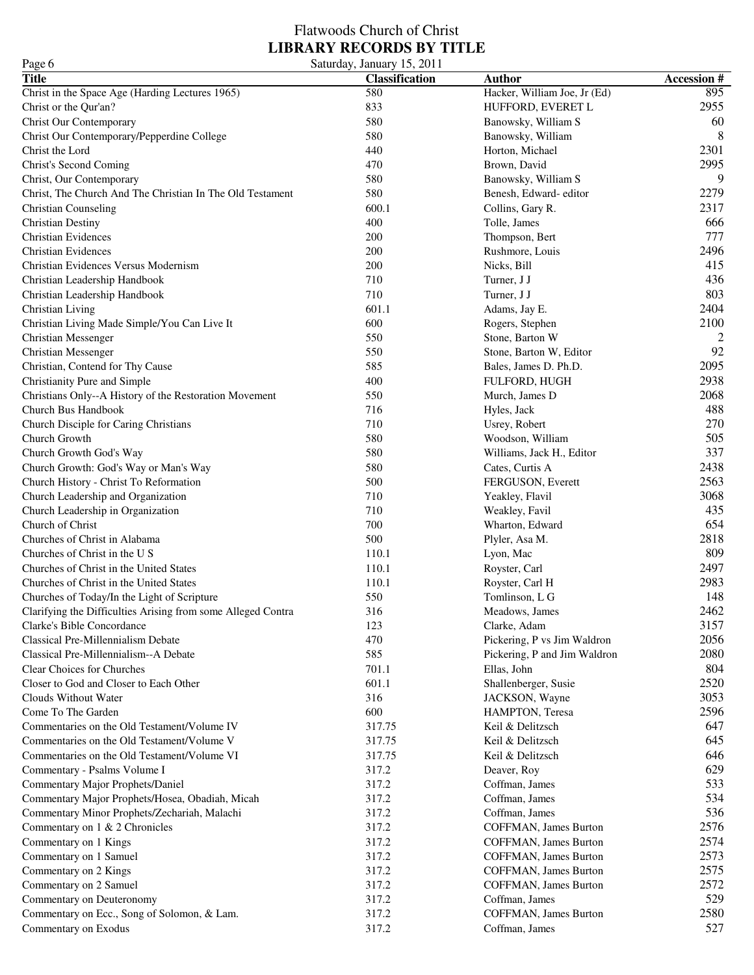| Page 6                                                              | Saturday, January 15, 2011 |                                         |                    |
|---------------------------------------------------------------------|----------------------------|-----------------------------------------|--------------------|
| <b>Title</b>                                                        | <b>Classification</b>      | <b>Author</b>                           | <b>Accession #</b> |
| Christ in the Space Age (Harding Lectures 1965)                     | 580                        | Hacker, William Joe, Jr (Ed)            | 895                |
| Christ or the Qur'an?                                               | 833                        | HUFFORD, EVERET L                       | 2955               |
| Christ Our Contemporary                                             | 580                        | Banowsky, William S                     | 60                 |
| Christ Our Contemporary/Pepperdine College                          | 580                        | Banowsky, William                       | 8                  |
| Christ the Lord                                                     | 440                        | Horton, Michael                         | 2301               |
| Christ's Second Coming                                              | 470                        | Brown, David                            | 2995               |
| Christ, Our Contemporary                                            | 580                        | Banowsky, William S                     | 9                  |
| Christ, The Church And The Christian In The Old Testament           | 580                        | Benesh, Edward- editor                  | 2279               |
| <b>Christian Counseling</b>                                         | 600.1                      | Collins, Gary R.                        | 2317               |
| <b>Christian Destiny</b>                                            | 400                        | Tolle, James                            | 666                |
| <b>Christian Evidences</b>                                          | 200                        | Thompson, Bert                          | 777                |
| <b>Christian Evidences</b>                                          | 200                        | Rushmore, Louis                         | 2496               |
| Christian Evidences Versus Modernism                                | 200                        | Nicks, Bill                             | 415                |
| Christian Leadership Handbook                                       | 710                        | Turner, J J                             | 436                |
| Christian Leadership Handbook                                       | 710                        | Turner, J J                             | 803                |
| Christian Living                                                    | 601.1                      | Adams, Jay E.                           | 2404               |
| Christian Living Made Simple/You Can Live It                        | 600                        | Rogers, Stephen                         | 2100               |
| <b>Christian Messenger</b>                                          | 550                        | Stone, Barton W                         | 2                  |
| <b>Christian Messenger</b>                                          | 550                        | Stone, Barton W, Editor                 | 92                 |
| Christian, Contend for Thy Cause                                    | 585                        | Bales, James D. Ph.D.                   | 2095               |
| Christianity Pure and Simple                                        | 400                        | FULFORD, HUGH                           | 2938               |
| Christians Only--A History of the Restoration Movement              | 550                        | Murch, James D                          | 2068               |
| Church Bus Handbook                                                 | 716                        | Hyles, Jack                             | 488                |
| Church Disciple for Caring Christians                               | 710                        | Usrey, Robert                           | 270                |
| Church Growth                                                       | 580                        | Woodson, William                        | 505                |
| Church Growth God's Way                                             | 580                        | Williams, Jack H., Editor               | 337                |
| Church Growth: God's Way or Man's Way                               | 580                        | Cates, Curtis A                         | 2438               |
| Church History - Christ To Reformation                              | 500                        | FERGUSON, Everett                       | 2563               |
| Church Leadership and Organization                                  | 710                        | Yeakley, Flavil                         | 3068               |
| Church Leadership in Organization                                   | 710                        | Weakley, Favil                          | 435                |
| Church of Christ                                                    | 700                        | Wharton, Edward                         | 654                |
| Churches of Christ in Alabama                                       | 500                        | Plyler, Asa M.                          | 2818               |
| Churches of Christ in the U S                                       | 110.1                      | Lyon, Mac                               | 809                |
| Churches of Christ in the United States                             | 110.1                      | Royster, Carl                           | 2497               |
| Churches of Christ in the United States                             | 110.1                      | Royster, Carl H                         | 2983               |
| Churches of Today/In the Light of Scripture                         | 550                        | Tomlinson, L G                          | 148                |
| Clarifying the Difficulties Arising from some Alleged Contra        | 316                        | Meadows, James                          | 2462               |
| Clarke's Bible Concordance                                          | 123                        | Clarke, Adam                            | 3157               |
| Classical Pre-Millennialism Debate                                  | 470                        | Pickering, P vs Jim Waldron             | 2056               |
| Classical Pre-Millennialism--A Debate                               | 585                        | Pickering, P and Jim Waldron            | 2080               |
| Clear Choices for Churches                                          | 701.1                      | Ellas, John                             | 804                |
| Closer to God and Closer to Each Other                              | 601.1                      | Shallenberger, Susie                    | 2520               |
| Clouds Without Water                                                | 316                        | JACKSON, Wayne                          | 3053               |
| Come To The Garden                                                  | 600                        | HAMPTON, Teresa                         | 2596               |
| Commentaries on the Old Testament/Volume IV                         | 317.75                     | Keil & Delitzsch                        | 647                |
| Commentaries on the Old Testament/Volume V                          | 317.75                     | Keil & Delitzsch                        | 645                |
| Commentaries on the Old Testament/Volume VI                         | 317.75                     | Keil & Delitzsch                        | 646                |
| Commentary - Psalms Volume I                                        | 317.2                      | Deaver, Roy                             | 629                |
| Commentary Major Prophets/Daniel                                    | 317.2                      | Coffman, James                          | 533                |
| Commentary Major Prophets/Hosea, Obadiah, Micah                     | 317.2                      | Coffman, James                          | 534                |
| Commentary Minor Prophets/Zechariah, Malachi                        | 317.2                      | Coffman, James                          | 536                |
| Commentary on 1 & 2 Chronicles                                      | 317.2                      | COFFMAN, James Burton                   | 2576               |
| Commentary on 1 Kings                                               | 317.2                      | COFFMAN, James Burton                   | 2574               |
| Commentary on 1 Samuel                                              | 317.2                      | COFFMAN, James Burton                   | 2573               |
| Commentary on 2 Kings                                               | 317.2                      | COFFMAN, James Burton                   | 2575               |
|                                                                     | 317.2                      | COFFMAN, James Burton                   | 2572               |
| Commentary on 2 Samuel                                              | 317.2                      | Coffman, James                          | 529                |
| Commentary on Deuteronomy                                           | 317.2                      |                                         | 2580               |
| Commentary on Ecc., Song of Solomon, & Lam.<br>Commentary on Exodus | 317.2                      | COFFMAN, James Burton<br>Coffman, James | 527                |
|                                                                     |                            |                                         |                    |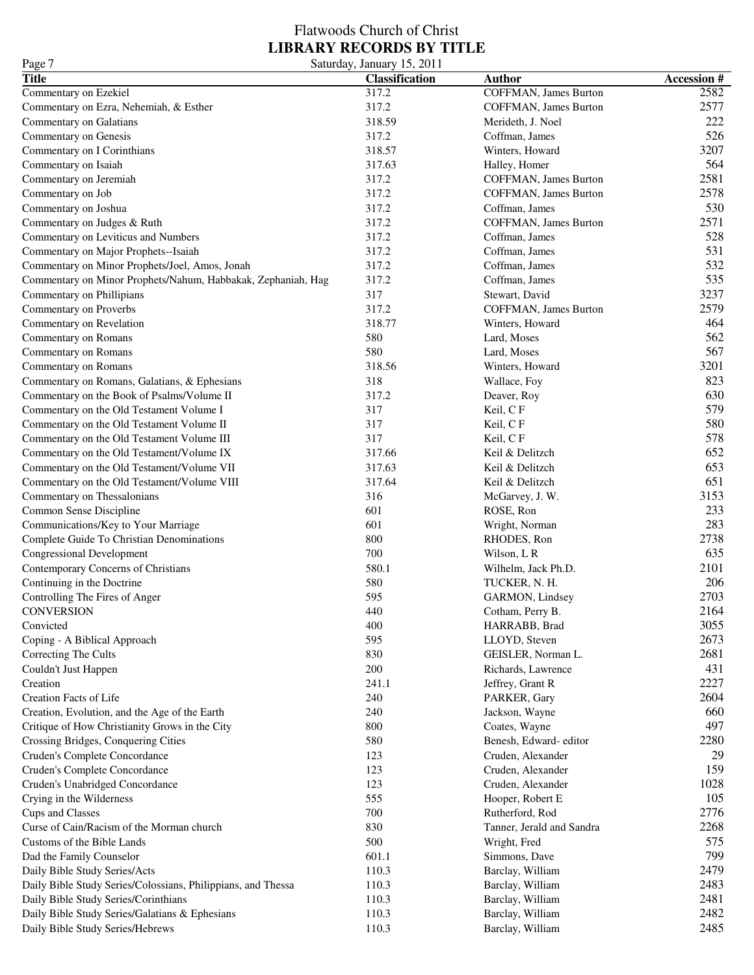| <b>Title</b><br>Accession #<br><b>Classification</b><br><b>Author</b><br>2582<br>Commentary on Ezekiel<br>317.2<br>COFFMAN, James Burton<br>2577<br>317.2<br>Commentary on Ezra, Nehemiah, & Esther<br>COFFMAN, James Burton<br>222<br>318.59<br>Commentary on Galatians<br>Merideth, J. Noel<br>526<br>Commentary on Genesis<br>317.2<br>Coffman, James<br>3207<br>Commentary on I Corinthians<br>318.57<br>Winters, Howard<br>564<br>317.63<br>Commentary on Isaiah<br>Halley, Homer<br>2581<br>317.2<br>Commentary on Jeremiah<br>COFFMAN, James Burton<br>2578<br>317.2<br>Commentary on Job<br>COFFMAN, James Burton<br>530<br>317.2<br>Commentary on Joshua<br>Coffman, James<br>2571<br>317.2<br>Commentary on Judges & Ruth<br>COFFMAN, James Burton<br>528<br>Commentary on Leviticus and Numbers<br>317.2<br>Coffman, James<br>531<br>317.2<br>Coffman, James<br>Commentary on Major Prophets--Isaiah<br>532<br>317.2<br>Coffman, James<br>Commentary on Minor Prophets/Joel, Amos, Jonah<br>535<br>317.2<br>Coffman, James<br>Commentary on Minor Prophets/Nahum, Habbakak, Zephaniah, Hag<br>3237<br>317<br>Commentary on Phillipians<br>Stewart, David<br>2579<br>317.2<br>Commentary on Proverbs<br>COFFMAN, James Burton<br>464<br>318.77<br>Commentary on Revelation<br>Winters, Howard<br>562<br>580<br>Commentary on Romans<br>Lard, Moses<br>567<br>580<br>Commentary on Romans<br>Lard, Moses<br>3201<br>318.56<br>Commentary on Romans<br>Winters, Howard<br>823<br>318<br>Commentary on Romans, Galatians, & Ephesians<br>Wallace, Foy<br>630<br>317.2<br>Commentary on the Book of Psalms/Volume II<br>Deaver, Roy<br>579<br>317<br>Commentary on the Old Testament Volume I<br>Keil, CF<br>580<br>317<br>Commentary on the Old Testament Volume II<br>Keil, CF<br>578<br>317<br>Keil, CF<br>Commentary on the Old Testament Volume III<br>652<br>317.66<br>Keil & Delitzch<br>Commentary on the Old Testament/Volume IX<br>653<br>317.63<br>Commentary on the Old Testament/Volume VII<br>Keil & Delitzch<br>651<br>317.64<br>Commentary on the Old Testament/Volume VIII<br>Keil & Delitzch |
|----------------------------------------------------------------------------------------------------------------------------------------------------------------------------------------------------------------------------------------------------------------------------------------------------------------------------------------------------------------------------------------------------------------------------------------------------------------------------------------------------------------------------------------------------------------------------------------------------------------------------------------------------------------------------------------------------------------------------------------------------------------------------------------------------------------------------------------------------------------------------------------------------------------------------------------------------------------------------------------------------------------------------------------------------------------------------------------------------------------------------------------------------------------------------------------------------------------------------------------------------------------------------------------------------------------------------------------------------------------------------------------------------------------------------------------------------------------------------------------------------------------------------------------------------------------------------------------------------------------------------------------------------------------------------------------------------------------------------------------------------------------------------------------------------------------------------------------------------------------------------------------------------------------------------------------------------------------------------------------------------------------------------------------------------------------------------------------------------------------------|
|                                                                                                                                                                                                                                                                                                                                                                                                                                                                                                                                                                                                                                                                                                                                                                                                                                                                                                                                                                                                                                                                                                                                                                                                                                                                                                                                                                                                                                                                                                                                                                                                                                                                                                                                                                                                                                                                                                                                                                                                                                                                                                                      |
|                                                                                                                                                                                                                                                                                                                                                                                                                                                                                                                                                                                                                                                                                                                                                                                                                                                                                                                                                                                                                                                                                                                                                                                                                                                                                                                                                                                                                                                                                                                                                                                                                                                                                                                                                                                                                                                                                                                                                                                                                                                                                                                      |
|                                                                                                                                                                                                                                                                                                                                                                                                                                                                                                                                                                                                                                                                                                                                                                                                                                                                                                                                                                                                                                                                                                                                                                                                                                                                                                                                                                                                                                                                                                                                                                                                                                                                                                                                                                                                                                                                                                                                                                                                                                                                                                                      |
|                                                                                                                                                                                                                                                                                                                                                                                                                                                                                                                                                                                                                                                                                                                                                                                                                                                                                                                                                                                                                                                                                                                                                                                                                                                                                                                                                                                                                                                                                                                                                                                                                                                                                                                                                                                                                                                                                                                                                                                                                                                                                                                      |
|                                                                                                                                                                                                                                                                                                                                                                                                                                                                                                                                                                                                                                                                                                                                                                                                                                                                                                                                                                                                                                                                                                                                                                                                                                                                                                                                                                                                                                                                                                                                                                                                                                                                                                                                                                                                                                                                                                                                                                                                                                                                                                                      |
|                                                                                                                                                                                                                                                                                                                                                                                                                                                                                                                                                                                                                                                                                                                                                                                                                                                                                                                                                                                                                                                                                                                                                                                                                                                                                                                                                                                                                                                                                                                                                                                                                                                                                                                                                                                                                                                                                                                                                                                                                                                                                                                      |
|                                                                                                                                                                                                                                                                                                                                                                                                                                                                                                                                                                                                                                                                                                                                                                                                                                                                                                                                                                                                                                                                                                                                                                                                                                                                                                                                                                                                                                                                                                                                                                                                                                                                                                                                                                                                                                                                                                                                                                                                                                                                                                                      |
|                                                                                                                                                                                                                                                                                                                                                                                                                                                                                                                                                                                                                                                                                                                                                                                                                                                                                                                                                                                                                                                                                                                                                                                                                                                                                                                                                                                                                                                                                                                                                                                                                                                                                                                                                                                                                                                                                                                                                                                                                                                                                                                      |
|                                                                                                                                                                                                                                                                                                                                                                                                                                                                                                                                                                                                                                                                                                                                                                                                                                                                                                                                                                                                                                                                                                                                                                                                                                                                                                                                                                                                                                                                                                                                                                                                                                                                                                                                                                                                                                                                                                                                                                                                                                                                                                                      |
|                                                                                                                                                                                                                                                                                                                                                                                                                                                                                                                                                                                                                                                                                                                                                                                                                                                                                                                                                                                                                                                                                                                                                                                                                                                                                                                                                                                                                                                                                                                                                                                                                                                                                                                                                                                                                                                                                                                                                                                                                                                                                                                      |
|                                                                                                                                                                                                                                                                                                                                                                                                                                                                                                                                                                                                                                                                                                                                                                                                                                                                                                                                                                                                                                                                                                                                                                                                                                                                                                                                                                                                                                                                                                                                                                                                                                                                                                                                                                                                                                                                                                                                                                                                                                                                                                                      |
|                                                                                                                                                                                                                                                                                                                                                                                                                                                                                                                                                                                                                                                                                                                                                                                                                                                                                                                                                                                                                                                                                                                                                                                                                                                                                                                                                                                                                                                                                                                                                                                                                                                                                                                                                                                                                                                                                                                                                                                                                                                                                                                      |
|                                                                                                                                                                                                                                                                                                                                                                                                                                                                                                                                                                                                                                                                                                                                                                                                                                                                                                                                                                                                                                                                                                                                                                                                                                                                                                                                                                                                                                                                                                                                                                                                                                                                                                                                                                                                                                                                                                                                                                                                                                                                                                                      |
|                                                                                                                                                                                                                                                                                                                                                                                                                                                                                                                                                                                                                                                                                                                                                                                                                                                                                                                                                                                                                                                                                                                                                                                                                                                                                                                                                                                                                                                                                                                                                                                                                                                                                                                                                                                                                                                                                                                                                                                                                                                                                                                      |
|                                                                                                                                                                                                                                                                                                                                                                                                                                                                                                                                                                                                                                                                                                                                                                                                                                                                                                                                                                                                                                                                                                                                                                                                                                                                                                                                                                                                                                                                                                                                                                                                                                                                                                                                                                                                                                                                                                                                                                                                                                                                                                                      |
|                                                                                                                                                                                                                                                                                                                                                                                                                                                                                                                                                                                                                                                                                                                                                                                                                                                                                                                                                                                                                                                                                                                                                                                                                                                                                                                                                                                                                                                                                                                                                                                                                                                                                                                                                                                                                                                                                                                                                                                                                                                                                                                      |
|                                                                                                                                                                                                                                                                                                                                                                                                                                                                                                                                                                                                                                                                                                                                                                                                                                                                                                                                                                                                                                                                                                                                                                                                                                                                                                                                                                                                                                                                                                                                                                                                                                                                                                                                                                                                                                                                                                                                                                                                                                                                                                                      |
|                                                                                                                                                                                                                                                                                                                                                                                                                                                                                                                                                                                                                                                                                                                                                                                                                                                                                                                                                                                                                                                                                                                                                                                                                                                                                                                                                                                                                                                                                                                                                                                                                                                                                                                                                                                                                                                                                                                                                                                                                                                                                                                      |
|                                                                                                                                                                                                                                                                                                                                                                                                                                                                                                                                                                                                                                                                                                                                                                                                                                                                                                                                                                                                                                                                                                                                                                                                                                                                                                                                                                                                                                                                                                                                                                                                                                                                                                                                                                                                                                                                                                                                                                                                                                                                                                                      |
|                                                                                                                                                                                                                                                                                                                                                                                                                                                                                                                                                                                                                                                                                                                                                                                                                                                                                                                                                                                                                                                                                                                                                                                                                                                                                                                                                                                                                                                                                                                                                                                                                                                                                                                                                                                                                                                                                                                                                                                                                                                                                                                      |
|                                                                                                                                                                                                                                                                                                                                                                                                                                                                                                                                                                                                                                                                                                                                                                                                                                                                                                                                                                                                                                                                                                                                                                                                                                                                                                                                                                                                                                                                                                                                                                                                                                                                                                                                                                                                                                                                                                                                                                                                                                                                                                                      |
|                                                                                                                                                                                                                                                                                                                                                                                                                                                                                                                                                                                                                                                                                                                                                                                                                                                                                                                                                                                                                                                                                                                                                                                                                                                                                                                                                                                                                                                                                                                                                                                                                                                                                                                                                                                                                                                                                                                                                                                                                                                                                                                      |
|                                                                                                                                                                                                                                                                                                                                                                                                                                                                                                                                                                                                                                                                                                                                                                                                                                                                                                                                                                                                                                                                                                                                                                                                                                                                                                                                                                                                                                                                                                                                                                                                                                                                                                                                                                                                                                                                                                                                                                                                                                                                                                                      |
|                                                                                                                                                                                                                                                                                                                                                                                                                                                                                                                                                                                                                                                                                                                                                                                                                                                                                                                                                                                                                                                                                                                                                                                                                                                                                                                                                                                                                                                                                                                                                                                                                                                                                                                                                                                                                                                                                                                                                                                                                                                                                                                      |
|                                                                                                                                                                                                                                                                                                                                                                                                                                                                                                                                                                                                                                                                                                                                                                                                                                                                                                                                                                                                                                                                                                                                                                                                                                                                                                                                                                                                                                                                                                                                                                                                                                                                                                                                                                                                                                                                                                                                                                                                                                                                                                                      |
|                                                                                                                                                                                                                                                                                                                                                                                                                                                                                                                                                                                                                                                                                                                                                                                                                                                                                                                                                                                                                                                                                                                                                                                                                                                                                                                                                                                                                                                                                                                                                                                                                                                                                                                                                                                                                                                                                                                                                                                                                                                                                                                      |
|                                                                                                                                                                                                                                                                                                                                                                                                                                                                                                                                                                                                                                                                                                                                                                                                                                                                                                                                                                                                                                                                                                                                                                                                                                                                                                                                                                                                                                                                                                                                                                                                                                                                                                                                                                                                                                                                                                                                                                                                                                                                                                                      |
|                                                                                                                                                                                                                                                                                                                                                                                                                                                                                                                                                                                                                                                                                                                                                                                                                                                                                                                                                                                                                                                                                                                                                                                                                                                                                                                                                                                                                                                                                                                                                                                                                                                                                                                                                                                                                                                                                                                                                                                                                                                                                                                      |
|                                                                                                                                                                                                                                                                                                                                                                                                                                                                                                                                                                                                                                                                                                                                                                                                                                                                                                                                                                                                                                                                                                                                                                                                                                                                                                                                                                                                                                                                                                                                                                                                                                                                                                                                                                                                                                                                                                                                                                                                                                                                                                                      |
|                                                                                                                                                                                                                                                                                                                                                                                                                                                                                                                                                                                                                                                                                                                                                                                                                                                                                                                                                                                                                                                                                                                                                                                                                                                                                                                                                                                                                                                                                                                                                                                                                                                                                                                                                                                                                                                                                                                                                                                                                                                                                                                      |
| 3153<br>316<br>Commentary on Thessalonians<br>McGarvey, J. W.                                                                                                                                                                                                                                                                                                                                                                                                                                                                                                                                                                                                                                                                                                                                                                                                                                                                                                                                                                                                                                                                                                                                                                                                                                                                                                                                                                                                                                                                                                                                                                                                                                                                                                                                                                                                                                                                                                                                                                                                                                                        |
| 233<br>601<br>Common Sense Discipline<br>ROSE, Ron                                                                                                                                                                                                                                                                                                                                                                                                                                                                                                                                                                                                                                                                                                                                                                                                                                                                                                                                                                                                                                                                                                                                                                                                                                                                                                                                                                                                                                                                                                                                                                                                                                                                                                                                                                                                                                                                                                                                                                                                                                                                   |
| 283<br>601<br>Communications/Key to Your Marriage<br>Wright, Norman                                                                                                                                                                                                                                                                                                                                                                                                                                                                                                                                                                                                                                                                                                                                                                                                                                                                                                                                                                                                                                                                                                                                                                                                                                                                                                                                                                                                                                                                                                                                                                                                                                                                                                                                                                                                                                                                                                                                                                                                                                                  |
| 2738<br>800<br>Complete Guide To Christian Denominations<br>RHODES, Ron                                                                                                                                                                                                                                                                                                                                                                                                                                                                                                                                                                                                                                                                                                                                                                                                                                                                                                                                                                                                                                                                                                                                                                                                                                                                                                                                                                                                                                                                                                                                                                                                                                                                                                                                                                                                                                                                                                                                                                                                                                              |
| 635<br>700<br>Congressional Development<br>Wilson, L R                                                                                                                                                                                                                                                                                                                                                                                                                                                                                                                                                                                                                                                                                                                                                                                                                                                                                                                                                                                                                                                                                                                                                                                                                                                                                                                                                                                                                                                                                                                                                                                                                                                                                                                                                                                                                                                                                                                                                                                                                                                               |
| 580.1<br>2101<br>Contemporary Concerns of Christians<br>Wilhelm, Jack Ph.D.                                                                                                                                                                                                                                                                                                                                                                                                                                                                                                                                                                                                                                                                                                                                                                                                                                                                                                                                                                                                                                                                                                                                                                                                                                                                                                                                                                                                                                                                                                                                                                                                                                                                                                                                                                                                                                                                                                                                                                                                                                          |
| 206<br>580<br>Continuing in the Doctrine<br>TUCKER, N. H.                                                                                                                                                                                                                                                                                                                                                                                                                                                                                                                                                                                                                                                                                                                                                                                                                                                                                                                                                                                                                                                                                                                                                                                                                                                                                                                                                                                                                                                                                                                                                                                                                                                                                                                                                                                                                                                                                                                                                                                                                                                            |
| 2703<br>595<br>Controlling The Fires of Anger<br>GARMON, Lindsey                                                                                                                                                                                                                                                                                                                                                                                                                                                                                                                                                                                                                                                                                                                                                                                                                                                                                                                                                                                                                                                                                                                                                                                                                                                                                                                                                                                                                                                                                                                                                                                                                                                                                                                                                                                                                                                                                                                                                                                                                                                     |
| 2164<br>CONVERSION<br>440<br>Cotham, Perry B.                                                                                                                                                                                                                                                                                                                                                                                                                                                                                                                                                                                                                                                                                                                                                                                                                                                                                                                                                                                                                                                                                                                                                                                                                                                                                                                                                                                                                                                                                                                                                                                                                                                                                                                                                                                                                                                                                                                                                                                                                                                                        |
| 3055<br>400<br>HARRABB, Brad<br>Convicted                                                                                                                                                                                                                                                                                                                                                                                                                                                                                                                                                                                                                                                                                                                                                                                                                                                                                                                                                                                                                                                                                                                                                                                                                                                                                                                                                                                                                                                                                                                                                                                                                                                                                                                                                                                                                                                                                                                                                                                                                                                                            |
| 595<br>2673<br>LLOYD, Steven<br>Coping - A Biblical Approach                                                                                                                                                                                                                                                                                                                                                                                                                                                                                                                                                                                                                                                                                                                                                                                                                                                                                                                                                                                                                                                                                                                                                                                                                                                                                                                                                                                                                                                                                                                                                                                                                                                                                                                                                                                                                                                                                                                                                                                                                                                         |
| 2681<br>830<br>GEISLER, Norman L.<br>Correcting The Cults                                                                                                                                                                                                                                                                                                                                                                                                                                                                                                                                                                                                                                                                                                                                                                                                                                                                                                                                                                                                                                                                                                                                                                                                                                                                                                                                                                                                                                                                                                                                                                                                                                                                                                                                                                                                                                                                                                                                                                                                                                                            |
| 200<br>431                                                                                                                                                                                                                                                                                                                                                                                                                                                                                                                                                                                                                                                                                                                                                                                                                                                                                                                                                                                                                                                                                                                                                                                                                                                                                                                                                                                                                                                                                                                                                                                                                                                                                                                                                                                                                                                                                                                                                                                                                                                                                                           |
| Couldn't Just Happen<br>Richards, Lawrence<br>Creation                                                                                                                                                                                                                                                                                                                                                                                                                                                                                                                                                                                                                                                                                                                                                                                                                                                                                                                                                                                                                                                                                                                                                                                                                                                                                                                                                                                                                                                                                                                                                                                                                                                                                                                                                                                                                                                                                                                                                                                                                                                               |
| 241.1<br>2227<br>Jeffrey, Grant R                                                                                                                                                                                                                                                                                                                                                                                                                                                                                                                                                                                                                                                                                                                                                                                                                                                                                                                                                                                                                                                                                                                                                                                                                                                                                                                                                                                                                                                                                                                                                                                                                                                                                                                                                                                                                                                                                                                                                                                                                                                                                    |
| 240<br>2604<br>Creation Facts of Life<br>PARKER, Gary                                                                                                                                                                                                                                                                                                                                                                                                                                                                                                                                                                                                                                                                                                                                                                                                                                                                                                                                                                                                                                                                                                                                                                                                                                                                                                                                                                                                                                                                                                                                                                                                                                                                                                                                                                                                                                                                                                                                                                                                                                                                |
| 660<br>Creation, Evolution, and the Age of the Earth<br>240<br>Jackson, Wayne                                                                                                                                                                                                                                                                                                                                                                                                                                                                                                                                                                                                                                                                                                                                                                                                                                                                                                                                                                                                                                                                                                                                                                                                                                                                                                                                                                                                                                                                                                                                                                                                                                                                                                                                                                                                                                                                                                                                                                                                                                        |
| 497<br>Critique of How Christianity Grows in the City<br>800<br>Coates, Wayne                                                                                                                                                                                                                                                                                                                                                                                                                                                                                                                                                                                                                                                                                                                                                                                                                                                                                                                                                                                                                                                                                                                                                                                                                                                                                                                                                                                                                                                                                                                                                                                                                                                                                                                                                                                                                                                                                                                                                                                                                                        |
| 580<br>2280<br>Crossing Bridges, Conquering Cities<br>Benesh, Edward- editor                                                                                                                                                                                                                                                                                                                                                                                                                                                                                                                                                                                                                                                                                                                                                                                                                                                                                                                                                                                                                                                                                                                                                                                                                                                                                                                                                                                                                                                                                                                                                                                                                                                                                                                                                                                                                                                                                                                                                                                                                                         |
| Cruden's Complete Concordance<br>123<br>29<br>Cruden, Alexander                                                                                                                                                                                                                                                                                                                                                                                                                                                                                                                                                                                                                                                                                                                                                                                                                                                                                                                                                                                                                                                                                                                                                                                                                                                                                                                                                                                                                                                                                                                                                                                                                                                                                                                                                                                                                                                                                                                                                                                                                                                      |
| 159<br>Cruden's Complete Concordance<br>123<br>Cruden, Alexander                                                                                                                                                                                                                                                                                                                                                                                                                                                                                                                                                                                                                                                                                                                                                                                                                                                                                                                                                                                                                                                                                                                                                                                                                                                                                                                                                                                                                                                                                                                                                                                                                                                                                                                                                                                                                                                                                                                                                                                                                                                     |
| Cruden's Unabridged Concordance<br>123<br>1028<br>Cruden, Alexander                                                                                                                                                                                                                                                                                                                                                                                                                                                                                                                                                                                                                                                                                                                                                                                                                                                                                                                                                                                                                                                                                                                                                                                                                                                                                                                                                                                                                                                                                                                                                                                                                                                                                                                                                                                                                                                                                                                                                                                                                                                  |
| 555<br>105<br>Crying in the Wilderness<br>Hooper, Robert E                                                                                                                                                                                                                                                                                                                                                                                                                                                                                                                                                                                                                                                                                                                                                                                                                                                                                                                                                                                                                                                                                                                                                                                                                                                                                                                                                                                                                                                                                                                                                                                                                                                                                                                                                                                                                                                                                                                                                                                                                                                           |
| 2776<br>700<br>Cups and Classes<br>Rutherford, Rod                                                                                                                                                                                                                                                                                                                                                                                                                                                                                                                                                                                                                                                                                                                                                                                                                                                                                                                                                                                                                                                                                                                                                                                                                                                                                                                                                                                                                                                                                                                                                                                                                                                                                                                                                                                                                                                                                                                                                                                                                                                                   |
| 2268<br>Curse of Cain/Racism of the Morman church<br>830<br>Tanner, Jerald and Sandra                                                                                                                                                                                                                                                                                                                                                                                                                                                                                                                                                                                                                                                                                                                                                                                                                                                                                                                                                                                                                                                                                                                                                                                                                                                                                                                                                                                                                                                                                                                                                                                                                                                                                                                                                                                                                                                                                                                                                                                                                                |
| Customs of the Bible Lands<br>500<br>575<br>Wright, Fred                                                                                                                                                                                                                                                                                                                                                                                                                                                                                                                                                                                                                                                                                                                                                                                                                                                                                                                                                                                                                                                                                                                                                                                                                                                                                                                                                                                                                                                                                                                                                                                                                                                                                                                                                                                                                                                                                                                                                                                                                                                             |
| 601.1<br>799<br>Dad the Family Counselor<br>Simmons, Dave                                                                                                                                                                                                                                                                                                                                                                                                                                                                                                                                                                                                                                                                                                                                                                                                                                                                                                                                                                                                                                                                                                                                                                                                                                                                                                                                                                                                                                                                                                                                                                                                                                                                                                                                                                                                                                                                                                                                                                                                                                                            |
| 2479<br>110.3<br>Barclay, William<br>Daily Bible Study Series/Acts                                                                                                                                                                                                                                                                                                                                                                                                                                                                                                                                                                                                                                                                                                                                                                                                                                                                                                                                                                                                                                                                                                                                                                                                                                                                                                                                                                                                                                                                                                                                                                                                                                                                                                                                                                                                                                                                                                                                                                                                                                                   |
| 2483<br>Daily Bible Study Series/Colossians, Philippians, and Thessa<br>110.3<br>Barclay, William                                                                                                                                                                                                                                                                                                                                                                                                                                                                                                                                                                                                                                                                                                                                                                                                                                                                                                                                                                                                                                                                                                                                                                                                                                                                                                                                                                                                                                                                                                                                                                                                                                                                                                                                                                                                                                                                                                                                                                                                                    |
| 2481<br>Daily Bible Study Series/Corinthians<br>110.3<br>Barclay, William                                                                                                                                                                                                                                                                                                                                                                                                                                                                                                                                                                                                                                                                                                                                                                                                                                                                                                                                                                                                                                                                                                                                                                                                                                                                                                                                                                                                                                                                                                                                                                                                                                                                                                                                                                                                                                                                                                                                                                                                                                            |
| 2482<br>Daily Bible Study Series/Galatians & Ephesians<br>110.3<br>Barclay, William                                                                                                                                                                                                                                                                                                                                                                                                                                                                                                                                                                                                                                                                                                                                                                                                                                                                                                                                                                                                                                                                                                                                                                                                                                                                                                                                                                                                                                                                                                                                                                                                                                                                                                                                                                                                                                                                                                                                                                                                                                  |
| 2485<br>Daily Bible Study Series/Hebrews<br>110.3<br>Barclay, William                                                                                                                                                                                                                                                                                                                                                                                                                                                                                                                                                                                                                                                                                                                                                                                                                                                                                                                                                                                                                                                                                                                                                                                                                                                                                                                                                                                                                                                                                                                                                                                                                                                                                                                                                                                                                                                                                                                                                                                                                                                |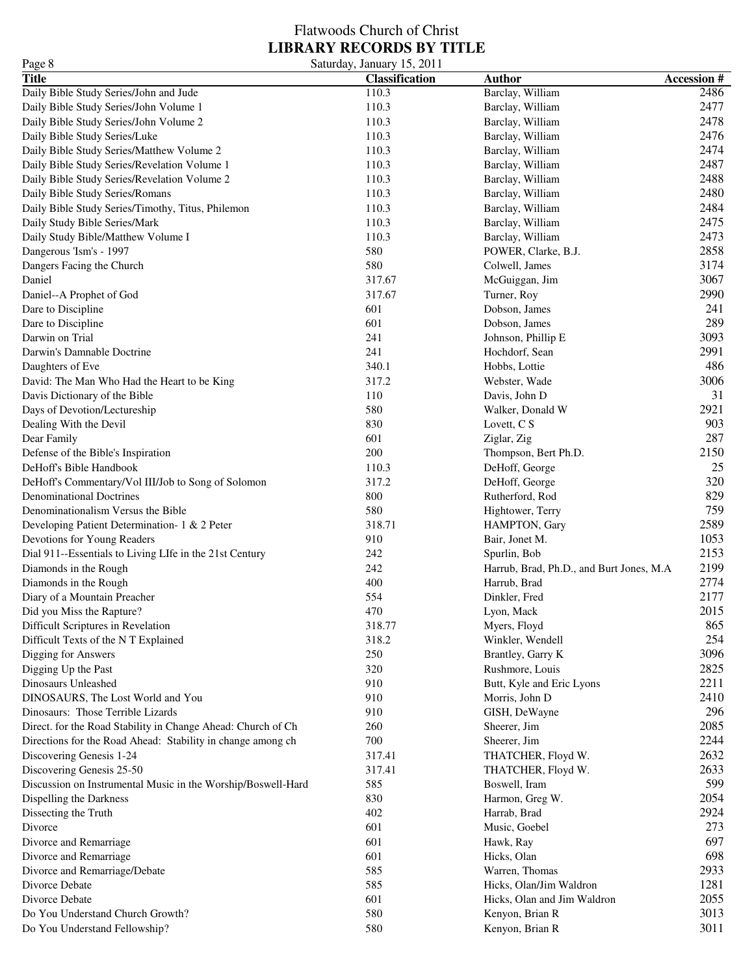| Page 8                                                                           | Saturday, January 15, 2011 |                                                          |                   |
|----------------------------------------------------------------------------------|----------------------------|----------------------------------------------------------|-------------------|
| <b>Title</b>                                                                     | <b>Classification</b>      | <b>Author</b>                                            | <b>Accession#</b> |
| Daily Bible Study Series/John and Jude                                           | 110.3                      | Barclay, William                                         | 2486              |
| Daily Bible Study Series/John Volume 1                                           | 110.3                      | Barclay, William                                         | 2477              |
| Daily Bible Study Series/John Volume 2                                           | 110.3                      | Barclay, William                                         | 2478              |
| Daily Bible Study Series/Luke                                                    | 110.3                      | Barclay, William                                         | 2476              |
| Daily Bible Study Series/Matthew Volume 2                                        | 110.3                      | Barclay, William                                         | 2474              |
| Daily Bible Study Series/Revelation Volume 1                                     | 110.3                      | Barclay, William                                         | 2487              |
| Daily Bible Study Series/Revelation Volume 2                                     | 110.3                      | Barclay, William                                         | 2488              |
| Daily Bible Study Series/Romans                                                  | 110.3                      | Barclay, William                                         | 2480              |
| Daily Bible Study Series/Timothy, Titus, Philemon                                | 110.3                      | Barclay, William                                         | 2484              |
| Daily Study Bible Series/Mark                                                    | 110.3                      | Barclay, William                                         | 2475              |
| Daily Study Bible/Matthew Volume I                                               | 110.3                      | Barclay, William                                         | 2473              |
| Dangerous 'Ism's - 1997                                                          | 580                        | POWER, Clarke, B.J.                                      | 2858              |
| Dangers Facing the Church                                                        | 580                        | Colwell, James                                           | 3174              |
| Daniel                                                                           | 317.67                     | McGuiggan, Jim                                           | 3067              |
| Daniel--A Prophet of God                                                         | 317.67                     | Turner, Roy                                              | 2990              |
| Dare to Discipline                                                               | 601                        | Dobson, James                                            | 241               |
| Dare to Discipline                                                               | 601                        | Dobson, James                                            | 289               |
| Darwin on Trial                                                                  | 241                        | Johnson, Phillip E                                       | 3093              |
| Darwin's Damnable Doctrine                                                       | 241                        | Hochdorf, Sean                                           | 2991              |
| Daughters of Eve                                                                 | 340.1                      | Hobbs, Lottie                                            | 486               |
| David: The Man Who Had the Heart to be King                                      | 317.2                      | Webster, Wade                                            | 3006              |
| Davis Dictionary of the Bible                                                    | 110                        | Davis, John D                                            | 31                |
| Days of Devotion/Lectureship                                                     | 580                        | Walker, Donald W                                         | 2921              |
| Dealing With the Devil                                                           | 830                        | Lovett, C S                                              | 903               |
| Dear Family                                                                      | 601                        | Ziglar, Zig                                              | 287               |
| Defense of the Bible's Inspiration                                               | 200                        | Thompson, Bert Ph.D.                                     | 2150              |
| DeHoff's Bible Handbook                                                          | 110.3                      | DeHoff, George                                           | 25                |
| DeHoff's Commentary/Vol III/Job to Song of Solomon                               | 317.2                      | DeHoff, George                                           | 320               |
| <b>Denominational Doctrines</b>                                                  | 800                        | Rutherford, Rod                                          | 829               |
| Denominationalism Versus the Bible                                               | 580                        | Hightower, Terry                                         | 759               |
|                                                                                  | 318.71                     | HAMPTON, Gary                                            | 2589              |
| Developing Patient Determination- 1 & 2 Peter<br>Devotions for Young Readers     | 910                        | Bair, Jonet M.                                           | 1053              |
|                                                                                  | 242                        |                                                          | 2153              |
| Dial 911--Essentials to Living LIfe in the 21st Century<br>Diamonds in the Rough | 242                        | Spurlin, Bob<br>Harrub, Brad, Ph.D., and Burt Jones, M.A | 2199              |
| Diamonds in the Rough                                                            | 400                        | Harrub, Brad                                             | 2774              |
|                                                                                  | 554                        | Dinkler, Fred                                            | 2177              |
| Diary of a Mountain Preacher                                                     |                            |                                                          |                   |
| Did you Miss the Rapture?<br>Difficult Scriptures in Revelation                  | 470<br>318.77              | Lyon, Mack                                               | 2015<br>865       |
|                                                                                  |                            | Myers, Floyd                                             | 254               |
| Difficult Texts of the NT Explained                                              | 318.2                      | Winkler, Wendell                                         | 3096              |
| Digging for Answers                                                              | 250                        | Brantley, Garry K                                        |                   |
| Digging Up the Past                                                              | 320                        | Rushmore, Louis                                          | 2825              |
| Dinosaurs Unleashed                                                              | 910                        | Butt, Kyle and Eric Lyons                                | 2211              |
| DINOSAURS, The Lost World and You                                                | 910                        | Morris, John D                                           | 2410              |
| Dinosaurs: Those Terrible Lizards                                                | 910                        | GISH, DeWayne                                            | 296               |
| Direct. for the Road Stability in Change Ahead: Church of Ch                     | 260                        | Sheerer, Jim                                             | 2085              |
| Directions for the Road Ahead: Stability in change among ch                      | 700                        | Sheerer, Jim                                             | 2244              |
| Discovering Genesis 1-24                                                         | 317.41                     | THATCHER, Floyd W.                                       | 2632              |
| Discovering Genesis 25-50                                                        | 317.41                     | THATCHER, Floyd W.                                       | 2633              |
| Discussion on Instrumental Music in the Worship/Boswell-Hard                     | 585                        | Boswell, Iram                                            | 599               |
| Dispelling the Darkness                                                          | 830                        | Harmon, Greg W.                                          | 2054              |
| Dissecting the Truth                                                             | 402                        | Harrab, Brad                                             | 2924              |
| Divorce                                                                          | 601                        | Music, Goebel                                            | 273               |
| Divorce and Remarriage                                                           | 601                        | Hawk, Ray                                                | 697               |
| Divorce and Remarriage                                                           | 601                        | Hicks, Olan                                              | 698               |
| Divorce and Remarriage/Debate                                                    | 585                        | Warren, Thomas                                           | 2933              |
| Divorce Debate                                                                   | 585                        | Hicks, Olan/Jim Waldron                                  | 1281              |
| Divorce Debate                                                                   | 601                        | Hicks, Olan and Jim Waldron                              | 2055              |
| Do You Understand Church Growth?                                                 | 580                        | Kenyon, Brian R                                          | 3013              |
| Do You Understand Fellowship?                                                    | 580                        | Kenyon, Brian R                                          | 3011              |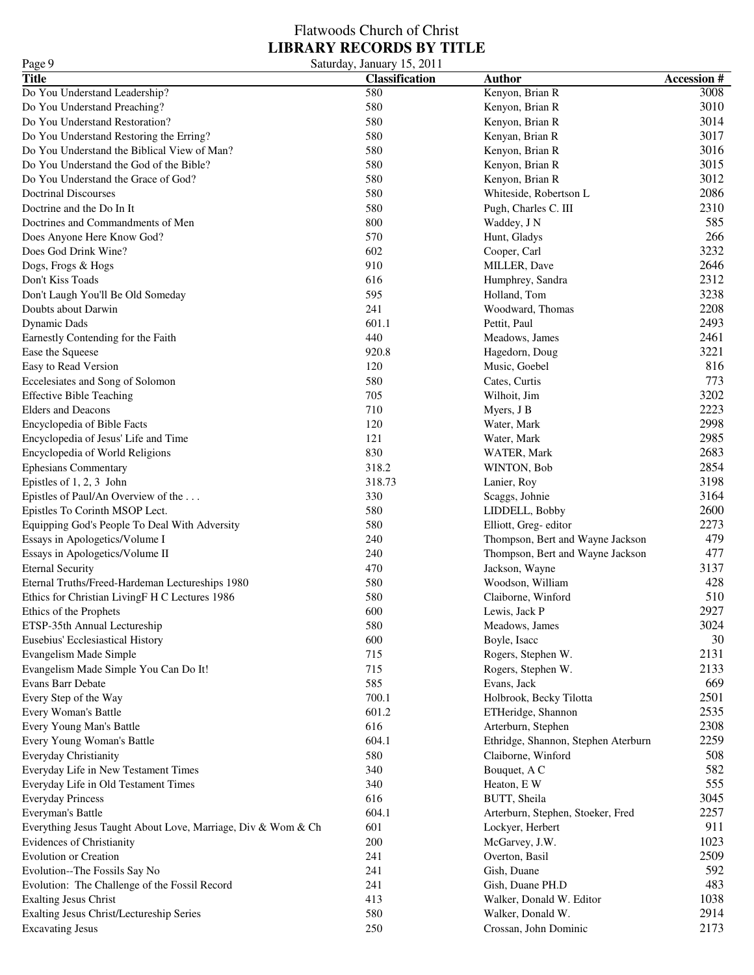### Flatwoods Church of Christ **LIBRARY RECORDS BY TITLE** Page 9 Saturday, January 15, 2011

| 1 agu s                                                      | Saturuay, Jamuary 19, 2011 |                                     |                   |
|--------------------------------------------------------------|----------------------------|-------------------------------------|-------------------|
| <b>Title</b>                                                 | <b>Classification</b>      | <b>Author</b>                       | <b>Accession#</b> |
| Do You Understand Leadership?                                | 580                        | Kenyon, Brian R                     | 3008              |
| Do You Understand Preaching?                                 | 580                        | Kenyon, Brian R                     | 3010              |
| Do You Understand Restoration?                               | 580                        | Kenyon, Brian R                     | 3014              |
| Do You Understand Restoring the Erring?                      | 580                        | Kenyan, Brian R                     | 3017              |
| Do You Understand the Biblical View of Man?                  | 580                        | Kenyon, Brian R                     | 3016              |
| Do You Understand the God of the Bible?                      | 580                        | Kenyon, Brian R                     | 3015              |
| Do You Understand the Grace of God?                          | 580                        | Kenyon, Brian R                     | 3012              |
| <b>Doctrinal Discourses</b>                                  | 580                        | Whiteside, Robertson L              | 2086              |
| Doctrine and the Do In It                                    | 580                        | Pugh, Charles C. III                | 2310              |
| Doctrines and Commandments of Men                            | 800                        | Waddey, J N                         | 585               |
| Does Anyone Here Know God?                                   | 570                        | Hunt, Gladys                        | 266               |
| Does God Drink Wine?                                         | 602                        | Cooper, Carl                        | 3232              |
|                                                              | 910                        | MILLER, Dave                        | 2646              |
| Dogs, Frogs & Hogs                                           |                            |                                     | 2312              |
| Don't Kiss Toads                                             | 616                        | Humphrey, Sandra                    |                   |
| Don't Laugh You'll Be Old Someday                            | 595                        | Holland, Tom                        | 3238              |
| Doubts about Darwin                                          | 241                        | Woodward, Thomas                    | 2208              |
| <b>Dynamic Dads</b>                                          | 601.1                      | Pettit, Paul                        | 2493              |
| Earnestly Contending for the Faith                           | 440                        | Meadows, James                      | 2461              |
| Ease the Squeese                                             | 920.8                      | Hagedorn, Doug                      | 3221              |
| Easy to Read Version                                         | 120                        | Music, Goebel                       | 816               |
| Eccelesiates and Song of Solomon                             | 580                        | Cates, Curtis                       | 773               |
| <b>Effective Bible Teaching</b>                              | 705                        | Wilhoit, Jim                        | 3202              |
| <b>Elders</b> and Deacons                                    | 710                        | Myers, J B                          | 2223              |
| Encyclopedia of Bible Facts                                  | 120                        | Water, Mark                         | 2998              |
| Encyclopedia of Jesus' Life and Time                         | 121                        | Water, Mark                         | 2985              |
| Encyclopedia of World Religions                              | 830                        | WATER, Mark                         | 2683              |
| <b>Ephesians Commentary</b>                                  | 318.2                      | WINTON, Bob                         | 2854              |
| Epistles of 1, 2, 3 John                                     | 318.73                     | Lanier, Roy                         | 3198              |
| Epistles of Paul/An Overview of the                          | 330                        | Scaggs, Johnie                      | 3164              |
| Epistles To Corinth MSOP Lect.                               | 580                        | LIDDELL, Bobby                      | 2600              |
| Equipping God's People To Deal With Adversity                | 580                        | Elliott, Greg-editor                | 2273              |
| Essays in Apologetics/Volume I                               | 240                        | Thompson, Bert and Wayne Jackson    | 479               |
| Essays in Apologetics/Volume II                              | 240                        | Thompson, Bert and Wayne Jackson    | 477               |
| <b>Eternal Security</b>                                      | 470                        | Jackson, Wayne                      | 3137              |
|                                                              | 580                        |                                     | 428               |
| Eternal Truths/Freed-Hardeman Lectureships 1980              | 580                        | Woodson, William                    | 510               |
| Ethics for Christian LivingF H C Lectures 1986               |                            | Claiborne, Winford                  |                   |
| Ethics of the Prophets                                       | 600                        | Lewis, Jack P                       | 2927              |
| ETSP-35th Annual Lectureship                                 | 580                        | Meadows, James                      | 3024              |
| Eusebius' Ecclesiastical History                             | 600                        | Boyle, Isacc                        | 30                |
| Evangelism Made Simple                                       | 715                        | Rogers, Stephen W.                  | 2131              |
| Evangelism Made Simple You Can Do It!                        | 715                        | Rogers, Stephen W.                  | 2133              |
| Evans Barr Debate                                            | 585                        | Evans, Jack                         | 669               |
| Every Step of the Way                                        | 700.1                      | Holbrook, Becky Tilotta             | 2501              |
| Every Woman's Battle                                         | 601.2                      | ETHeridge, Shannon                  | 2535              |
| Every Young Man's Battle                                     | 616                        | Arterburn, Stephen                  | 2308              |
| Every Young Woman's Battle                                   | 604.1                      | Ethridge, Shannon, Stephen Aterburn | 2259              |
| Everyday Christianity                                        | 580                        | Claiborne, Winford                  | 508               |
| Everyday Life in New Testament Times                         | 340                        | Bouquet, A C                        | 582               |
| Everyday Life in Old Testament Times                         | 340                        | Heaton, E W                         | 555               |
| <b>Everyday Princess</b>                                     | 616                        | BUTT, Sheila                        | 3045              |
| Everyman's Battle                                            | 604.1                      | Arterburn, Stephen, Stoeker, Fred   | 2257              |
| Everything Jesus Taught About Love, Marriage, Div & Wom & Ch | 601                        | Lockyer, Herbert                    | 911               |
| <b>Evidences of Christianity</b>                             | 200                        | McGarvey, J.W.                      | 1023              |
| <b>Evolution or Creation</b>                                 | 241                        | Overton, Basil                      | 2509              |
| Evolution--The Fossils Say No                                | 241                        | Gish, Duane                         | 592               |
|                                                              |                            |                                     |                   |
| Evolution: The Challenge of the Fossil Record                | 241                        | Gish, Duane PH.D                    | 483               |
| <b>Exalting Jesus Christ</b>                                 | 413                        | Walker, Donald W. Editor            | 1038              |
| Exalting Jesus Christ/Lectureship Series                     | 580                        | Walker, Donald W.                   | 2914              |
| <b>Excavating Jesus</b>                                      | 250                        | Crossan, John Dominic               | 2173              |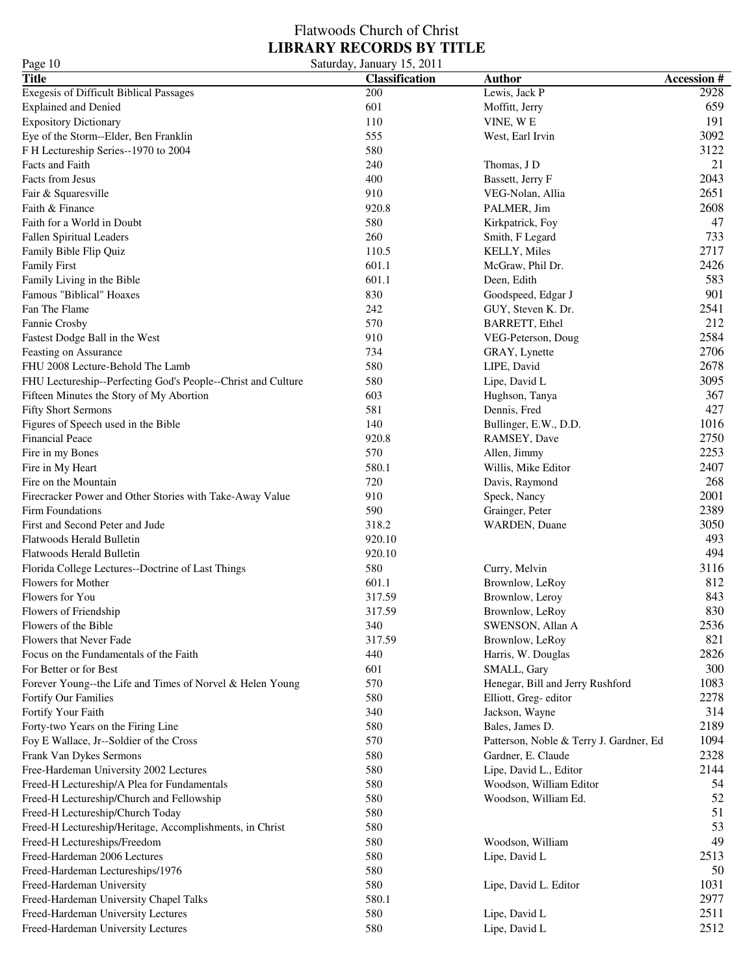| Page 10                                                      | Saturday, January 15, 2011 |                                         |                   |
|--------------------------------------------------------------|----------------------------|-----------------------------------------|-------------------|
| <b>Title</b>                                                 | <b>Classification</b>      | <b>Author</b>                           | <b>Accession#</b> |
| <b>Exegesis of Difficult Biblical Passages</b>               | 200                        | Lewis, Jack P                           | 2928              |
| <b>Explained and Denied</b>                                  | 601                        | Moffitt, Jerry                          | 659               |
| <b>Expository Dictionary</b>                                 | 110                        | VINE, WE                                | 191               |
| Eye of the Storm--Elder, Ben Franklin                        | 555                        | West, Earl Irvin                        | 3092              |
| F H Lectureship Series--1970 to 2004                         | 580                        |                                         | 3122              |
| Facts and Faith                                              | 240                        | Thomas, J D                             | 21                |
| Facts from Jesus                                             | 400                        | Bassett, Jerry F                        | 2043              |
| Fair & Squaresville                                          | 910                        | VEG-Nolan, Allia                        | 2651              |
| Faith & Finance                                              | 920.8                      | PALMER, Jim                             | 2608              |
| Faith for a World in Doubt                                   | 580                        | Kirkpatrick, Foy                        | 47                |
| <b>Fallen Spiritual Leaders</b>                              | 260                        | Smith, F Legard                         | 733               |
| Family Bible Flip Quiz                                       | 110.5                      | <b>KELLY, Miles</b>                     | 2717              |
|                                                              | 601.1                      |                                         | 2426              |
| <b>Family First</b>                                          |                            | McGraw, Phil Dr.                        | 583               |
| Family Living in the Bible                                   | 601.1                      | Deen, Edith                             | 901               |
| Famous "Biblical" Hoaxes                                     | 830                        | Goodspeed, Edgar J                      |                   |
| Fan The Flame                                                | 242                        | GUY, Steven K. Dr.                      | 2541              |
| Fannie Crosby                                                | 570                        | <b>BARRETT, Ethel</b>                   | 212               |
| Fastest Dodge Ball in the West                               | 910                        | VEG-Peterson, Doug                      | 2584              |
| Feasting on Assurance                                        | 734                        | GRAY, Lynette                           | 2706              |
| FHU 2008 Lecture-Behold The Lamb                             | 580                        | LIPE, David                             | 2678              |
| FHU Lectureship--Perfecting God's People--Christ and Culture | 580                        | Lipe, David L                           | 3095              |
| Fifteen Minutes the Story of My Abortion                     | 603                        | Hughson, Tanya                          | 367               |
| <b>Fifty Short Sermons</b>                                   | 581                        | Dennis, Fred                            | 427               |
| Figures of Speech used in the Bible                          | 140                        | Bullinger, E.W., D.D.                   | 1016              |
| <b>Financial Peace</b>                                       | 920.8                      | RAMSEY, Dave                            | 2750              |
| Fire in my Bones                                             | 570                        | Allen, Jimmy                            | 2253              |
| Fire in My Heart                                             | 580.1                      | Willis, Mike Editor                     | 2407              |
| Fire on the Mountain                                         | 720                        | Davis, Raymond                          | 268               |
| Firecracker Power and Other Stories with Take-Away Value     | 910                        | Speck, Nancy                            | 2001              |
| Firm Foundations                                             | 590                        | Grainger, Peter                         | 2389              |
| First and Second Peter and Jude                              | 318.2                      | WARDEN, Duane                           | 3050              |
| Flatwoods Herald Bulletin                                    | 920.10                     |                                         | 493               |
| Flatwoods Herald Bulletin                                    | 920.10                     |                                         | 494               |
| Florida College Lectures--Doctrine of Last Things            | 580                        | Curry, Melvin                           | 3116              |
| Flowers for Mother                                           | 601.1                      | Brownlow, LeRoy                         | 812               |
| Flowers for You                                              | 317.59                     | Brownlow, Leroy                         | 843               |
| Flowers of Friendship                                        | 317.59                     | Brownlow, LeRoy                         | 830               |
| Flowers of the Bible                                         | 340                        | SWENSON, Allan A                        | 2536              |
| Flowers that Never Fade                                      | 317.59                     | Brownlow, LeRoy                         | 821               |
| Focus on the Fundamentals of the Faith                       | 440                        | Harris, W. Douglas                      | 2826              |
| For Better or for Best                                       | 601                        | SMALL, Gary                             | 300               |
|                                                              | 570                        |                                         | 1083              |
| Forever Young--the Life and Times of Norvel & Helen Young    |                            | Henegar, Bill and Jerry Rushford        | 2278              |
| Fortify Our Families                                         | 580                        | Elliott, Greg-editor                    |                   |
| Fortify Your Faith                                           | 340                        | Jackson, Wayne                          | 314               |
| Forty-two Years on the Firing Line                           | 580                        | Bales, James D.                         | 2189              |
| Foy E Wallace, Jr--Soldier of the Cross                      | 570                        | Patterson, Noble & Terry J. Gardner, Ed | 1094              |
| Frank Van Dykes Sermons                                      | 580                        | Gardner, E. Claude                      | 2328              |
| Free-Hardeman University 2002 Lectures                       | 580                        | Lipe, David L., Editor                  | 2144              |
| Freed-H Lectureship/A Plea for Fundamentals                  | 580                        | Woodson, William Editor                 | 54                |
| Freed-H Lectureship/Church and Fellowship                    | 580                        | Woodson, William Ed.                    | 52                |
| Freed-H Lectureship/Church Today                             | 580                        |                                         | 51                |
| Freed-H Lectureship/Heritage, Accomplishments, in Christ     | 580                        |                                         | 53                |
| Freed-H Lectureships/Freedom                                 | 580                        | Woodson, William                        | 49                |
| Freed-Hardeman 2006 Lectures                                 | 580                        | Lipe, David L                           | 2513              |
| Freed-Hardeman Lectureships/1976                             | 580                        |                                         | 50                |
| Freed-Hardeman University                                    | 580                        | Lipe, David L. Editor                   | 1031              |
| Freed-Hardeman University Chapel Talks                       | 580.1                      |                                         | 2977              |
| Freed-Hardeman University Lectures                           | 580                        | Lipe, David L                           | 2511              |
| Freed-Hardeman University Lectures                           | 580                        | Lipe, David L                           | 2512              |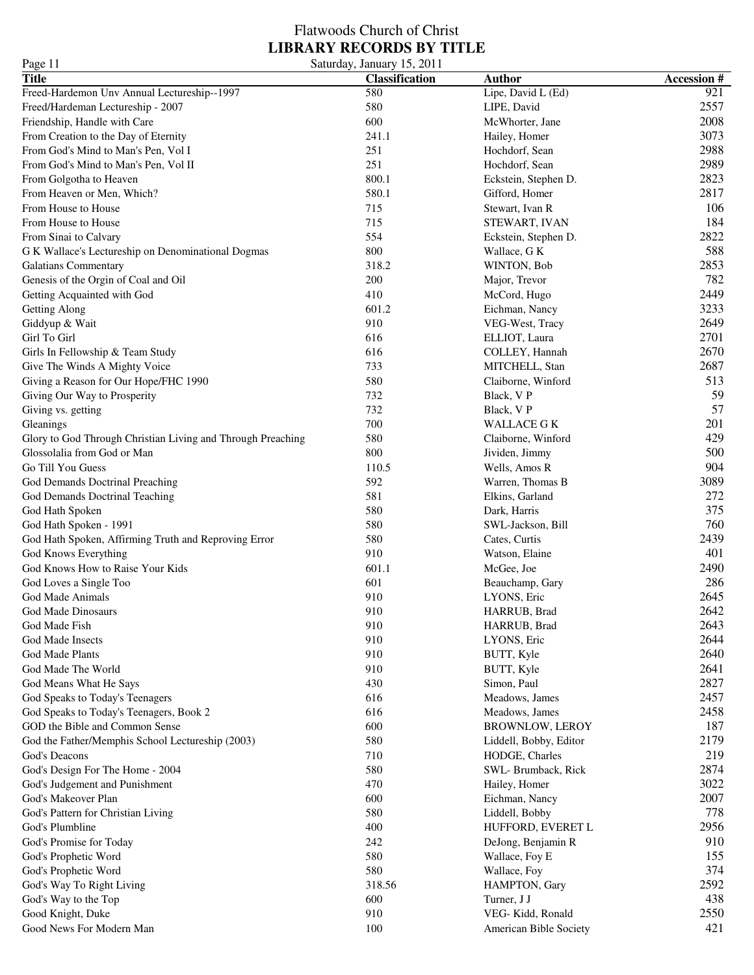| Page 11                                                     | Saturday, January 15, 2011 |                        |                   |
|-------------------------------------------------------------|----------------------------|------------------------|-------------------|
| <b>Title</b>                                                | <b>Classification</b>      | <b>Author</b>          | <b>Accession#</b> |
| Freed-Hardemon Unv Annual Lectureship--1997                 | 580                        | Lipe, David L (Ed)     | 921               |
| Freed/Hardeman Lectureship - 2007                           | 580                        | LIPE, David            | 2557              |
| Friendship, Handle with Care                                | 600                        | McWhorter, Jane        | 2008              |
| From Creation to the Day of Eternity                        | 241.1                      | Hailey, Homer          | 3073              |
| From God's Mind to Man's Pen, Vol I                         | 251                        | Hochdorf, Sean         | 2988              |
| From God's Mind to Man's Pen, Vol II                        | 251                        | Hochdorf, Sean         | 2989              |
| From Golgotha to Heaven                                     | 800.1                      | Eckstein, Stephen D.   | 2823              |
| From Heaven or Men, Which?                                  | 580.1                      | Gifford, Homer         | 2817              |
| From House to House                                         | 715                        | Stewart, Ivan R        | 106               |
| From House to House                                         | 715                        | STEWART, IVAN          | 184               |
| From Sinai to Calvary                                       | 554                        | Eckstein, Stephen D.   | 2822              |
| G K Wallace's Lectureship on Denominational Dogmas          | 800                        | Wallace, G K           | 588               |
| Galatians Commentary                                        | 318.2                      | WINTON, Bob            | 2853              |
| Genesis of the Orgin of Coal and Oil                        | 200                        | Major, Trevor          | 782               |
| Getting Acquainted with God                                 | 410                        | McCord, Hugo           | 2449              |
| Getting Along                                               | 601.2                      | Eichman, Nancy         | 3233              |
| Giddyup & Wait                                              | 910                        | VEG-West, Tracy        | 2649              |
| Girl To Girl                                                | 616                        | ELLIOT, Laura          | 2701              |
| Girls In Fellowship & Team Study                            | 616                        | COLLEY, Hannah         | 2670              |
| Give The Winds A Mighty Voice                               | 733                        | MITCHELL, Stan         | 2687              |
| Giving a Reason for Our Hope/FHC 1990                       | 580                        | Claiborne, Winford     | 513               |
| Giving Our Way to Prosperity                                | 732                        | Black, VP              | 59                |
| Giving vs. getting                                          | 732                        | Black, V P             | 57                |
| Gleanings                                                   | 700                        | <b>WALLACE G K</b>     | 201               |
| Glory to God Through Christian Living and Through Preaching | 580                        | Claiborne, Winford     | 429               |
| Glossolalia from God or Man                                 | 800                        | Jividen, Jimmy         | 500               |
| Go Till You Guess                                           | 110.5                      | Wells, Amos R          | 904               |
| God Demands Doctrinal Preaching                             | 592                        | Warren, Thomas B       | 3089              |
| God Demands Doctrinal Teaching                              | 581                        | Elkins, Garland        | 272               |
| God Hath Spoken                                             | 580                        | Dark, Harris           | 375               |
| God Hath Spoken - 1991                                      | 580                        | SWL-Jackson, Bill      | 760               |
| God Hath Spoken, Affirming Truth and Reproving Error        | 580                        | Cates, Curtis          | 2439              |
| God Knows Everything                                        | 910                        | Watson, Elaine         | 401               |
| God Knows How to Raise Your Kids                            | 601.1                      | McGee, Joe             | 2490              |
| God Loves a Single Too                                      | 601                        | Beauchamp, Gary        | 286               |
| God Made Animals                                            | 910                        | LYONS, Eric            | 2645              |
| God Made Dinosaurs                                          | 910                        | HARRUB, Brad           | 2642              |
| God Made Fish                                               | 910                        | HARRUB, Brad           | 2643              |
| God Made Insects                                            | 910                        | LYONS, Eric            | 2644              |
| God Made Plants                                             | 910                        | BUTT, Kyle             | 2640              |
| God Made The World                                          | 910                        | BUTT, Kyle             | 2641              |
| God Means What He Says                                      | 430                        | Simon, Paul            | 2827              |
| God Speaks to Today's Teenagers                             | 616                        | Meadows, James         | 2457              |
| God Speaks to Today's Teenagers, Book 2                     | 616                        | Meadows, James         | 2458              |
| GOD the Bible and Common Sense                              | 600                        | <b>BROWNLOW, LEROY</b> | 187               |
| God the Father/Memphis School Lectureship (2003)            | 580                        | Liddell, Bobby, Editor | 2179              |
| God's Deacons                                               | 710                        | HODGE, Charles         | 219               |
| God's Design For The Home - 2004                            | 580                        | SWL-Brumback, Rick     | 2874              |
| God's Judgement and Punishment                              | 470                        | Hailey, Homer          | 3022              |
| God's Makeover Plan                                         | 600                        | Eichman, Nancy         | 2007              |
| God's Pattern for Christian Living                          | 580                        | Liddell, Bobby         | 778               |
| God's Plumbline                                             | 400                        | HUFFORD, EVERET L      | 2956              |
| God's Promise for Today                                     | 242                        | DeJong, Benjamin R     | 910               |
| God's Prophetic Word                                        | 580                        | Wallace, Foy E         | 155               |
| God's Prophetic Word                                        | 580                        | Wallace, Foy           | 374               |
| God's Way To Right Living                                   | 318.56                     | HAMPTON, Gary          | 2592              |
| God's Way to the Top                                        | 600                        | Turner, J J            | 438               |
| Good Knight, Duke                                           | 910                        | VEG-Kidd, Ronald       | 2550              |
| Good News For Modern Man                                    | 100                        | American Bible Society | 421               |
|                                                             |                            |                        |                   |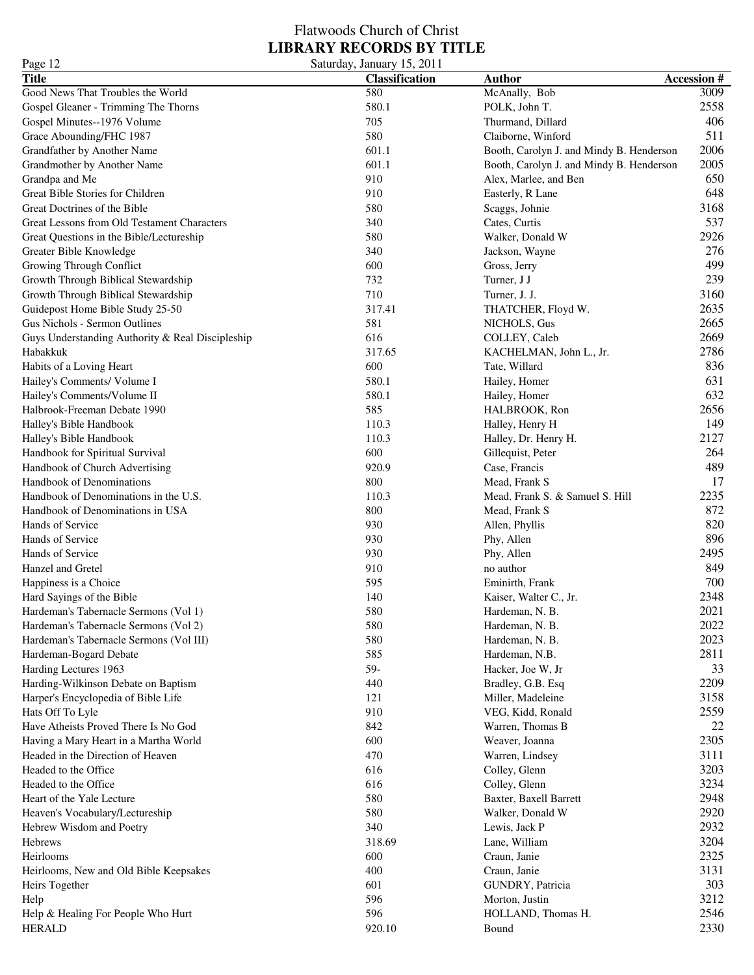### Flatwoods Church of Christ **LIBRARY RECORDS BY TITLE** Page 12 Saturday, January 15, 2011

| $1 \, \text{age}$ 12                             | $\cup$ aturuay, January 19, 2011 |                                          |                   |
|--------------------------------------------------|----------------------------------|------------------------------------------|-------------------|
| <b>Title</b>                                     | <b>Classification</b>            | <b>Author</b>                            | <b>Accession#</b> |
| Good News That Troubles the World                | 580                              | McAnally, Bob                            | 3009              |
| Gospel Gleaner - Trimming The Thorns             | 580.1                            | POLK, John T.                            | 2558              |
| Gospel Minutes--1976 Volume                      | 705                              | Thurmand, Dillard                        | 406               |
| Grace Abounding/FHC 1987                         | 580                              | Claiborne, Winford                       | 511               |
| Grandfather by Another Name                      | 601.1                            | Booth, Carolyn J. and Mindy B. Henderson | 2006              |
| Grandmother by Another Name                      | 601.1                            | Booth, Carolyn J. and Mindy B. Henderson | 2005              |
| Grandpa and Me                                   | 910                              | Alex, Marlee, and Ben                    | 650               |
| Great Bible Stories for Children                 | 910                              | Easterly, R Lane                         | 648               |
| Great Doctrines of the Bible                     | 580                              | Scaggs, Johnie                           | 3168              |
| Great Lessons from Old Testament Characters      | 340                              | Cates, Curtis                            | 537               |
| Great Questions in the Bible/Lectureship         | 580                              | Walker, Donald W                         | 2926              |
| Greater Bible Knowledge                          | 340                              | Jackson, Wayne                           | 276               |
|                                                  | 600                              |                                          | 499               |
| Growing Through Conflict                         |                                  | Gross, Jerry                             | 239               |
| Growth Through Biblical Stewardship              | 732                              | Turner, J J                              |                   |
| Growth Through Biblical Stewardship              | 710                              | Turner, J. J.                            | 3160              |
| Guidepost Home Bible Study 25-50                 | 317.41                           | THATCHER, Floyd W.                       | 2635              |
| Gus Nichols - Sermon Outlines                    | 581                              | NICHOLS, Gus                             | 2665              |
| Guys Understanding Authority & Real Discipleship | 616                              | COLLEY, Caleb                            | 2669              |
| Habakkuk                                         | 317.65                           | KACHELMAN, John L., Jr.                  | 2786              |
| Habits of a Loving Heart                         | 600                              | Tate, Willard                            | 836               |
| Hailey's Comments/ Volume I                      | 580.1                            | Hailey, Homer                            | 631               |
| Hailey's Comments/Volume II                      | 580.1                            | Hailey, Homer                            | 632               |
| Halbrook-Freeman Debate 1990                     | 585                              | HALBROOK, Ron                            | 2656              |
| Halley's Bible Handbook                          | 110.3                            | Halley, Henry H                          | 149               |
| Halley's Bible Handbook                          | 110.3                            | Halley, Dr. Henry H.                     | 2127              |
| Handbook for Spiritual Survival                  | 600                              | Gillequist, Peter                        | 264               |
| Handbook of Church Advertising                   | 920.9                            | Case, Francis                            | 489               |
| Handbook of Denominations                        | 800                              | Mead, Frank S                            | 17                |
| Handbook of Denominations in the U.S.            | 110.3                            | Mead, Frank S. & Samuel S. Hill          | 2235              |
| Handbook of Denominations in USA                 | 800                              | Mead, Frank S                            | 872               |
| Hands of Service                                 | 930                              | Allen, Phyllis                           | 820               |
| Hands of Service                                 | 930                              | Phy, Allen                               | 896               |
| Hands of Service                                 | 930                              | Phy, Allen                               | 2495              |
| Hanzel and Gretel                                | 910                              | no author                                | 849               |
|                                                  |                                  |                                          | 700               |
| Happiness is a Choice                            | 595                              | Eminirth, Frank                          |                   |
| Hard Sayings of the Bible                        | 140                              | Kaiser, Walter C., Jr.                   | 2348              |
| Hardeman's Tabernacle Sermons (Vol 1)            | 580                              | Hardeman, N. B.                          | 2021              |
| Hardeman's Tabernacle Sermons (Vol 2)            | 580                              | Hardeman, N. B.                          | 2022              |
| Hardeman's Tabernacle Sermons (Vol III)          | 580                              | Hardeman, N. B.                          | 2023              |
| Hardeman-Bogard Debate                           | 585                              | Hardeman, N.B.                           | 2811              |
| Harding Lectures 1963                            | 59-                              | Hacker, Joe W, Jr                        | 33                |
| Harding-Wilkinson Debate on Baptism              | 440                              | Bradley, G.B. Esq                        | 2209              |
| Harper's Encyclopedia of Bible Life              | 121                              | Miller, Madeleine                        | 3158              |
| Hats Off To Lyle                                 | 910                              | VEG, Kidd, Ronald                        | 2559              |
| Have Atheists Proved There Is No God             | 842                              | Warren, Thomas B                         | 22                |
| Having a Mary Heart in a Martha World            | 600                              | Weaver, Joanna                           | 2305              |
| Headed in the Direction of Heaven                | 470                              | Warren, Lindsey                          | 3111              |
| Headed to the Office                             | 616                              | Colley, Glenn                            | 3203              |
| Headed to the Office                             | 616                              | Colley, Glenn                            | 3234              |
| Heart of the Yale Lecture                        | 580                              | Baxter, Baxell Barrett                   | 2948              |
| Heaven's Vocabulary/Lectureship                  | 580                              | Walker, Donald W                         | 2920              |
| Hebrew Wisdom and Poetry                         | 340                              | Lewis, Jack P                            | 2932              |
| <b>Hebrews</b>                                   | 318.69                           | Lane, William                            | 3204              |
| Heirlooms                                        | 600                              | Craun, Janie                             | 2325              |
|                                                  | 400                              | Craun, Janie                             | 3131              |
| Heirlooms, New and Old Bible Keepsakes           |                                  |                                          | 303               |
| Heirs Together                                   | 601                              | GUNDRY, Patricia                         |                   |
| Help                                             | 596                              | Morton, Justin                           | 3212              |
| Help & Healing For People Who Hurt               | 596                              | HOLLAND, Thomas H.                       | 2546              |
| <b>HERALD</b>                                    | 920.10                           | Bound                                    | 2330              |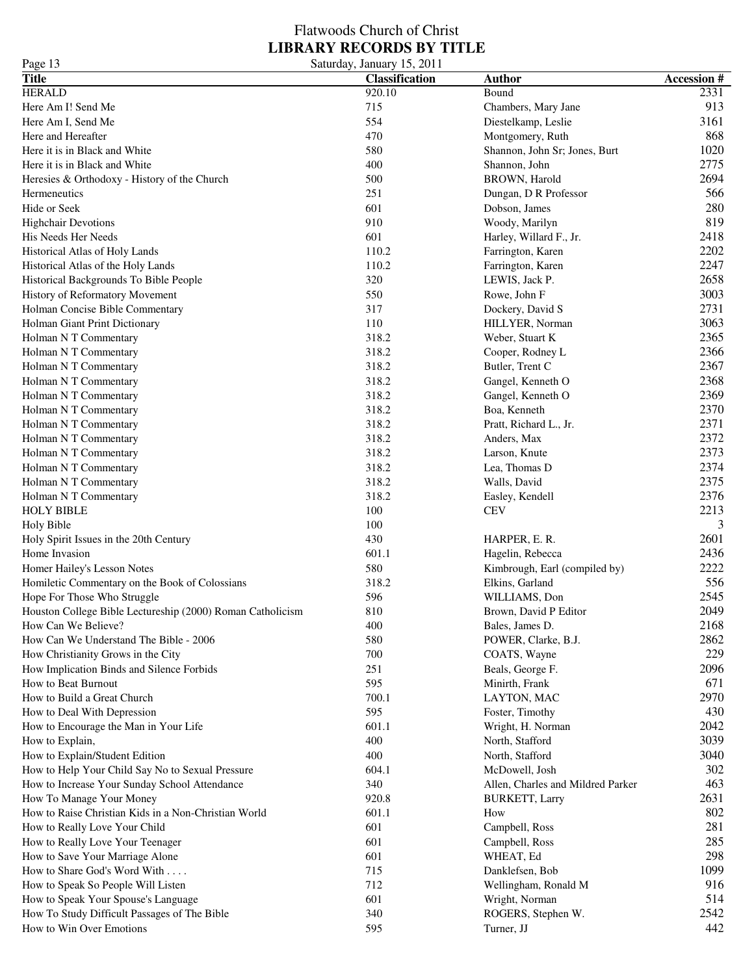Page 13 Saturday, January 15, 2011

| <b>Title</b>                                               | <b>Classification</b> | <b>Author</b>                     | <b>Accession#</b> |
|------------------------------------------------------------|-----------------------|-----------------------------------|-------------------|
| <b>HERALD</b>                                              | 920.10                | Bound                             | 2331              |
| Here Am I! Send Me                                         | 715                   | Chambers, Mary Jane               | 913               |
| Here Am I, Send Me                                         | 554                   | Diestelkamp, Leslie               | 3161              |
| Here and Hereafter                                         | 470                   | Montgomery, Ruth                  | 868               |
| Here it is in Black and White                              | 580                   | Shannon, John Sr; Jones, Burt     | 1020              |
| Here it is in Black and White                              | 400                   | Shannon, John                     | 2775              |
| Heresies & Orthodoxy - History of the Church               | 500                   | <b>BROWN</b> , Harold             | 2694              |
| Hermeneutics                                               | 251                   | Dungan, D R Professor             | 566               |
| Hide or Seek                                               | 601                   | Dobson, James                     | 280               |
| <b>Highchair Devotions</b>                                 | 910                   | Woody, Marilyn                    | 819               |
| His Needs Her Needs                                        | 601                   | Harley, Willard F., Jr.           | 2418              |
| Historical Atlas of Holy Lands                             | 110.2                 |                                   | 2202              |
| Historical Atlas of the Holy Lands                         | 110.2                 | Farrington, Karen                 | 2247              |
|                                                            | 320                   | Farrington, Karen                 | 2658              |
| Historical Backgrounds To Bible People                     |                       | LEWIS, Jack P.                    | 3003              |
| History of Reformatory Movement                            | 550                   | Rowe, John F                      |                   |
| Holman Concise Bible Commentary                            | 317                   | Dockery, David S                  | 2731              |
| Holman Giant Print Dictionary                              | 110                   | HILLYER, Norman                   | 3063              |
| Holman N T Commentary                                      | 318.2                 | Weber, Stuart K                   | 2365              |
| Holman N T Commentary                                      | 318.2                 | Cooper, Rodney L                  | 2366              |
| Holman N T Commentary                                      | 318.2                 | Butler, Trent C                   | 2367              |
| Holman N T Commentary                                      | 318.2                 | Gangel, Kenneth O                 | 2368              |
| Holman N T Commentary                                      | 318.2                 | Gangel, Kenneth O                 | 2369              |
| Holman N T Commentary                                      | 318.2                 | Boa, Kenneth                      | 2370              |
| Holman N T Commentary                                      | 318.2                 | Pratt, Richard L., Jr.            | 2371              |
| Holman N T Commentary                                      | 318.2                 | Anders, Max                       | 2372              |
| Holman N T Commentary                                      | 318.2                 | Larson, Knute                     | 2373              |
| Holman N T Commentary                                      | 318.2                 | Lea, Thomas D                     | 2374              |
| Holman N T Commentary                                      | 318.2                 | Walls, David                      | 2375              |
| Holman N T Commentary                                      | 318.2                 | Easley, Kendell                   | 2376              |
| <b>HOLY BIBLE</b>                                          | 100                   | <b>CEV</b>                        | 2213              |
| Holy Bible                                                 | 100                   |                                   | 3                 |
| Holy Spirit Issues in the 20th Century                     | 430                   | HARPER, E. R.                     | 2601              |
| Home Invasion                                              | 601.1                 | Hagelin, Rebecca                  | 2436              |
| Homer Hailey's Lesson Notes                                | 580                   | Kimbrough, Earl (compiled by)     | 2222              |
| Homiletic Commentary on the Book of Colossians             | 318.2                 | Elkins, Garland                   | 556               |
| Hope For Those Who Struggle                                | 596                   | WILLIAMS, Don                     | 2545              |
| Houston College Bible Lectureship (2000) Roman Catholicism | 810                   | Brown, David P Editor             | 2049              |
| How Can We Believe?                                        | 400                   | Bales, James D.                   | 2168              |
| How Can We Understand The Bible - 2006                     | 580                   | POWER, Clarke, B.J.               | 2862              |
| How Christianity Grows in the City                         | 700                   | COATS, Wayne                      | 229               |
| How Implication Binds and Silence Forbids                  | 251                   | Beals, George F.                  | 2096              |
| How to Beat Burnout                                        | 595                   | Minirth, Frank                    | 671               |
| How to Build a Great Church                                | 700.1                 | LAYTON, MAC                       | 2970              |
|                                                            | 595                   |                                   | 430               |
| How to Deal With Depression                                |                       | Foster, Timothy                   |                   |
| How to Encourage the Man in Your Life                      | 601.1                 | Wright, H. Norman                 | 2042              |
| How to Explain,                                            | 400                   | North, Stafford                   | 3039              |
| How to Explain/Student Edition                             | 400                   | North, Stafford                   | 3040              |
| How to Help Your Child Say No to Sexual Pressure           | 604.1                 | McDowell, Josh                    | 302               |
| How to Increase Your Sunday School Attendance              | 340                   | Allen, Charles and Mildred Parker | 463               |
| How To Manage Your Money                                   | 920.8                 | <b>BURKETT, Larry</b>             | 2631              |
| How to Raise Christian Kids in a Non-Christian World       | 601.1                 | How                               | 802               |
| How to Really Love Your Child                              | 601                   | Campbell, Ross                    | 281               |
| How to Really Love Your Teenager                           | 601                   | Campbell, Ross                    | 285               |
| How to Save Your Marriage Alone                            | 601                   | WHEAT, Ed                         | 298               |
| How to Share God's Word With                               | 715                   | Danklefsen, Bob                   | 1099              |
| How to Speak So People Will Listen                         | 712                   | Wellingham, Ronald M              | 916               |
| How to Speak Your Spouse's Language                        | 601                   | Wright, Norman                    | 514               |
| How To Study Difficult Passages of The Bible               | 340                   | ROGERS, Stephen W.                | 2542              |
| How to Win Over Emotions                                   | 595                   | Turner, JJ                        | 442               |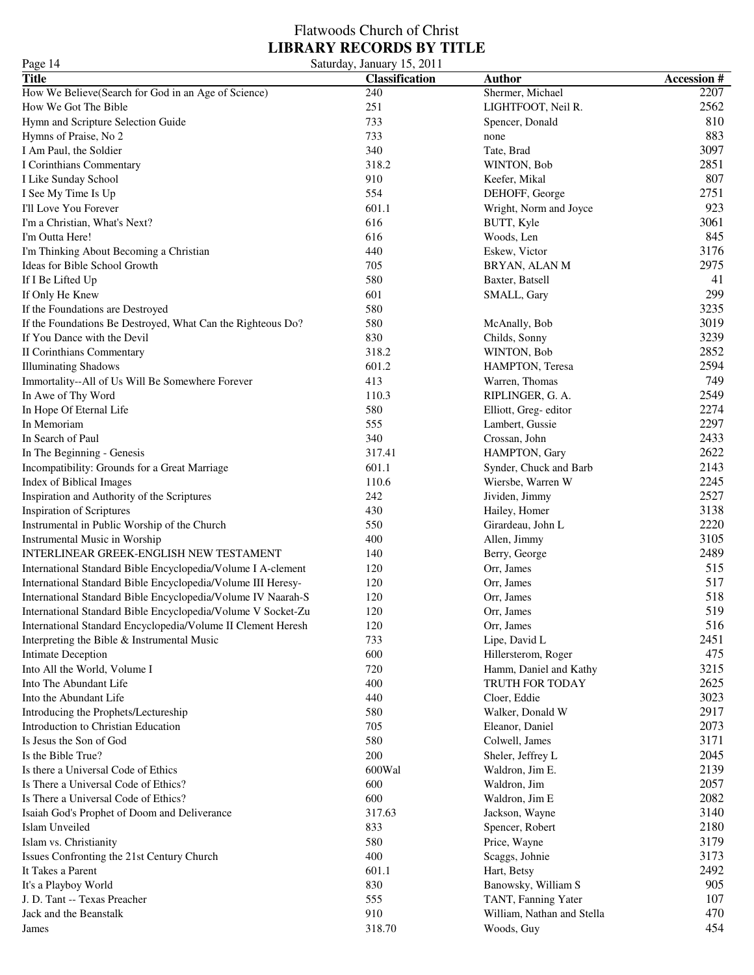| Page 14                                                      | Saturday, January 15, 2011 |                            |                   |
|--------------------------------------------------------------|----------------------------|----------------------------|-------------------|
| <b>Title</b>                                                 | <b>Classification</b>      | <b>Author</b>              | <b>Accession#</b> |
| How We Believe(Search for God in an Age of Science)          | 240                        | Shermer, Michael           | 2207              |
| How We Got The Bible                                         | 251                        | LIGHTFOOT, Neil R.         | 2562              |
| Hymn and Scripture Selection Guide                           | 733                        | Spencer, Donald            | 810               |
| Hymns of Praise, No 2                                        | 733                        | none                       | 883               |
| I Am Paul, the Soldier                                       | 340                        | Tate, Brad                 | 3097              |
| I Corinthians Commentary                                     | 318.2                      | WINTON, Bob                | 2851              |
| I Like Sunday School                                         | 910                        | Keefer, Mikal              | 807               |
| I See My Time Is Up                                          | 554                        | DEHOFF, George             | 2751              |
| I'll Love You Forever                                        | 601.1                      | Wright, Norm and Joyce     | 923               |
| I'm a Christian, What's Next?                                | 616                        | BUTT, Kyle                 | 3061              |
| I'm Outta Here!                                              | 616                        | Woods, Len                 | 845               |
| I'm Thinking About Becoming a Christian                      | 440                        | Eskew, Victor              | 3176              |
| Ideas for Bible School Growth                                | 705                        | BRYAN, ALAN M              | 2975              |
| If I Be Lifted Up                                            | 580                        | Baxter, Batsell            | 41                |
| If Only He Knew                                              | 601                        | SMALL, Gary                | 299               |
| If the Foundations are Destroyed                             | 580                        |                            | 3235              |
| If the Foundations Be Destroyed, What Can the Righteous Do?  | 580                        | McAnally, Bob              | 3019              |
| If You Dance with the Devil                                  | 830                        |                            | 3239              |
|                                                              | 318.2                      | Childs, Sonny              | 2852              |
| <b>II Corinthians Commentary</b>                             |                            | WINTON, Bob                | 2594              |
| <b>Illuminating Shadows</b>                                  | 601.2                      | HAMPTON, Teresa            |                   |
| Immortality--All of Us Will Be Somewhere Forever             | 413                        | Warren, Thomas             | 749               |
| In Awe of Thy Word                                           | 110.3                      | RIPLINGER, G. A.           | 2549              |
| In Hope Of Eternal Life                                      | 580                        | Elliott, Greg-editor       | 2274              |
| In Memoriam                                                  | 555                        | Lambert, Gussie            | 2297              |
| In Search of Paul                                            | 340                        | Crossan, John              | 2433              |
| In The Beginning - Genesis                                   | 317.41                     | HAMPTON, Gary              | 2622              |
| Incompatibility: Grounds for a Great Marriage                | 601.1                      | Synder, Chuck and Barb     | 2143              |
| Index of Biblical Images                                     | 110.6                      | Wiersbe, Warren W          | 2245              |
| Inspiration and Authority of the Scriptures                  | 242                        | Jividen, Jimmy             | 2527              |
| Inspiration of Scriptures                                    | 430                        | Hailey, Homer              | 3138              |
| Instrumental in Public Worship of the Church                 | 550                        | Girardeau, John L          | 2220              |
| Instrumental Music in Worship                                | 400                        | Allen, Jimmy               | 3105              |
| INTERLINEAR GREEK-ENGLISH NEW TESTAMENT                      | 140                        | Berry, George              | 2489              |
| International Standard Bible Encyclopedia/Volume I A-clement | 120                        | Orr, James                 | 515               |
| International Standard Bible Encyclopedia/Volume III Heresy- | 120                        | Orr, James                 | 517               |
| International Standard Bible Encyclopedia/Volume IV Naarah-S | 120                        | Orr, James                 | 518               |
| International Standard Bible Encyclopedia/Volume V Socket-Zu | 120                        | Orr, James                 | 519               |
| International Standard Encyclopedia/Volume II Clement Heresh | 120                        | Orr, James                 | 516               |
| Interpreting the Bible & Instrumental Music                  | 733                        | Lipe, David L              | 2451              |
| Intimate Deception                                           | 600                        | Hillersterom, Roger        | 475               |
| Into All the World, Volume I                                 | 720                        | Hamm, Daniel and Kathy     | 3215              |
| Into The Abundant Life                                       | 400                        | TRUTH FOR TODAY            | 2625              |
| Into the Abundant Life                                       | 440                        | Cloer, Eddie               | 3023              |
| Introducing the Prophets/Lectureship                         | 580                        | Walker, Donald W           | 2917              |
| Introduction to Christian Education                          | 705                        | Eleanor, Daniel            | 2073              |
| Is Jesus the Son of God                                      | 580                        | Colwell, James             | 3171              |
| Is the Bible True?                                           | 200                        | Sheler, Jeffrey L          | 2045              |
| Is there a Universal Code of Ethics                          | 600Wal                     | Waldron, Jim E.            | 2139              |
| Is There a Universal Code of Ethics?                         | 600                        | Waldron, Jim               | 2057              |
| Is There a Universal Code of Ethics?                         | 600                        | Waldron, Jim E             | 2082              |
| Isaiah God's Prophet of Doom and Deliverance                 | 317.63                     | Jackson, Wayne             | 3140              |
| Islam Unveiled                                               | 833                        | Spencer, Robert            | 2180              |
| Islam vs. Christianity                                       | 580                        | Price, Wayne               | 3179              |
| Issues Confronting the 21st Century Church                   | 400                        | Scaggs, Johnie             | 3173              |
| It Takes a Parent                                            | 601.1                      | Hart, Betsy                | 2492              |
| It's a Playboy World                                         | 830                        | Banowsky, William S        | 905               |
| J. D. Tant -- Texas Preacher                                 | 555                        | TANT, Fanning Yater        | 107               |
| Jack and the Beanstalk                                       | 910                        | William, Nathan and Stella | 470               |
| James                                                        | 318.70                     | Woods, Guy                 | 454               |
|                                                              |                            |                            |                   |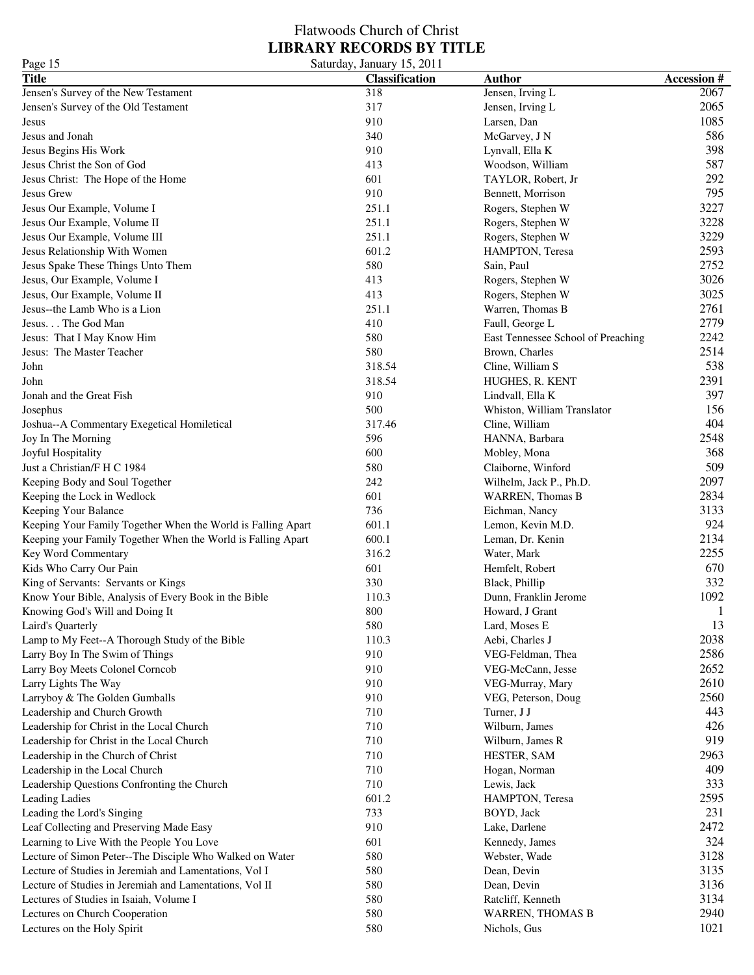### Flatwoods Church of Christ **LIBRARY RECORDS BY TITLE** Page 15 Saturday, January 15, 2011

| 1 agu 1 <i>0</i>                                             | $50$ and $40, 50$ and $40, 2011$ |                                    |                   |
|--------------------------------------------------------------|----------------------------------|------------------------------------|-------------------|
| <b>Title</b>                                                 | Classification                   | <b>Author</b>                      | <b>Accession#</b> |
| Jensen's Survey of the New Testament                         | 318                              | Jensen, Irving L                   | 2067              |
| Jensen's Survey of the Old Testament                         | 317                              | Jensen, Irving L                   | 2065              |
| Jesus                                                        | 910                              | Larsen, Dan                        | 1085              |
| Jesus and Jonah                                              | 340                              | McGarvey, J N                      | 586               |
| Jesus Begins His Work                                        | 910                              | Lynvall, Ella K                    | 398               |
| Jesus Christ the Son of God                                  | 413                              | Woodson, William                   | 587               |
| Jesus Christ: The Hope of the Home                           | 601                              | TAYLOR, Robert, Jr                 | 292               |
| Jesus Grew                                                   | 910                              | Bennett, Morrison                  | 795               |
| Jesus Our Example, Volume I                                  | 251.1                            | Rogers, Stephen W                  | 3227              |
| Jesus Our Example, Volume II                                 | 251.1                            | Rogers, Stephen W                  | 3228              |
| Jesus Our Example, Volume III                                | 251.1                            | Rogers, Stephen W                  | 3229              |
| Jesus Relationship With Women                                | 601.2                            | HAMPTON, Teresa                    | 2593              |
| Jesus Spake These Things Unto Them                           | 580                              | Sain, Paul                         | 2752              |
| Jesus, Our Example, Volume I                                 | 413                              | Rogers, Stephen W                  | 3026              |
| Jesus, Our Example, Volume II                                | 413                              | Rogers, Stephen W                  | 3025              |
| Jesus--the Lamb Who is a Lion                                | 251.1                            | Warren, Thomas B                   | 2761              |
| Jesus. The God Man                                           | 410                              | Faull, George L                    | 2779              |
| Jesus: That I May Know Him                                   | 580                              | East Tennessee School of Preaching | 2242              |
| Jesus: The Master Teacher                                    | 580                              | Brown, Charles                     | 2514              |
| John                                                         | 318.54                           | Cline, William S                   | 538               |
| John                                                         | 318.54                           | HUGHES, R. KENT                    | 2391              |
| Jonah and the Great Fish                                     | 910                              |                                    | 397               |
|                                                              |                                  | Lindvall, Ella K                   |                   |
| Josephus                                                     | 500                              | Whiston, William Translator        | 156               |
| Joshua--A Commentary Exegetical Homiletical                  | 317.46                           | Cline, William                     | 404               |
| Joy In The Morning                                           | 596                              | HANNA, Barbara                     | 2548              |
| Joyful Hospitality                                           | 600                              | Mobley, Mona                       | 368               |
| Just a Christian/F H C 1984                                  | 580                              | Claiborne, Winford                 | 509               |
| Keeping Body and Soul Together                               | 242                              | Wilhelm, Jack P., Ph.D.            | 2097              |
| Keeping the Lock in Wedlock                                  | 601                              | <b>WARREN</b> , Thomas B           | 2834              |
| Keeping Your Balance                                         | 736                              | Eichman, Nancy                     | 3133              |
| Keeping Your Family Together When the World is Falling Apart | 601.1                            | Lemon, Kevin M.D.                  | 924               |
| Keeping your Family Together When the World is Falling Apart | 600.1                            | Leman, Dr. Kenin                   | 2134              |
| Key Word Commentary                                          | 316.2                            | Water, Mark                        | 2255              |
| Kids Who Carry Our Pain                                      | 601                              | Hemfelt, Robert                    | 670               |
| King of Servants: Servants or Kings                          | 330                              | Black, Phillip                     | 332               |
| Know Your Bible, Analysis of Every Book in the Bible         | 110.3                            | Dunn, Franklin Jerome              | 1092              |
| Knowing God's Will and Doing It                              | 800                              | Howard, J Grant                    | 1                 |
| Laird's Quarterly                                            | 580                              | Lard, Moses E                      | 13                |
| Lamp to My Feet--A Thorough Study of the Bible               | 110.3                            | Aebi, Charles J                    | 2038              |
| Larry Boy In The Swim of Things                              | 910                              | VEG-Feldman, Thea                  | 2586              |
| Larry Boy Meets Colonel Corncob                              | 910                              | VEG-McCann, Jesse                  | 2652              |
| Larry Lights The Way                                         | 910                              | VEG-Murray, Mary                   | 2610              |
| Larryboy & The Golden Gumballs                               | 910                              | VEG, Peterson, Doug                | 2560              |
| Leadership and Church Growth                                 | 710                              | Turner, J J                        | 443               |
| Leadership for Christ in the Local Church                    | 710                              | Wilburn, James                     | 426               |
| Leadership for Christ in the Local Church                    | 710                              | Wilburn, James R                   | 919               |
| Leadership in the Church of Christ                           | 710                              | HESTER, SAM                        | 2963              |
| Leadership in the Local Church                               | 710                              | Hogan, Norman                      | 409               |
| Leadership Questions Confronting the Church                  | 710                              | Lewis, Jack                        | 333               |
| <b>Leading Ladies</b>                                        | 601.2                            | HAMPTON, Teresa                    | 2595              |
| Leading the Lord's Singing                                   | 733                              | BOYD, Jack                         | 231               |
| Leaf Collecting and Preserving Made Easy                     | 910                              | Lake, Darlene                      | 2472              |
| Learning to Live With the People You Love                    | 601                              | Kennedy, James                     | 324               |
| Lecture of Simon Peter--The Disciple Who Walked on Water     | 580                              | Webster, Wade                      | 3128              |
|                                                              | 580                              |                                    | 3135              |
| Lecture of Studies in Jeremiah and Lamentations, Vol I       |                                  | Dean, Devin                        |                   |
| Lecture of Studies in Jeremiah and Lamentations, Vol II      | 580                              | Dean, Devin                        | 3136              |
| Lectures of Studies in Isaiah, Volume I                      | 580                              | Ratcliff, Kenneth                  | 3134              |
| Lectures on Church Cooperation                               | 580                              | <b>WARREN, THOMAS B</b>            | 2940              |
| Lectures on the Holy Spirit                                  | 580                              | Nichols, Gus                       | 1021              |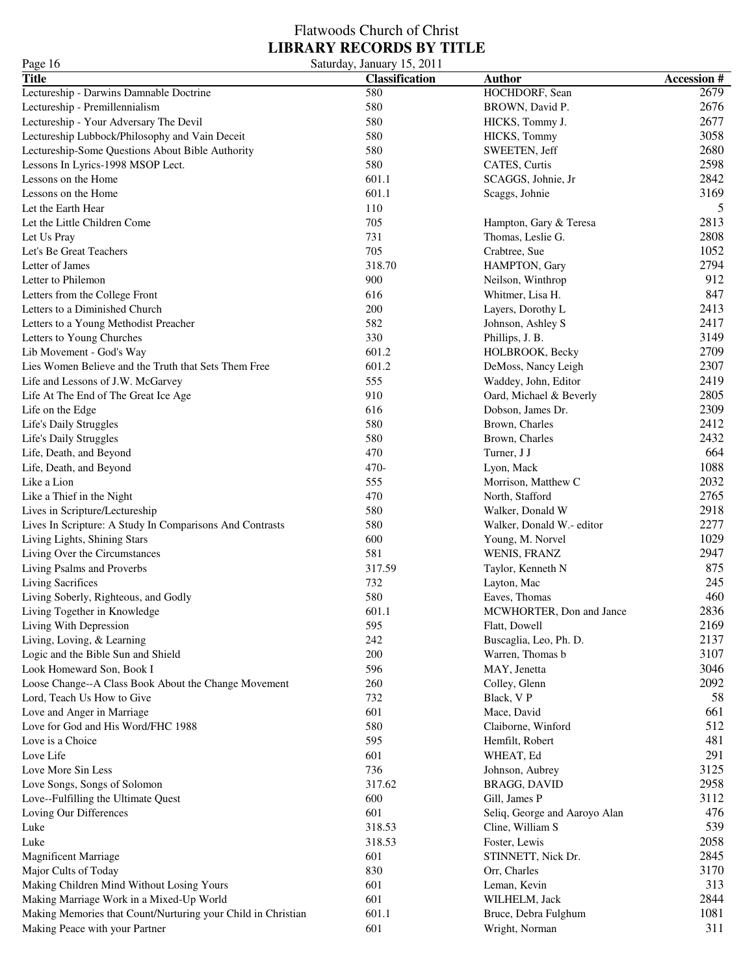### Flatwoods Church of Christ **LIBRARY RECORDS BY TITLE** Page 16 Saturday, January 15, 2011

| 1 agu 10                                                     | Saturuay, Jamiary 19, 2011 |                                  |                   |
|--------------------------------------------------------------|----------------------------|----------------------------------|-------------------|
| <b>Title</b>                                                 | <b>Classification</b>      | <b>Author</b>                    | <b>Accession#</b> |
| Lectureship - Darwins Damnable Doctrine                      | 580                        | HOCHDORF, Sean                   | 2679              |
| Lectureship - Premillennialism                               | 580                        | BROWN, David P.                  | 2676              |
| Lectureship - Your Adversary The Devil                       | 580                        | HICKS, Tommy J.                  | 2677              |
| Lectureship Lubbock/Philosophy and Vain Deceit               | 580                        | HICKS, Tommy                     | 3058              |
| Lectureship-Some Questions About Bible Authority             | 580                        | SWEETEN, Jeff                    | 2680              |
| Lessons In Lyrics-1998 MSOP Lect.                            | 580                        | CATES, Curtis                    | 2598              |
| Lessons on the Home                                          | 601.1                      | SCAGGS, Johnie, Jr               | 2842              |
| Lessons on the Home                                          | 601.1                      | Scaggs, Johnie                   | 3169              |
| Let the Earth Hear                                           | 110                        |                                  | 5                 |
| Let the Little Children Come                                 | 705                        | Hampton, Gary & Teresa           | 2813              |
| Let Us Pray                                                  | 731                        | Thomas, Leslie G.                | 2808              |
| Let's Be Great Teachers                                      | 705                        | Crabtree, Sue                    | 1052              |
| Letter of James                                              | 318.70                     | HAMPTON, Gary                    | 2794              |
| Letter to Philemon                                           | 900                        | Neilson, Winthrop                | 912               |
| Letters from the College Front                               | 616                        | Whitmer, Lisa H.                 | 847               |
| Letters to a Diminished Church                               | 200                        | Layers, Dorothy L                | 2413              |
| Letters to a Young Methodist Preacher                        | 582                        | Johnson, Ashley S                | 2417              |
| Letters to Young Churches                                    | 330                        | Phillips, J. B.                  | 3149              |
| Lib Movement - God's Way                                     | 601.2                      | HOLBROOK, Becky                  | 2709              |
| Lies Women Believe and the Truth that Sets Them Free         | 601.2                      | DeMoss, Nancy Leigh              | 2307              |
| Life and Lessons of J.W. McGarvey                            | 555                        | Waddey, John, Editor             | 2419              |
| Life At The End of The Great Ice Age                         | 910                        | Oard, Michael & Beverly          | 2805              |
| Life on the Edge                                             | 616                        | Dobson, James Dr.                | 2309              |
| Life's Daily Struggles                                       | 580                        | Brown, Charles                   | 2412              |
| Life's Daily Struggles                                       | 580                        | Brown, Charles                   | 2432              |
| Life, Death, and Beyond                                      | 470                        | Turner, J J                      | 664               |
| Life, Death, and Beyond                                      | 470-                       | Lyon, Mack                       | 1088              |
| Like a Lion                                                  | 555                        | Morrison, Matthew C              | 2032              |
| Like a Thief in the Night                                    | 470                        | North, Stafford                  | 2765              |
| Lives in Scripture/Lectureship                               | 580                        | Walker, Donald W                 | 2918              |
| Lives In Scripture: A Study In Comparisons And Contrasts     | 580                        | Walker, Donald W.- editor        | 2277              |
| Living Lights, Shining Stars                                 | 600                        |                                  | 1029              |
| Living Over the Circumstances                                | 581                        | Young, M. Norvel<br>WENIS, FRANZ | 2947              |
| Living Psalms and Proverbs                                   | 317.59                     | Taylor, Kenneth N                | 875               |
| Living Sacrifices                                            | 732                        |                                  | 245               |
|                                                              | 580                        | Layton, Mac                      | 460               |
| Living Soberly, Righteous, and Godly                         |                            | Eaves, Thomas                    |                   |
| Living Together in Knowledge                                 | 601.1                      | MCWHORTER, Don and Jance         | 2836              |
| Living With Depression                                       | 595                        | Flatt, Dowell                    | 2169              |
| Living, Loving, & Learning                                   | 242                        | Buscaglia, Leo, Ph. D.           | 2137              |
| Logic and the Bible Sun and Shield                           | 200                        | Warren, Thomas b                 | 3107              |
| Look Homeward Son, Book I                                    | 596                        | MAY, Jenetta                     | 3046              |
| Loose Change--A Class Book About the Change Movement         | 260                        | Colley, Glenn                    | 2092              |
| Lord, Teach Us How to Give                                   | 732                        | Black, V P                       | 58                |
| Love and Anger in Marriage                                   | 601                        | Mace, David                      | 661               |
| Love for God and His Word/FHC 1988                           | 580                        | Claiborne, Winford               | 512               |
| Love is a Choice                                             | 595                        | Hemfilt, Robert                  | 481               |
| Love Life                                                    | 601                        | WHEAT, Ed                        | 291               |
| Love More Sin Less                                           | 736                        | Johnson, Aubrey                  | 3125              |
| Love Songs, Songs of Solomon                                 | 317.62                     | BRAGG, DAVID                     | 2958              |
| Love--Fulfilling the Ultimate Quest                          | 600                        | Gill, James P                    | 3112              |
| Loving Our Differences                                       | 601                        | Seliq, George and Aaroyo Alan    | 476               |
| Luke                                                         | 318.53                     | Cline, William S                 | 539               |
| Luke                                                         | 318.53                     | Foster, Lewis                    | 2058              |
| <b>Magnificent Marriage</b>                                  | 601                        | STINNETT, Nick Dr.               | 2845              |
| Major Cults of Today                                         | 830                        | Orr, Charles                     | 3170              |
| Making Children Mind Without Losing Yours                    | 601                        | Leman, Kevin                     | 313               |
| Making Marriage Work in a Mixed-Up World                     | 601                        | WILHELM, Jack                    | 2844              |
| Making Memories that Count/Nurturing your Child in Christian | 601.1                      | Bruce, Debra Fulghum             | 1081              |
| Making Peace with your Partner                               | 601                        | Wright, Norman                   | 311               |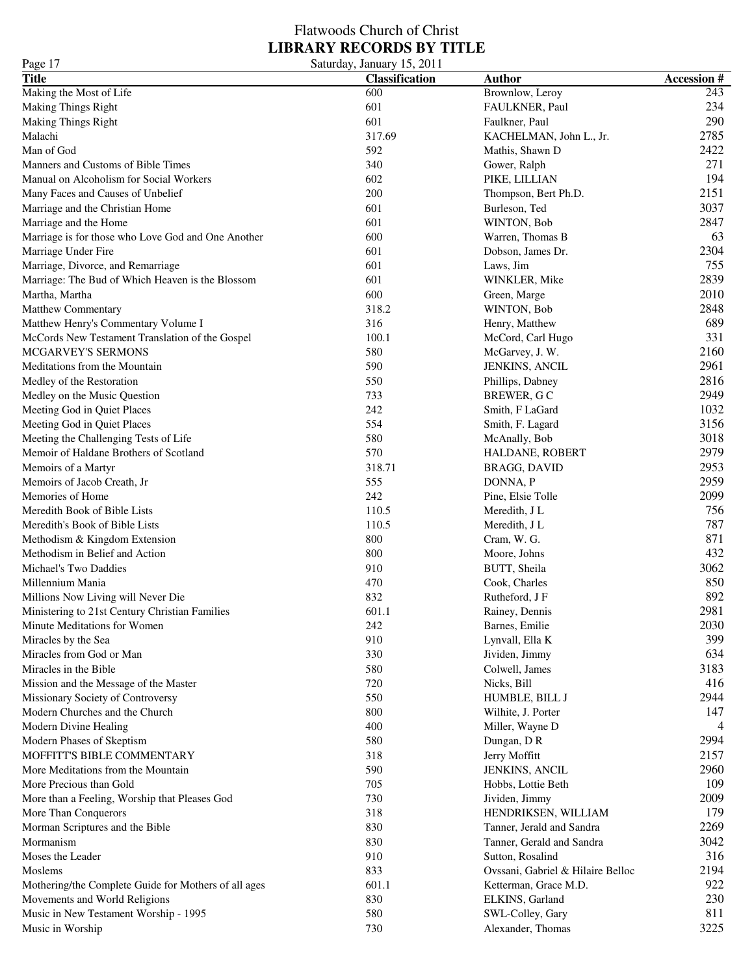### Flatwoods Church of Christ **LIBRARY RECORDS BY TITLE** Page 17 Saturday, January 15, 2011

| 145011<br><b>Title</b>                               | $50$ and $100$ , $100$ , $100$ , $2011$<br><b>Classification</b> | <b>Author</b>                     | <b>Accession#</b> |
|------------------------------------------------------|------------------------------------------------------------------|-----------------------------------|-------------------|
| Making the Most of Life                              | 600                                                              | Brownlow, Leroy                   | 243               |
| <b>Making Things Right</b>                           | 601                                                              | FAULKNER, Paul                    | 234               |
| <b>Making Things Right</b>                           | 601                                                              | Faulkner, Paul                    | 290               |
| Malachi                                              | 317.69                                                           | KACHELMAN, John L., Jr.           | 2785              |
| Man of God                                           | 592                                                              | Mathis, Shawn D                   | 2422              |
| Manners and Customs of Bible Times                   | 340                                                              | Gower, Ralph                      | 271               |
| Manual on Alcoholism for Social Workers              | 602                                                              | PIKE, LILLIAN                     | 194               |
| Many Faces and Causes of Unbelief                    | 200                                                              | Thompson, Bert Ph.D.              | 2151              |
| Marriage and the Christian Home                      | 601                                                              | Burleson, Ted                     | 3037              |
| Marriage and the Home                                | 601                                                              | WINTON, Bob                       | 2847              |
| Marriage is for those who Love God and One Another   | 600                                                              | Warren, Thomas B                  | 63                |
| Marriage Under Fire                                  | 601                                                              | Dobson, James Dr.                 | 2304              |
| Marriage, Divorce, and Remarriage                    | 601                                                              | Laws, Jim                         | 755               |
| Marriage: The Bud of Which Heaven is the Blossom     | 601                                                              | WINKLER, Mike                     | 2839              |
| Martha, Martha                                       | 600                                                              | Green, Marge                      | 2010              |
| Matthew Commentary                                   | 318.2                                                            | WINTON, Bob                       | 2848              |
| Matthew Henry's Commentary Volume I                  | 316                                                              | Henry, Matthew                    | 689               |
| McCords New Testament Translation of the Gospel      | 100.1                                                            | McCord, Carl Hugo                 | 331               |
| MCGARVEY'S SERMONS                                   | 580                                                              | McGarvey, J. W.                   | 2160              |
| Meditations from the Mountain                        | 590                                                              | <b>JENKINS, ANCIL</b>             | 2961              |
| Medley of the Restoration                            | 550                                                              | Phillips, Dabney                  | 2816              |
| Medley on the Music Question                         | 733                                                              | <b>BREWER, GC</b>                 | 2949              |
| Meeting God in Quiet Places                          | 242                                                              | Smith, F LaGard                   | 1032              |
| Meeting God in Quiet Places                          | 554                                                              | Smith, F. Lagard                  | 3156              |
| Meeting the Challenging Tests of Life                | 580                                                              | McAnally, Bob                     | 3018              |
| Memoir of Haldane Brothers of Scotland               | 570                                                              | HALDANE, ROBERT                   | 2979              |
| Memoirs of a Martyr                                  | 318.71                                                           | <b>BRAGG, DAVID</b>               | 2953              |
| Memoirs of Jacob Creath, Jr                          | 555                                                              | DONNA, P                          | 2959              |
| Memories of Home                                     | 242                                                              | Pine, Elsie Tolle                 | 2099              |
| Meredith Book of Bible Lists                         | 110.5                                                            | Meredith, J L                     | 756               |
| Meredith's Book of Bible Lists                       | 110.5                                                            | Meredith, J L                     | 787               |
| Methodism & Kingdom Extension                        | 800                                                              | Cram, W. G.                       | 871               |
| Methodism in Belief and Action                       | 800                                                              | Moore, Johns                      | 432               |
| Michael's Two Daddies                                | 910                                                              | BUTT, Sheila                      | 3062              |
| Millennium Mania                                     | 470                                                              | Cook, Charles                     | 850               |
| Millions Now Living will Never Die                   | 832                                                              | Rutheford, J F                    | 892               |
| Ministering to 21st Century Christian Families       | 601.1                                                            | Rainey, Dennis                    | 2981              |
| Minute Meditations for Women                         | 242                                                              | Barnes, Emilie                    | 2030              |
| Miracles by the Sea                                  | 910                                                              | Lynvall, Ella K                   | 399               |
| Miracles from God or Man                             | 330                                                              | Jividen, Jimmy                    | 634               |
| Miracles in the Bible                                | 580                                                              | Colwell, James                    | 3183              |
| Mission and the Message of the Master                | 720                                                              | Nicks, Bill                       | 416               |
| Missionary Society of Controversy                    | 550                                                              | HUMBLE, BILL J                    | 2944              |
| Modern Churches and the Church                       | 800                                                              | Wilhite, J. Porter                | 147               |
| Modern Divine Healing                                | 400                                                              | Miller, Wayne D                   | 4                 |
| Modern Phases of Skeptism                            | 580                                                              | Dungan, DR                        | 2994              |
| MOFFITT'S BIBLE COMMENTARY                           | 318                                                              | Jerry Moffitt                     | 2157              |
| More Meditations from the Mountain                   | 590                                                              | <b>JENKINS, ANCIL</b>             | 2960              |
| More Precious than Gold                              | 705                                                              | Hobbs, Lottie Beth                | 109               |
| More than a Feeling, Worship that Pleases God        | 730                                                              | Jividen, Jimmy                    | 2009              |
| More Than Conquerors                                 | 318                                                              | HENDRIKSEN, WILLIAM               | 179               |
| Morman Scriptures and the Bible                      | 830                                                              | Tanner, Jerald and Sandra         | 2269              |
| Mormanism                                            | 830                                                              | Tanner, Gerald and Sandra         | 3042              |
| Moses the Leader                                     | 910                                                              | Sutton, Rosalind                  | 316               |
| Moslems                                              | 833                                                              | Ovssani, Gabriel & Hilaire Belloc | 2194              |
| Mothering/the Complete Guide for Mothers of all ages | 601.1                                                            | Ketterman, Grace M.D.             | 922               |
| Movements and World Religions                        | 830                                                              | ELKINS, Garland                   | 230               |
| Music in New Testament Worship - 1995                | 580                                                              | SWL-Colley, Gary                  | 811               |
| Music in Worship                                     | 730                                                              | Alexander, Thomas                 | 3225              |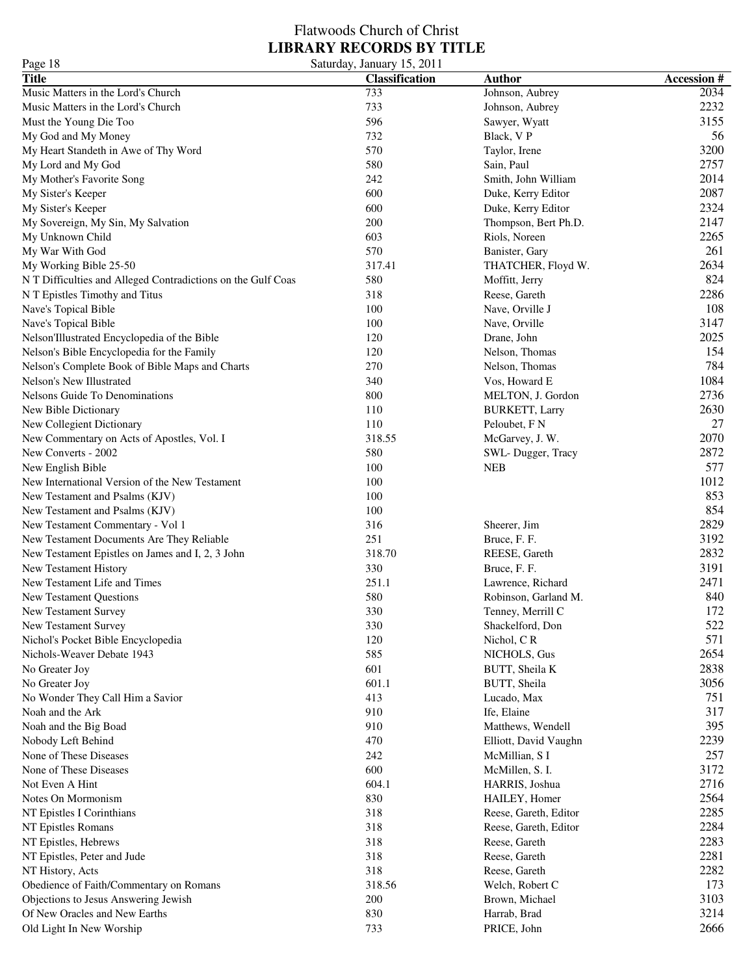| Page 18                                                      | Saturday, January 15, 2011 |                       |                   |
|--------------------------------------------------------------|----------------------------|-----------------------|-------------------|
| <b>Title</b>                                                 | <b>Classification</b>      | <b>Author</b>         | <b>Accession#</b> |
| Music Matters in the Lord's Church                           | 733                        | Johnson, Aubrey       | 2034              |
| Music Matters in the Lord's Church                           | 733                        | Johnson, Aubrey       | 2232              |
| Must the Young Die Too                                       | 596                        | Sawyer, Wyatt         | 3155              |
| My God and My Money                                          | 732                        | Black, VP             | 56                |
| My Heart Standeth in Awe of Thy Word                         | 570                        | Taylor, Irene         | 3200              |
| My Lord and My God                                           | 580                        | Sain, Paul            | 2757              |
| My Mother's Favorite Song                                    | 242                        | Smith, John William   | 2014              |
| My Sister's Keeper                                           | 600                        | Duke, Kerry Editor    | 2087              |
| My Sister's Keeper                                           | 600                        | Duke, Kerry Editor    | 2324              |
| My Sovereign, My Sin, My Salvation                           | 200                        | Thompson, Bert Ph.D.  | 2147              |
| My Unknown Child                                             | 603                        | Riols, Noreen         | 2265              |
| My War With God                                              | 570                        | Banister, Gary        | 261               |
| My Working Bible 25-50                                       | 317.41                     | THATCHER, Floyd W.    | 2634              |
| N T Difficulties and Alleged Contradictions on the Gulf Coas | 580                        | Moffitt, Jerry        | 824               |
|                                                              | 318                        |                       | 2286              |
| N T Epistles Timothy and Titus                               | 100                        | Reese, Gareth         | 108               |
| Nave's Topical Bible                                         |                            | Nave, Orville J       |                   |
| Nave's Topical Bible                                         | 100                        | Nave, Orville         | 3147              |
| Nelson'Illustrated Encyclopedia of the Bible                 | 120                        | Drane, John           | 2025              |
| Nelson's Bible Encyclopedia for the Family                   | 120                        | Nelson, Thomas        | 154               |
| Nelson's Complete Book of Bible Maps and Charts              | 270                        | Nelson, Thomas        | 784               |
| Nelson's New Illustrated                                     | 340                        | Vos, Howard E         | 1084              |
| Nelsons Guide To Denominations                               | 800                        | MELTON, J. Gordon     | 2736              |
| New Bible Dictionary                                         | 110                        | <b>BURKETT, Larry</b> | 2630              |
| New Collegient Dictionary                                    | 110                        | Peloubet, F N         | 27                |
| New Commentary on Acts of Apostles, Vol. I                   | 318.55                     | McGarvey, J. W.       | 2070              |
| New Converts - 2002                                          | 580                        | SWL-Dugger, Tracy     | 2872              |
| New English Bible                                            | 100                        | <b>NEB</b>            | 577               |
| New International Version of the New Testament               | 100                        |                       | 1012              |
| New Testament and Psalms (KJV)                               | 100                        |                       | 853               |
| New Testament and Psalms (KJV)                               | 100                        |                       | 854               |
| New Testament Commentary - Vol 1                             | 316                        | Sheerer, Jim          | 2829              |
| New Testament Documents Are They Reliable                    | 251                        | Bruce, F. F.          | 3192              |
| New Testament Epistles on James and I, 2, 3 John             | 318.70                     | REESE, Gareth         | 2832              |
| New Testament History                                        | 330                        | Bruce, F. F.          | 3191              |
| New Testament Life and Times                                 | 251.1                      | Lawrence, Richard     | 2471              |
| <b>New Testament Questions</b>                               | 580                        | Robinson, Garland M.  | 840               |
| New Testament Survey                                         | 330                        | Tenney, Merrill C     | 172               |
| New Testament Survey                                         | 330                        | Shackelford, Don      | 522               |
| Nichol's Pocket Bible Encyclopedia                           | 120                        | Nichol, CR            | 571               |
| Nichols-Weaver Debate 1943                                   | 585                        | NICHOLS, Gus          | 2654              |
| No Greater Joy                                               | 601                        | BUTT, Sheila K        | 2838              |
|                                                              | 601.1                      | BUTT, Sheila          | 3056              |
| No Greater Joy                                               | 413                        |                       | 751               |
| No Wonder They Call Him a Savior                             | 910                        | Lucado, Max           | 317               |
| Noah and the Ark                                             |                            | Ife, Elaine           |                   |
| Noah and the Big Boad                                        | 910                        | Matthews, Wendell     | 395               |
| Nobody Left Behind                                           | 470                        | Elliott, David Vaughn | 2239              |
| None of These Diseases                                       | 242                        | McMillian, S I        | 257               |
| None of These Diseases                                       | 600                        | McMillen, S. I.       | 3172              |
| Not Even A Hint                                              | 604.1                      | HARRIS, Joshua        | 2716              |
| Notes On Mormonism                                           | 830                        | HAILEY, Homer         | 2564              |
| NT Epistles I Corinthians                                    | 318                        | Reese, Gareth, Editor | 2285              |
| NT Epistles Romans                                           | 318                        | Reese, Gareth, Editor | 2284              |
| NT Epistles, Hebrews                                         | 318                        | Reese, Gareth         | 2283              |
| NT Epistles, Peter and Jude                                  | 318                        | Reese, Gareth         | 2281              |
| NT History, Acts                                             | 318                        | Reese, Gareth         | 2282              |
| Obedience of Faith/Commentary on Romans                      | 318.56                     | Welch, Robert C       | 173               |
| Objections to Jesus Answering Jewish                         | 200                        | Brown, Michael        | 3103              |
| Of New Oracles and New Earths                                | 830                        | Harrab, Brad          | 3214              |
| Old Light In New Worship                                     | 733                        | PRICE, John           | 2666              |
|                                                              |                            |                       |                   |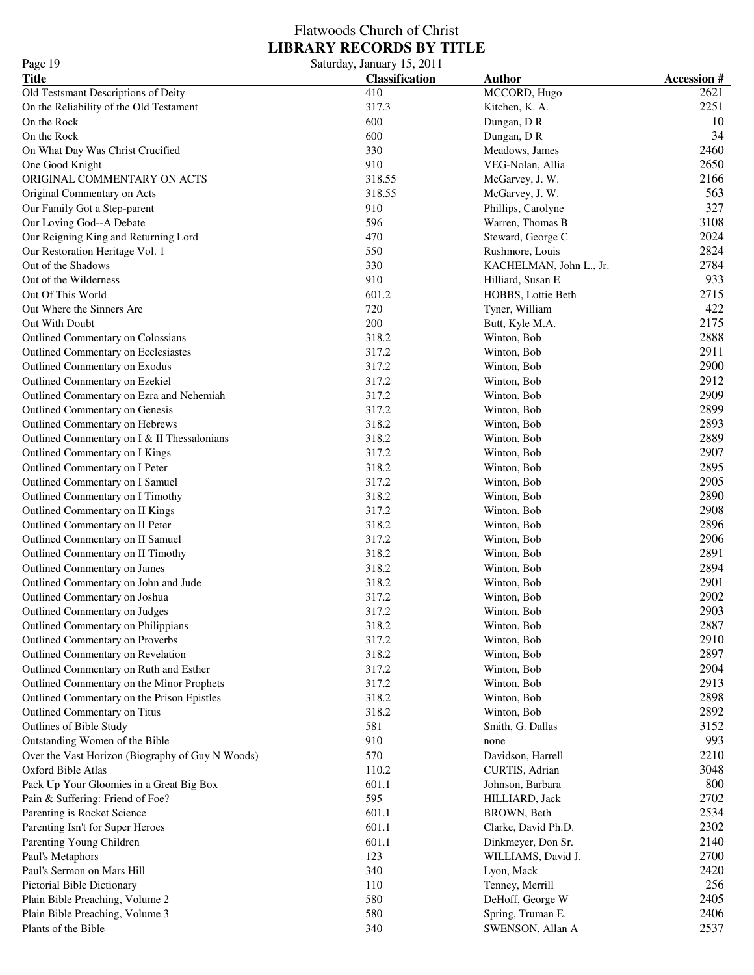| Page 19                                          | Saturday, January 15, 2011 |                         |                   |
|--------------------------------------------------|----------------------------|-------------------------|-------------------|
| <b>Title</b>                                     | <b>Classification</b>      | <b>Author</b>           | <b>Accession#</b> |
| Old Testsmant Descriptions of Deity              | 410                        | MCCORD, Hugo            | 2621              |
| On the Reliability of the Old Testament          | 317.3                      | Kitchen, K. A.          | 2251              |
| On the Rock                                      | 600                        | Dungan, DR              | 10                |
| On the Rock                                      | 600                        | Dungan, DR              | 34                |
| On What Day Was Christ Crucified                 | 330                        | Meadows, James          | 2460              |
| One Good Knight                                  | 910                        | VEG-Nolan, Allia        | 2650              |
| ORIGINAL COMMENTARY ON ACTS                      | 318.55                     | McGarvey, J. W.         | 2166              |
| Original Commentary on Acts                      | 318.55                     | McGarvey, J. W.         | 563               |
| Our Family Got a Step-parent                     | 910                        | Phillips, Carolyne      | 327               |
| Our Loving God--A Debate                         | 596                        | Warren, Thomas B        | 3108              |
| Our Reigning King and Returning Lord             | 470                        | Steward, George C       | 2024              |
| Our Restoration Heritage Vol. 1                  | 550                        | Rushmore, Louis         | 2824              |
| Out of the Shadows                               | 330                        | KACHELMAN, John L., Jr. | 2784              |
| Out of the Wilderness                            | 910                        | Hilliard, Susan E       | 933               |
| Out Of This World                                | 601.2                      | HOBBS, Lottie Beth      | 2715              |
| Out Where the Sinners Are                        | 720                        | Tyner, William          | 422               |
|                                                  |                            |                         | 2175              |
| Out With Doubt                                   | 200                        | Butt, Kyle M.A.         | 2888              |
| Outlined Commentary on Colossians                | 318.2                      | Winton, Bob             |                   |
| Outlined Commentary on Ecclesiastes              | 317.2                      | Winton, Bob             | 2911              |
| Outlined Commentary on Exodus                    | 317.2                      | Winton, Bob             | 2900              |
| Outlined Commentary on Ezekiel                   | 317.2                      | Winton, Bob             | 2912              |
| Outlined Commentary on Ezra and Nehemiah         | 317.2                      | Winton, Bob             | 2909              |
| Outlined Commentary on Genesis                   | 317.2                      | Winton, Bob             | 2899              |
| Outlined Commentary on Hebrews                   | 318.2                      | Winton, Bob             | 2893              |
| Outlined Commentary on I & II Thessalonians      | 318.2                      | Winton, Bob             | 2889              |
| Outlined Commentary on I Kings                   | 317.2                      | Winton, Bob             | 2907              |
| Outlined Commentary on I Peter                   | 318.2                      | Winton, Bob             | 2895              |
| Outlined Commentary on I Samuel                  | 317.2                      | Winton, Bob             | 2905              |
| Outlined Commentary on I Timothy                 | 318.2                      | Winton, Bob             | 2890              |
| Outlined Commentary on II Kings                  | 317.2                      | Winton, Bob             | 2908              |
| Outlined Commentary on II Peter                  | 318.2                      | Winton, Bob             | 2896              |
| Outlined Commentary on II Samuel                 | 317.2                      | Winton, Bob             | 2906              |
| Outlined Commentary on II Timothy                | 318.2                      | Winton, Bob             | 2891              |
| Outlined Commentary on James                     | 318.2                      | Winton, Bob             | 2894              |
| Outlined Commentary on John and Jude             | 318.2                      | Winton, Bob             | 2901              |
| Outlined Commentary on Joshua                    | 317.2                      | Winton, Bob             | 2902              |
| Outlined Commentary on Judges                    | 317.2                      | Winton, Bob             | 2903              |
| Outlined Commentary on Philippians               | 318.2                      | Winton, Bob             | 2887              |
| Outlined Commentary on Proverbs                  | 317.2                      | Winton, Bob             | 2910              |
| Outlined Commentary on Revelation                | 318.2                      | Winton, Bob             | 2897              |
| Outlined Commentary on Ruth and Esther           | 317.2                      | Winton, Bob             | 2904              |
| Outlined Commentary on the Minor Prophets        | 317.2                      | Winton, Bob             | 2913              |
| Outlined Commentary on the Prison Epistles       | 318.2                      | Winton, Bob             | 2898              |
| Outlined Commentary on Titus                     | 318.2                      | Winton, Bob             | 2892              |
| Outlines of Bible Study                          | 581                        | Smith, G. Dallas        | 3152              |
| Outstanding Women of the Bible                   | 910                        | none                    | 993               |
| Over the Vast Horizon (Biography of Guy N Woods) | 570                        | Davidson, Harrell       | 2210              |
| Oxford Bible Atlas                               | 110.2                      | CURTIS, Adrian          | 3048              |
| Pack Up Your Gloomies in a Great Big Box         | 601.1                      | Johnson, Barbara        | 800               |
| Pain & Suffering: Friend of Foe?                 | 595                        | HILLIARD, Jack          | 2702              |
| Parenting is Rocket Science                      | 601.1                      | BROWN, Beth             | 2534              |
| Parenting Isn't for Super Heroes                 | 601.1                      | Clarke, David Ph.D.     | 2302              |
| Parenting Young Children                         | 601.1                      | Dinkmeyer, Don Sr.      | 2140              |
|                                                  | 123                        | WILLIAMS, David J.      | 2700              |
| Paul's Metaphors                                 | 340                        |                         | 2420              |
| Paul's Sermon on Mars Hill                       |                            | Lyon, Mack              | 256               |
| Pictorial Bible Dictionary                       | 110                        | Tenney, Merrill         |                   |
| Plain Bible Preaching, Volume 2                  | 580                        | DeHoff, George W        | 2405              |
| Plain Bible Preaching, Volume 3                  | 580                        | Spring, Truman E.       | 2406              |
| Plants of the Bible                              | 340                        | SWENSON, Allan A        | 2537              |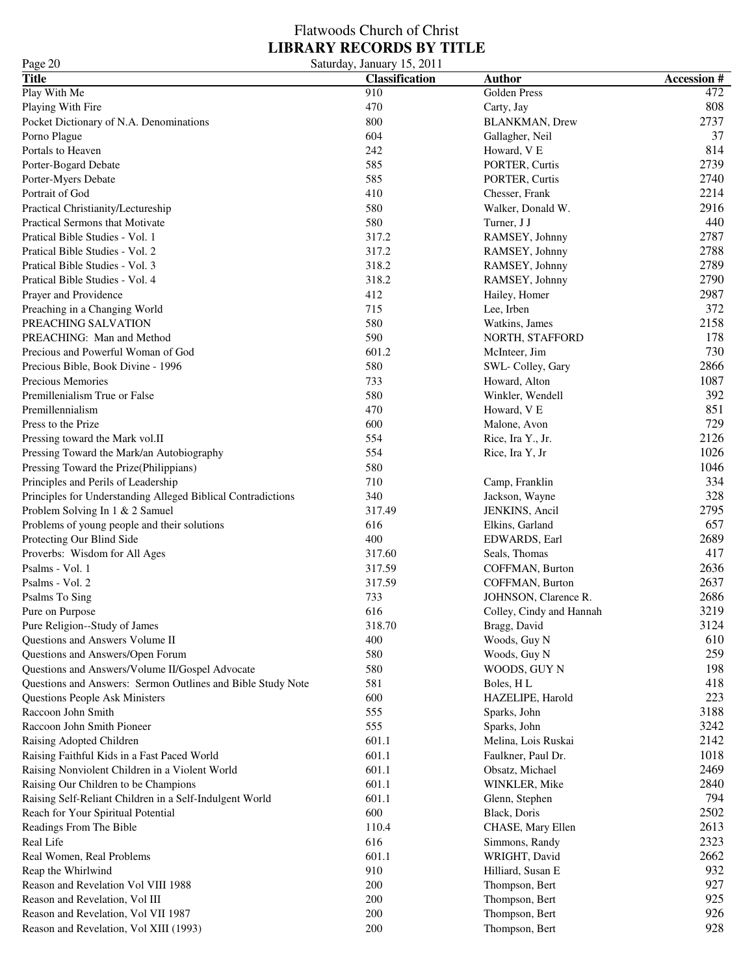| Page 20                                                      | Saturday, January 15, 2011 |                          |                   |
|--------------------------------------------------------------|----------------------------|--------------------------|-------------------|
| <b>Title</b>                                                 | <b>Classification</b>      | <b>Author</b>            | <b>Accession#</b> |
| Play With Me                                                 | 910                        | Golden Press             | 472               |
| Playing With Fire                                            | 470                        | Carty, Jay               | 808               |
| Pocket Dictionary of N.A. Denominations                      | 800                        | <b>BLANKMAN</b> , Drew   | 2737              |
| Porno Plague                                                 | 604                        | Gallagher, Neil          | 37                |
| Portals to Heaven                                            | 242                        | Howard, V E              | 814               |
| Porter-Bogard Debate                                         | 585                        | PORTER, Curtis           | 2739              |
| Porter-Myers Debate                                          | 585                        | PORTER, Curtis           | 2740              |
| Portrait of God                                              | 410                        | Chesser, Frank           | 2214              |
| Practical Christianity/Lectureship                           | 580                        | Walker, Donald W.        | 2916              |
| Practical Sermons that Motivate                              | 580                        | Turner, J J              | 440               |
| Pratical Bible Studies - Vol. 1                              | 317.2                      | RAMSEY, Johnny           | 2787              |
| Pratical Bible Studies - Vol. 2                              | 317.2                      | RAMSEY, Johnny           | 2788              |
| Pratical Bible Studies - Vol. 3                              | 318.2                      | RAMSEY, Johnny           | 2789              |
| Pratical Bible Studies - Vol. 4                              | 318.2                      | RAMSEY, Johnny           | 2790              |
| Prayer and Providence                                        | 412                        | Hailey, Homer            | 2987              |
| Preaching in a Changing World                                | 715                        | Lee, Irben               | 372               |
| PREACHING SALVATION                                          | 580                        | Watkins, James           | 2158              |
| PREACHING: Man and Method                                    | 590                        | NORTH, STAFFORD          | 178               |
| Precious and Powerful Woman of God                           | 601.2                      | McInteer, Jim            | 730               |
| Precious Bible, Book Divine - 1996                           | 580                        | SWL-Colley, Gary         | 2866              |
| Precious Memories                                            | 733                        | Howard, Alton            | 1087              |
| Premillenialism True or False                                | 580                        | Winkler, Wendell         | 392               |
| Premillennialism                                             | 470                        | Howard, V E              | 851               |
| Press to the Prize                                           | 600                        | Malone, Avon             | 729               |
| Pressing toward the Mark vol.II                              | 554                        | Rice, Ira Y., Jr.        | 2126              |
| Pressing Toward the Mark/an Autobiography                    | 554                        | Rice, Ira Y, Jr          | 1026              |
| Pressing Toward the Prize(Philippians)                       | 580                        |                          | 1046              |
| Principles and Perils of Leadership                          | 710                        | Camp, Franklin           | 334               |
| Principles for Understanding Alleged Biblical Contradictions | 340                        | Jackson, Wayne           | 328               |
| Problem Solving In 1 & 2 Samuel                              | 317.49                     | JENKINS, Ancil           | 2795              |
| Problems of young people and their solutions                 | 616                        | Elkins, Garland          | 657               |
| Protecting Our Blind Side                                    | 400                        | EDWARDS, Earl            | 2689              |
| Proverbs: Wisdom for All Ages                                | 317.60                     | Seals, Thomas            | 417               |
| Psalms - Vol. 1                                              | 317.59                     | COFFMAN, Burton          | 2636              |
| Psalms - Vol. 2                                              | 317.59                     | COFFMAN, Burton          | 2637              |
| Psalms To Sing                                               | 733                        | JOHNSON, Clarence R.     | 2686              |
| Pure on Purpose                                              | 616                        | Colley, Cindy and Hannah | 3219              |
| Pure Religion--Study of James                                | 318.70                     | Bragg, David             | 3124              |
| Questions and Answers Volume II                              | 400                        | Woods, Guy N             | 610               |
| Questions and Answers/Open Forum                             | 580                        | Woods, Guy N             | 259               |
| Questions and Answers/Volume II/Gospel Advocate              | 580                        | WOODS, GUY N             | 198               |
| Questions and Answers: Sermon Outlines and Bible Study Note  | 581                        | Boles, HL                | 418               |
| <b>Questions People Ask Ministers</b>                        | 600                        | HAZELIPE, Harold         | 223               |
| Raccoon John Smith                                           | 555                        | Sparks, John             | 3188              |
| Raccoon John Smith Pioneer                                   | 555                        | Sparks, John             | 3242              |
| Raising Adopted Children                                     | 601.1                      | Melina, Lois Ruskai      | 2142              |
| Raising Faithful Kids in a Fast Paced World                  | 601.1                      | Faulkner, Paul Dr.       | 1018              |
| Raising Nonviolent Children in a Violent World               | 601.1                      | Obsatz, Michael          | 2469              |
| Raising Our Children to be Champions                         | 601.1                      | WINKLER, Mike            | 2840              |
| Raising Self-Reliant Children in a Self-Indulgent World      | 601.1                      | Glenn, Stephen           | 794               |
| Reach for Your Spiritual Potential                           | 600                        | Black, Doris             | 2502              |
| Readings From The Bible                                      | 110.4                      | CHASE, Mary Ellen        | 2613              |
| Real Life                                                    | 616                        | Simmons, Randy           | 2323              |
| Real Women, Real Problems                                    | 601.1                      | WRIGHT, David            | 2662              |
| Reap the Whirlwind                                           | 910                        | Hilliard, Susan E        | 932               |
| Reason and Revelation Vol VIII 1988                          | 200                        | Thompson, Bert           | 927               |
| Reason and Revelation, Vol III                               | 200                        | Thompson, Bert           | 925               |
| Reason and Revelation, Vol VII 1987                          | 200                        | Thompson, Bert           | 926               |
| Reason and Revelation, Vol XIII (1993)                       | 200                        | Thompson, Bert           | 928               |
|                                                              |                            |                          |                   |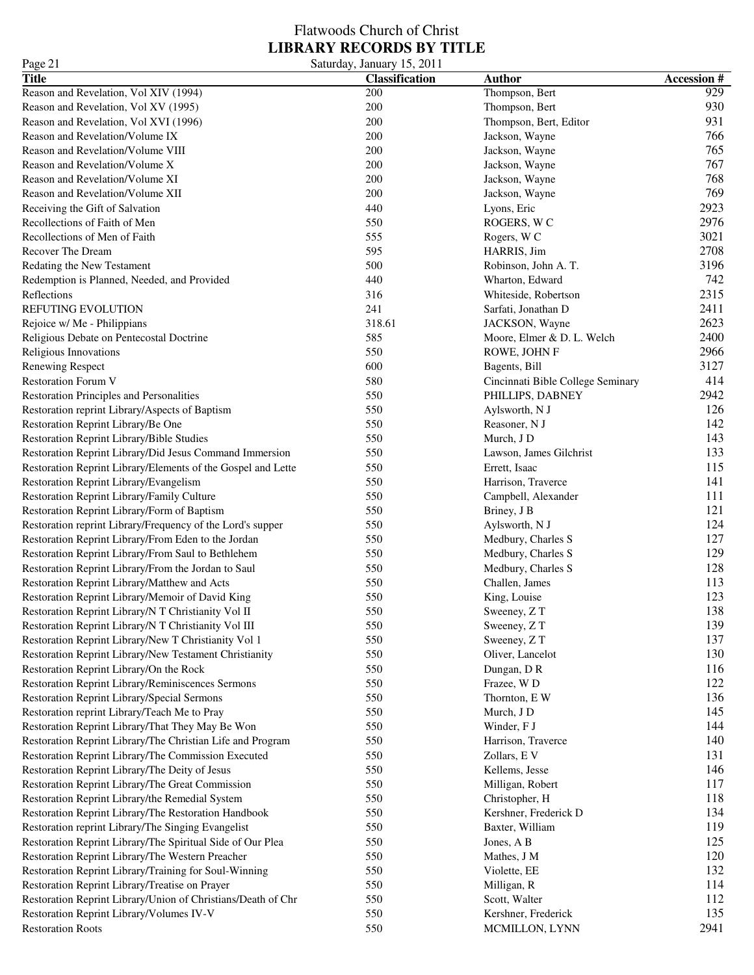### Flatwoods Church of Christ **LIBRARY RECORDS BY TITLE** Page 21 Saturday, January 15, 2011

| <b>Title</b>                                                 | <b>Classification</b> | <b>Author</b>                     | <b>Accession#</b> |
|--------------------------------------------------------------|-----------------------|-----------------------------------|-------------------|
| Reason and Revelation, Vol XIV (1994)                        | 200                   | Thompson, Bert                    | 929               |
| Reason and Revelation, Vol XV (1995)                         | 200                   | Thompson, Bert                    | 930               |
| Reason and Revelation, Vol XVI (1996)                        | 200                   | Thompson, Bert, Editor            | 931               |
| Reason and Revelation/Volume IX                              | 200                   | Jackson, Wayne                    | 766               |
| Reason and Revelation/Volume VIII                            | 200                   | Jackson, Wayne                    | 765               |
| Reason and Revelation/Volume X                               | 200                   | Jackson, Wayne                    | 767               |
| Reason and Revelation/Volume XI                              | 200                   | Jackson, Wayne                    | 768               |
| Reason and Revelation/Volume XII                             | 200                   | Jackson, Wayne                    | 769               |
| Receiving the Gift of Salvation                              | 440                   | Lyons, Eric                       | 2923              |
| Recollections of Faith of Men                                | 550                   | ROGERS, WC                        | 2976              |
| Recollections of Men of Faith                                | 555                   |                                   | 3021              |
| Recover The Dream                                            | 595                   | Rogers, W <sub>C</sub>            | 2708              |
|                                                              |                       | HARRIS, Jim                       |                   |
| Redating the New Testament                                   | 500                   | Robinson, John A. T.              | 3196              |
| Redemption is Planned, Needed, and Provided                  | 440                   | Wharton, Edward                   | 742               |
| Reflections                                                  | 316                   | Whiteside, Robertson              | 2315              |
| REFUTING EVOLUTION                                           | 241                   | Sarfati, Jonathan D               | 2411              |
| Rejoice w/ Me - Philippians                                  | 318.61                | JACKSON, Wayne                    | 2623              |
| Religious Debate on Pentecostal Doctrine                     | 585                   | Moore, Elmer & D. L. Welch        | 2400              |
| Religious Innovations                                        | 550                   | ROWE, JOHN F                      | 2966              |
| Renewing Respect                                             | 600                   | Bagents, Bill                     | 3127              |
| <b>Restoration Forum V</b>                                   | 580                   | Cincinnati Bible College Seminary | 414               |
| Restoration Principles and Personalities                     | 550                   | PHILLIPS, DABNEY                  | 2942              |
| Restoration reprint Library/Aspects of Baptism               | 550                   | Aylsworth, N J                    | 126               |
| Restoration Reprint Library/Be One                           | 550                   | Reasoner, N J                     | 142               |
| Restoration Reprint Library/Bible Studies                    | 550                   | Murch, J D                        | 143               |
| Restoration Reprint Library/Did Jesus Command Immersion      | 550                   | Lawson, James Gilchrist           | 133               |
| Restoration Reprint Library/Elements of the Gospel and Lette | 550                   | Errett, Isaac                     | 115               |
| Restoration Reprint Library/Evangelism                       | 550                   | Harrison, Traverce                | 141               |
| Restoration Reprint Library/Family Culture                   | 550                   | Campbell, Alexander               | 111               |
| Restoration Reprint Library/Form of Baptism                  | 550                   | Briney, J B                       | 121               |
| Restoration reprint Library/Frequency of the Lord's supper   | 550                   | Aylsworth, N J                    | 124               |
| Restoration Reprint Library/From Eden to the Jordan          | 550                   | Medbury, Charles S                | 127               |
| Restoration Reprint Library/From Saul to Bethlehem           | 550                   | Medbury, Charles S                | 129               |
|                                                              |                       | Medbury, Charles S                | 128               |
| Restoration Reprint Library/From the Jordan to Saul          | 550                   |                                   |                   |
| Restoration Reprint Library/Matthew and Acts                 | 550                   | Challen, James                    | 113               |
| Restoration Reprint Library/Memoir of David King             | 550                   | King, Louise                      | 123               |
| Restoration Reprint Library/N T Christianity Vol II          | 550                   | Sweeney, ZT                       | 138               |
| Restoration Reprint Library/N T Christianity Vol III         | 550                   | Sweeney, ZT                       | 139               |
| Restoration Reprint Library/New T Christianity Vol 1         | 550                   | Sweeney, ZT                       | 137               |
| Restoration Reprint Library/New Testament Christianity       | 550                   | Oliver, Lancelot                  | 130               |
| Restoration Reprint Library/On the Rock                      | 550                   | Dungan, DR                        | 116               |
| Restoration Reprint Library/Reminiscences Sermons            | 550                   | Frazee, WD                        | 122               |
| Restoration Reprint Library/Special Sermons                  | 550                   | Thornton, EW                      | 136               |
| Restoration reprint Library/Teach Me to Pray                 | 550                   | Murch, J D                        | 145               |
| Restoration Reprint Library/That They May Be Won             | 550                   | Winder, F J                       | 144               |
| Restoration Reprint Library/The Christian Life and Program   | 550                   | Harrison, Traverce                | 140               |
| Restoration Reprint Library/The Commission Executed          | 550                   | Zollars, E V                      | 131               |
| Restoration Reprint Library/The Deity of Jesus               | 550                   | Kellems, Jesse                    | 146               |
| Restoration Reprint Library/The Great Commission             | 550                   | Milligan, Robert                  | 117               |
| Restoration Reprint Library/the Remedial System              | 550                   | Christopher, H                    | 118               |
| Restoration Reprint Library/The Restoration Handbook         | 550                   | Kershner, Frederick D             | 134               |
| Restoration reprint Library/The Singing Evangelist           | 550                   | Baxter, William                   | 119               |
| Restoration Reprint Library/The Spiritual Side of Our Plea   | 550                   | Jones, A B                        | 125               |
| Restoration Reprint Library/The Western Preacher             | 550                   |                                   | 120               |
|                                                              | 550                   | Mathes, J M                       | 132               |
| Restoration Reprint Library/Training for Soul-Winning        |                       | Violette, EE                      |                   |
| Restoration Reprint Library/Treatise on Prayer               | 550                   | Milligan, R                       | 114               |
| Restoration Reprint Library/Union of Christians/Death of Chr | 550                   | Scott, Walter                     | 112               |
| Restoration Reprint Library/Volumes IV-V                     | 550                   | Kershner, Frederick               | 135               |
| <b>Restoration Roots</b>                                     | 550                   | MCMILLON, LYNN                    | 2941              |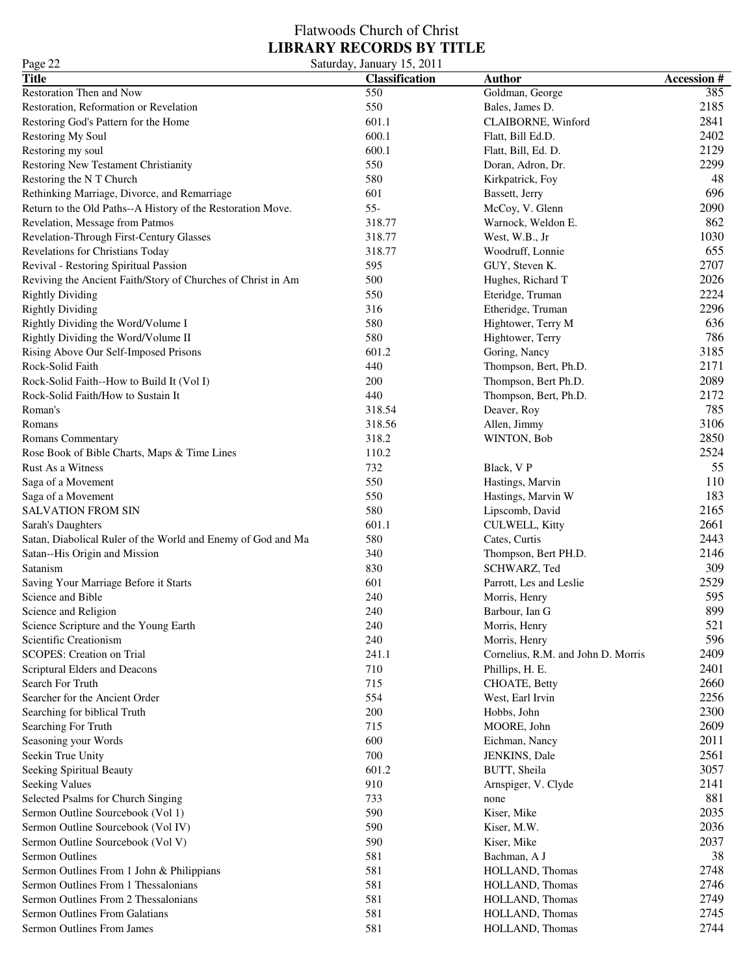| Page 22                                                      | Saturday, January 15, 2011 |                                    |                   |
|--------------------------------------------------------------|----------------------------|------------------------------------|-------------------|
| <b>Title</b>                                                 | <b>Classification</b>      | <b>Author</b>                      | <b>Accession#</b> |
| Restoration Then and Now                                     | 550                        | Goldman, George                    | 385               |
| Restoration, Reformation or Revelation                       | 550                        | Bales, James D.                    | 2185              |
| Restoring God's Pattern for the Home                         | 601.1                      | CLAIBORNE, Winford                 | 2841              |
| Restoring My Soul                                            | 600.1                      | Flatt, Bill Ed.D.                  | 2402              |
| Restoring my soul                                            | 600.1                      | Flatt, Bill, Ed. D.                | 2129              |
| Restoring New Testament Christianity                         | 550                        | Doran, Adron, Dr.                  | 2299              |
| Restoring the NT Church                                      | 580                        | Kirkpatrick, Foy                   | 48                |
| Rethinking Marriage, Divorce, and Remarriage                 | 601                        | Bassett, Jerry                     | 696               |
| Return to the Old Paths--A History of the Restoration Move.  | $55 -$                     | McCoy, V. Glenn                    | 2090              |
| Revelation, Message from Patmos                              | 318.77                     | Warnock, Weldon E.                 | 862               |
| Revelation-Through First-Century Glasses                     | 318.77                     | West, W.B., Jr                     | 1030              |
| Revelations for Christians Today                             | 318.77                     | Woodruff, Lonnie                   | 655               |
| Revival - Restoring Spiritual Passion                        | 595                        | GUY, Steven K.                     | 2707              |
| Reviving the Ancient Faith/Story of Churches of Christ in Am | 500                        | Hughes, Richard T                  | 2026              |
| <b>Rightly Dividing</b>                                      | 550                        | Eteridge, Truman                   | 2224              |
| <b>Rightly Dividing</b>                                      | 316                        | Etheridge, Truman                  | 2296              |
| Rightly Dividing the Word/Volume I                           | 580                        | Hightower, Terry M                 | 636               |
| Rightly Dividing the Word/Volume II                          | 580                        | Hightower, Terry                   | 786               |
| Rising Above Our Self-Imposed Prisons                        | 601.2                      | Goring, Nancy                      | 3185              |
| Rock-Solid Faith                                             | 440                        | Thompson, Bert, Ph.D.              | 2171              |
| Rock-Solid Faith--How to Build It (Vol I)                    | 200                        | Thompson, Bert Ph.D.               | 2089              |
| Rock-Solid Faith/How to Sustain It                           | 440                        | Thompson, Bert, Ph.D.              | 2172              |
| Roman's                                                      | 318.54                     | Deaver, Roy                        | 785               |
| Romans                                                       | 318.56                     | Allen, Jimmy                       | 3106              |
| Romans Commentary                                            | 318.2                      | WINTON, Bob                        | 2850              |
| Rose Book of Bible Charts, Maps & Time Lines                 | 110.2                      |                                    | 2524              |
| Rust As a Witness                                            | 732                        | Black, VP                          | 55                |
| Saga of a Movement                                           | 550                        | Hastings, Marvin                   | 110               |
| Saga of a Movement                                           | 550                        | Hastings, Marvin W                 | 183               |
| <b>SALVATION FROM SIN</b>                                    | 580                        | Lipscomb, David                    | 2165              |
| Sarah's Daughters                                            | 601.1                      | CULWELL, Kitty                     | 2661              |
| Satan, Diabolical Ruler of the World and Enemy of God and Ma | 580                        | Cates, Curtis                      | 2443              |
| Satan--His Origin and Mission                                | 340                        | Thompson, Bert PH.D.               | 2146              |
| Satanism                                                     | 830                        | SCHWARZ, Ted                       | 309               |
| Saving Your Marriage Before it Starts                        | 601                        | Parrott, Les and Leslie            | 2529              |
| Science and Bible                                            | 240                        | Morris, Henry                      | 595               |
| Science and Religion                                         | 240                        | Barbour, Ian G                     | 899               |
| Science Scripture and the Young Earth                        | 240                        | Morris, Henry                      | 521               |
| Scientific Creationism                                       | 240                        | Morris, Henry                      | 596               |
| SCOPES: Creation on Trial                                    | 241.1                      | Cornelius, R.M. and John D. Morris | 2409              |
| Scriptural Elders and Deacons                                | 710                        | Phillips, H. E.                    | 2401              |
| Search For Truth                                             | 715                        | CHOATE, Betty                      | 2660              |
| Searcher for the Ancient Order                               | 554                        | West, Earl Irvin                   | 2256              |
| Searching for biblical Truth                                 | 200                        | Hobbs, John                        | 2300              |
| Searching For Truth                                          | 715                        | MOORE, John                        | 2609              |
| Seasoning your Words                                         | 600                        | Eichman, Nancy                     | 2011              |
| Seekin True Unity                                            | 700                        | <b>JENKINS</b> , Dale              | 2561              |
| Seeking Spiritual Beauty                                     | 601.2                      | BUTT, Sheila                       | 3057              |
| <b>Seeking Values</b>                                        | 910                        | Arnspiger, V. Clyde                | 2141              |
| Selected Psalms for Church Singing                           | 733                        | none                               | 881               |
| Sermon Outline Sourcebook (Vol 1)                            | 590                        | Kiser, Mike                        | 2035              |
| Sermon Outline Sourcebook (Vol IV)                           | 590                        | Kiser, M.W.                        | 2036              |
| Sermon Outline Sourcebook (Vol V)                            | 590                        | Kiser, Mike                        | 2037              |
| Sermon Outlines                                              | 581                        | Bachman, A J                       | 38                |
| Sermon Outlines From 1 John & Philippians                    | 581                        | HOLLAND, Thomas                    | 2748              |
| Sermon Outlines From 1 Thessalonians                         | 581                        | HOLLAND, Thomas                    | 2746              |
| Sermon Outlines From 2 Thessalonians                         | 581                        | HOLLAND, Thomas                    | 2749              |
| <b>Sermon Outlines From Galatians</b>                        | 581                        | HOLLAND, Thomas                    | 2745              |
| Sermon Outlines From James                                   | 581                        | HOLLAND, Thomas                    | 2744              |
|                                                              |                            |                                    |                   |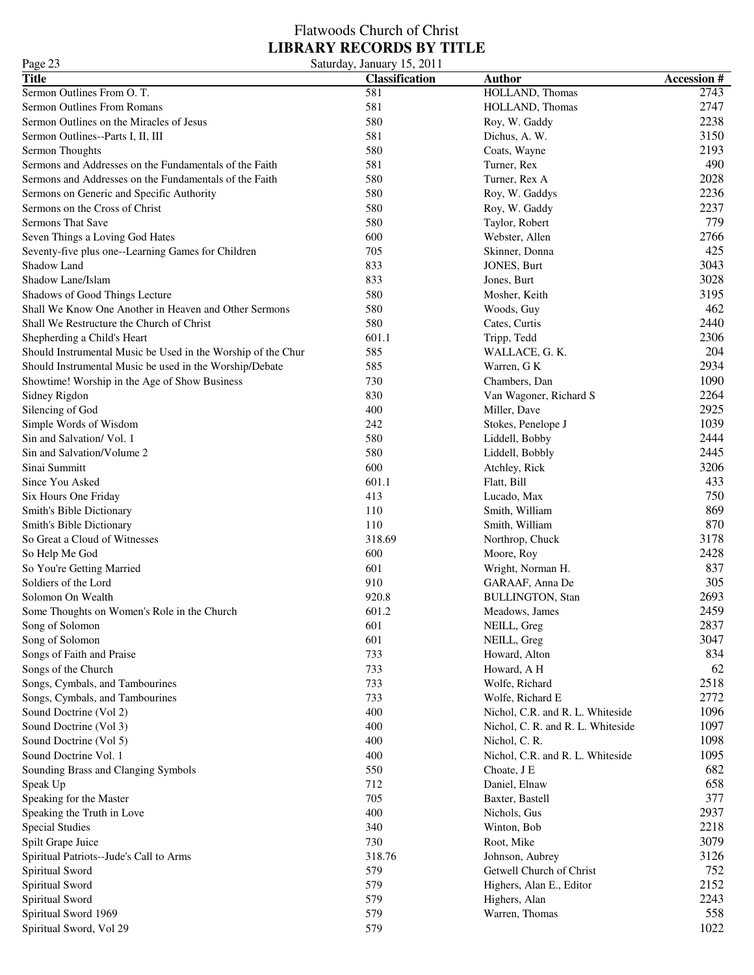### Flatwoods Church of Christ **LIBRARY RECORDS BY TITLE** Page 23 Saturday, January 15, 2011

| $\log 20$                                                    | $\cup$ alurua $\mathbf{y}, \mathbf{y}$ andar $\mathbf{y}$ 19, 2011 |                                   |                   |
|--------------------------------------------------------------|--------------------------------------------------------------------|-----------------------------------|-------------------|
| <b>Title</b>                                                 | <b>Classification</b>                                              | <b>Author</b>                     | <b>Accession#</b> |
| Sermon Outlines From O.T.                                    | 581                                                                | HOLLAND, Thomas                   | 2743              |
| Sermon Outlines From Romans                                  | 581                                                                | HOLLAND, Thomas                   | 2747              |
| Sermon Outlines on the Miracles of Jesus                     | 580                                                                | Roy, W. Gaddy                     | 2238              |
| Sermon Outlines--Parts I, II, III                            | 581                                                                | Dichus, A. W.                     | 3150              |
| Sermon Thoughts                                              | 580                                                                | Coats, Wayne                      | 2193              |
| Sermons and Addresses on the Fundamentals of the Faith       | 581                                                                | Turner, Rex                       | 490               |
| Sermons and Addresses on the Fundamentals of the Faith       | 580                                                                | Turner, Rex A                     | 2028              |
| Sermons on Generic and Specific Authority                    | 580                                                                | Roy, W. Gaddys                    | 2236              |
| Sermons on the Cross of Christ                               | 580                                                                | Roy, W. Gaddy                     | 2237              |
| Sermons That Save                                            | 580                                                                | Taylor, Robert                    | 779               |
| Seven Things a Loving God Hates                              | 600                                                                | Webster, Allen                    | 2766              |
| Seventy-five plus one--Learning Games for Children           | 705                                                                | Skinner, Donna                    | 425               |
| Shadow Land                                                  | 833                                                                | JONES, Burt                       | 3043              |
| Shadow Lane/Islam                                            | 833                                                                | Jones, Burt                       | 3028              |
| Shadows of Good Things Lecture                               | 580                                                                | Mosher, Keith                     | 3195              |
| Shall We Know One Another in Heaven and Other Sermons        | 580                                                                | Woods, Guy                        | 462               |
| Shall We Restructure the Church of Christ                    | 580                                                                | Cates, Curtis                     | 2440              |
| Shepherding a Child's Heart                                  | 601.1                                                              | Tripp, Tedd                       | 2306              |
| Should Instrumental Music be Used in the Worship of the Chur | 585                                                                | WALLACE, G. K.                    | 204               |
| Should Instrumental Music be used in the Worship/Debate      | 585                                                                | Warren, G K                       | 2934              |
| Showtime! Worship in the Age of Show Business                | 730                                                                | Chambers, Dan                     | 1090              |
| Sidney Rigdon                                                | 830                                                                | Van Wagoner, Richard S            | 2264              |
| Silencing of God                                             | 400                                                                | Miller, Dave                      | 2925              |
| Simple Words of Wisdom                                       | 242                                                                | Stokes, Penelope J                | 1039              |
| Sin and Salvation/Vol. 1                                     | 580                                                                | Liddell, Bobby                    | 2444              |
| Sin and Salvation/Volume 2                                   | 580                                                                | Liddell, Bobbly                   | 2445              |
| Sinai Summitt                                                | 600                                                                | Atchley, Rick                     | 3206              |
| Since You Asked                                              | 601.1                                                              | Flatt, Bill                       | 433               |
| Six Hours One Friday                                         | 413                                                                | Lucado, Max                       | 750               |
| Smith's Bible Dictionary                                     | 110                                                                | Smith, William                    | 869               |
| Smith's Bible Dictionary                                     | 110                                                                | Smith, William                    | 870               |
| So Great a Cloud of Witnesses                                | 318.69                                                             | Northrop, Chuck                   | 3178              |
| So Help Me God                                               | 600                                                                | Moore, Roy                        | 2428              |
| So You're Getting Married                                    | 601                                                                | Wright, Norman H.                 | 837               |
| Soldiers of the Lord                                         | 910                                                                | GARAAF, Anna De                   | 305               |
| Solomon On Wealth                                            | 920.8                                                              | <b>BULLINGTON, Stan</b>           | 2693              |
| Some Thoughts on Women's Role in the Church                  | 601.2                                                              | Meadows, James                    | 2459              |
| Song of Solomon                                              | 601                                                                | NEILL, Greg                       | 2837              |
| Song of Solomon                                              | 601                                                                | NEILL, Greg                       | 3047              |
| Songs of Faith and Praise                                    | 733                                                                | Howard, Alton                     | 834               |
| Songs of the Church                                          | 733                                                                | Howard, A H                       | 62                |
| Songs, Cymbals, and Tambourines                              | 733                                                                | Wolfe, Richard                    | 2518              |
| Songs, Cymbals, and Tambourines                              | 733                                                                | Wolfe, Richard E                  | 2772              |
| Sound Doctrine (Vol 2)                                       | 400                                                                | Nichol, C.R. and R. L. Whiteside  | 1096              |
| Sound Doctrine (Vol 3)                                       | 400                                                                | Nichol, C. R. and R. L. Whiteside | 1097              |
| Sound Doctrine (Vol 5)                                       | 400                                                                | Nichol, C. R.                     | 1098              |
| Sound Doctrine Vol. 1                                        | 400                                                                | Nichol, C.R. and R. L. Whiteside  | 1095              |
| Sounding Brass and Clanging Symbols                          | 550                                                                | Choate, J E                       | 682               |
| Speak Up                                                     | 712                                                                | Daniel, Elnaw                     | 658               |
| Speaking for the Master                                      | 705                                                                | Baxter, Bastell                   | 377               |
| Speaking the Truth in Love                                   | 400                                                                | Nichols, Gus                      | 2937              |
| <b>Special Studies</b>                                       | 340                                                                | Winton, Bob                       | 2218              |
| Spilt Grape Juice                                            | 730                                                                | Root, Mike                        | 3079              |
| Spiritual Patriots--Jude's Call to Arms                      | 318.76                                                             | Johnson, Aubrey                   | 3126              |
| Spiritual Sword                                              | 579                                                                | Getwell Church of Christ          | 752               |
| Spiritual Sword                                              | 579                                                                | Highers, Alan E., Editor          | 2152              |
| Spiritual Sword                                              | 579                                                                | Highers, Alan                     | 2243              |
| Spiritual Sword 1969                                         | 579                                                                | Warren, Thomas                    | 558               |
|                                                              | 579                                                                |                                   | 1022              |
| Spiritual Sword, Vol 29                                      |                                                                    |                                   |                   |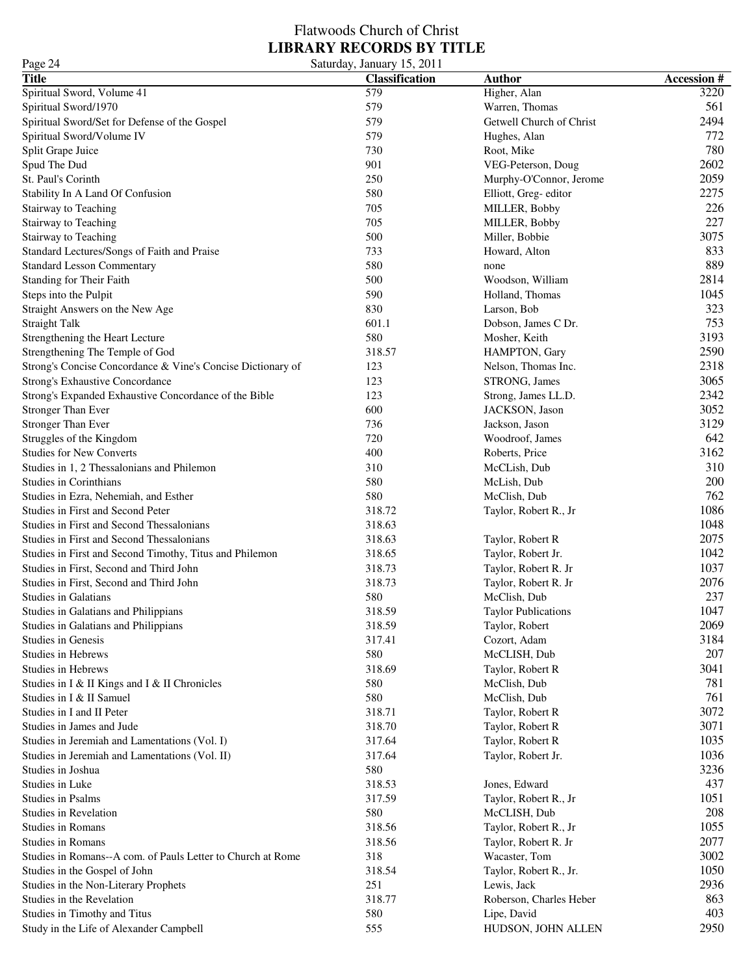| Page 24                                                     | Saturday, January 15, 2011 |                            |                   |
|-------------------------------------------------------------|----------------------------|----------------------------|-------------------|
| <b>Title</b>                                                | <b>Classification</b>      | <b>Author</b>              | <b>Accession#</b> |
| Spiritual Sword, Volume 41                                  | 579                        | Higher, Alan               | 3220              |
| Spiritual Sword/1970                                        | 579                        | Warren, Thomas             | 561               |
| Spiritual Sword/Set for Defense of the Gospel               | 579                        | Getwell Church of Christ   | 2494              |
| Spiritual Sword/Volume IV                                   | 579                        | Hughes, Alan               | 772               |
| Split Grape Juice                                           | 730                        | Root, Mike                 | 780               |
| Spud The Dud                                                | 901                        | VEG-Peterson, Doug         | 2602              |
| St. Paul's Corinth                                          | 250                        | Murphy-O'Connor, Jerome    | 2059              |
| Stability In A Land Of Confusion                            | 580                        | Elliott, Greg-editor       | 2275              |
| Stairway to Teaching                                        | 705                        | MILLER, Bobby              | 226               |
| Stairway to Teaching                                        | 705                        | MILLER, Bobby              | 227               |
| Stairway to Teaching                                        | 500                        | Miller, Bobbie             | 3075              |
| Standard Lectures/Songs of Faith and Praise                 | 733                        | Howard, Alton              | 833               |
| <b>Standard Lesson Commentary</b>                           | 580                        | none                       | 889               |
| Standing for Their Faith                                    | 500                        | Woodson, William           | 2814              |
| Steps into the Pulpit                                       | 590                        | Holland, Thomas            | 1045              |
|                                                             | 830                        |                            | 323               |
| Straight Answers on the New Age                             |                            | Larson, Bob                | 753               |
| <b>Straight Talk</b>                                        | 601.1                      | Dobson, James C Dr.        |                   |
| Strengthening the Heart Lecture                             | 580                        | Mosher, Keith              | 3193              |
| Strengthening The Temple of God                             | 318.57                     | HAMPTON, Gary              | 2590              |
| Strong's Concise Concordance & Vine's Concise Dictionary of | 123                        | Nelson, Thomas Inc.        | 2318              |
| Strong's Exhaustive Concordance                             | 123                        | STRONG, James              | 3065              |
| Strong's Expanded Exhaustive Concordance of the Bible       | 123                        | Strong, James LL.D.        | 2342              |
| <b>Stronger Than Ever</b>                                   | 600                        | JACKSON, Jason             | 3052              |
| <b>Stronger Than Ever</b>                                   | 736                        | Jackson, Jason             | 3129              |
| Struggles of the Kingdom                                    | 720                        | Woodroof, James            | 642               |
| <b>Studies for New Converts</b>                             | 400                        | Roberts, Price             | 3162              |
| Studies in 1, 2 Thessalonians and Philemon                  | 310                        | McCLish, Dub               | 310               |
| Studies in Corinthians                                      | 580                        | McLish, Dub                | 200               |
| Studies in Ezra, Nehemiah, and Esther                       | 580                        | McClish, Dub               | 762               |
| Studies in First and Second Peter                           | 318.72                     | Taylor, Robert R., Jr      | 1086              |
| Studies in First and Second Thessalonians                   | 318.63                     |                            | 1048              |
| Studies in First and Second Thessalonians                   | 318.63                     | Taylor, Robert R           | 2075              |
| Studies in First and Second Timothy, Titus and Philemon     | 318.65                     | Taylor, Robert Jr.         | 1042              |
| Studies in First, Second and Third John                     | 318.73                     | Taylor, Robert R. Jr       | 1037              |
| Studies in First, Second and Third John                     | 318.73                     | Taylor, Robert R. Jr       | 2076              |
| <b>Studies in Galatians</b>                                 | 580                        | McClish, Dub               | 237               |
| Studies in Galatians and Philippians                        | 318.59                     | <b>Taylor Publications</b> | 1047              |
| Studies in Galatians and Philippians                        | 318.59                     | Taylor, Robert             | 2069              |
| <b>Studies in Genesis</b>                                   | 317.41                     | Cozort, Adam               | 3184              |
| <b>Studies in Hebrews</b>                                   | 580                        | McCLISH, Dub               | 207               |
| <b>Studies in Hebrews</b>                                   | 318.69                     | Taylor, Robert R           | 3041              |
| Studies in I & II Kings and I & II Chronicles               | 580                        | McClish, Dub               | 781               |
| Studies in I & II Samuel                                    | 580                        | McClish, Dub               | 761               |
| Studies in I and II Peter                                   | 318.71                     | Taylor, Robert R           | 3072              |
| Studies in James and Jude                                   | 318.70                     | Taylor, Robert R           | 3071              |
| Studies in Jeremiah and Lamentations (Vol. I)               | 317.64                     | Taylor, Robert R           | 1035              |
| Studies in Jeremiah and Lamentations (Vol. II)              | 317.64                     | Taylor, Robert Jr.         | 1036              |
| Studies in Joshua                                           | 580                        |                            | 3236              |
| Studies in Luke                                             | 318.53                     | Jones, Edward              | 437               |
| <b>Studies in Psalms</b>                                    | 317.59                     | Taylor, Robert R., Jr      | 1051              |
| Studies in Revelation                                       | 580                        | McCLISH, Dub               | 208               |
| <b>Studies in Romans</b>                                    | 318.56                     | Taylor, Robert R., Jr      | 1055              |
| <b>Studies in Romans</b>                                    | 318.56                     | Taylor, Robert R. Jr       | 2077              |
| Studies in Romans--A com. of Pauls Letter to Church at Rome | 318                        | Wacaster, Tom              | 3002              |
|                                                             | 318.54                     | Taylor, Robert R., Jr.     | 1050              |
| Studies in the Gospel of John                               | 251                        |                            | 2936              |
| Studies in the Non-Literary Prophets                        |                            | Lewis, Jack                |                   |
| Studies in the Revelation                                   | 318.77                     | Roberson, Charles Heber    | 863               |
| Studies in Timothy and Titus                                | 580                        | Lipe, David                | 403               |
| Study in the Life of Alexander Campbell                     | 555                        | HUDSON, JOHN ALLEN         | 2950              |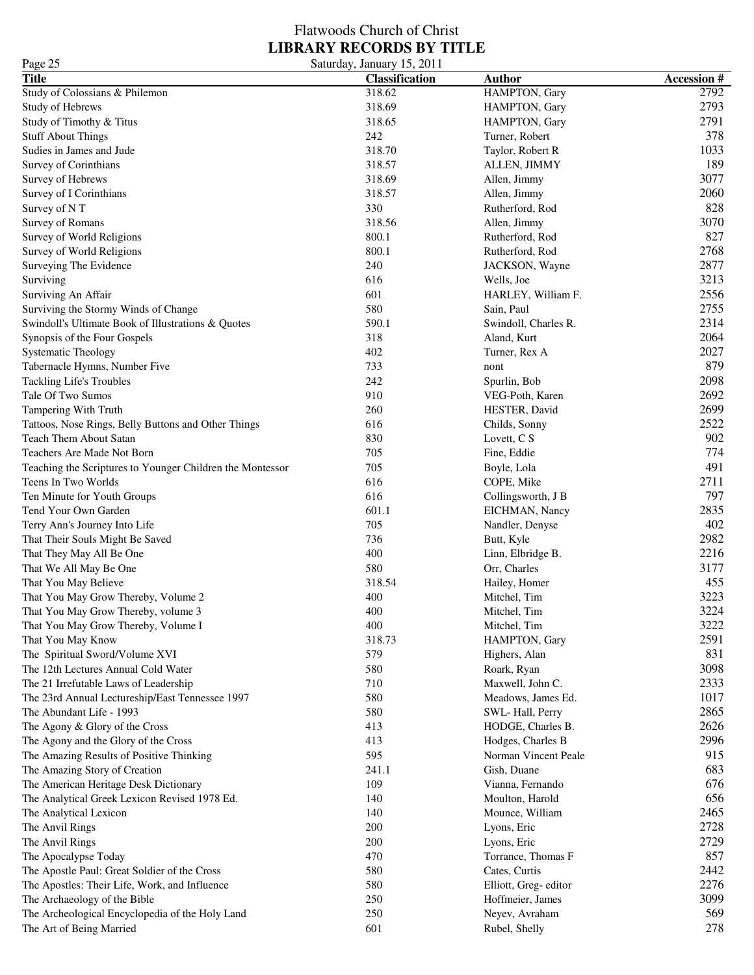### Flatwoods Church of Christ **LIBRARY RECORDS BY TITLE** Page 25 Saturday, January 15, 2011

| $I \, \text{age}$ 2.3                                     | Saturuay, January 19, 2011 |                      |                   |
|-----------------------------------------------------------|----------------------------|----------------------|-------------------|
| <b>Title</b>                                              | <b>Classification</b>      | <b>Author</b>        | <b>Accession#</b> |
| Study of Colossians & Philemon                            | 318.62                     | HAMPTON, Gary        | 2792              |
| Study of Hebrews                                          | 318.69                     | HAMPTON, Gary        | 2793              |
| Study of Timothy & Titus                                  | 318.65                     | HAMPTON, Gary        | 2791              |
| <b>Stuff About Things</b>                                 | 242                        | Turner, Robert       | 378               |
| Sudies in James and Jude                                  | 318.70                     | Taylor, Robert R     | 1033              |
| Survey of Corinthians                                     | 318.57                     | ALLEN, JIMMY         | 189               |
| Survey of Hebrews                                         | 318.69                     | Allen, Jimmy         | 3077              |
| Survey of I Corinthians                                   | 318.57                     | Allen, Jimmy         | 2060              |
| Survey of NT                                              | 330                        | Rutherford, Rod      | 828               |
| Survey of Romans                                          | 318.56                     | Allen, Jimmy         | 3070              |
| Survey of World Religions                                 | 800.1                      | Rutherford, Rod      | 827               |
| Survey of World Religions                                 | 800.1                      | Rutherford, Rod      | 2768              |
| Surveying The Evidence                                    | 240                        | JACKSON, Wayne       | 2877              |
| Surviving                                                 | 616                        | Wells, Joe           | 3213              |
| Surviving An Affair                                       | 601                        | HARLEY, William F.   | 2556              |
| Surviving the Stormy Winds of Change                      | 580                        | Sain, Paul           | 2755              |
| Swindoll's Ultimate Book of Illustrations & Quotes        | 590.1                      | Swindoll, Charles R. | 2314              |
| Synopsis of the Four Gospels                              | 318                        | Aland, Kurt          | 2064              |
| <b>Systematic Theology</b>                                | 402                        | Turner, Rex A        | 2027              |
| Tabernacle Hymns, Number Five                             | 733                        | nont                 | 879               |
| Tackling Life's Troubles                                  | 242                        | Spurlin, Bob         | 2098              |
| Tale Of Two Sumos                                         | 910                        | VEG-Poth, Karen      | 2692              |
| Tampering With Truth                                      | 260                        | HESTER, David        | 2699              |
| Tattoos, Nose Rings, Belly Buttons and Other Things       | 616                        | Childs, Sonny        | 2522              |
| <b>Teach Them About Satan</b>                             | 830                        | Lovett, C S          | 902               |
| Teachers Are Made Not Born                                | 705                        | Fine, Eddie          | 774               |
| Teaching the Scriptures to Younger Children the Montessor | 705                        | Boyle, Lola          | 491               |
| Teens In Two Worlds                                       | 616                        | COPE, Mike           | 2711              |
| Ten Minute for Youth Groups                               | 616                        | Collingsworth, J B   | 797               |
| Tend Your Own Garden                                      | 601.1                      | EICHMAN, Nancy       | 2835              |
| Terry Ann's Journey Into Life                             | 705                        | Nandler, Denyse      | 402               |
| That Their Souls Might Be Saved                           | 736                        | Butt, Kyle           | 2982              |
| That They May All Be One                                  | 400                        | Linn, Elbridge B.    | 2216              |
| That We All May Be One                                    | 580                        | Orr, Charles         | 3177              |
| That You May Believe                                      | 318.54                     | Hailey, Homer        | 455               |
| That You May Grow Thereby, Volume 2                       | 400                        | Mitchel, Tim         | 3223              |
| That You May Grow Thereby, volume 3                       | 400                        | Mitchel, Tim         | 3224              |
| That You May Grow Thereby, Volume I                       | 400                        | Mitchel, Tim         | 3222              |
| That You May Know                                         | 318.73                     | HAMPTON, Gary        | 2591              |
| The Spiritual Sword/Volume XVI                            | 579                        | Highers, Alan        | 831               |
| The 12th Lectures Annual Cold Water                       | 580                        | Roark, Ryan          | 3098              |
| The 21 Irrefutable Laws of Leadership                     | 710                        | Maxwell, John C.     | 2333              |
| The 23rd Annual Lectureship/East Tennessee 1997           | 580                        | Meadows, James Ed.   | 1017              |
| The Abundant Life - 1993                                  | 580                        | SWL-Hall, Perry      | 2865              |
| The Agony & Glory of the Cross                            | 413                        | HODGE, Charles B.    | 2626              |
| The Agony and the Glory of the Cross                      | 413                        | Hodges, Charles B    | 2996              |
| The Amazing Results of Positive Thinking                  | 595                        | Norman Vincent Peale | 915               |
| The Amazing Story of Creation                             | 241.1                      | Gish, Duane          | 683               |
| The American Heritage Desk Dictionary                     | 109                        | Vianna, Fernando     | 676               |
| The Analytical Greek Lexicon Revised 1978 Ed.             | 140                        | Moulton, Harold      | 656               |
| The Analytical Lexicon                                    | 140                        | Mounce, William      | 2465              |
| The Anvil Rings                                           | 200                        | Lyons, Eric          | 2728              |
| The Anvil Rings                                           | 200                        | Lyons, Eric          | 2729              |
| The Apocalypse Today                                      | 470                        | Torrance, Thomas F   | 857               |
| The Apostle Paul: Great Soldier of the Cross              | 580                        | Cates, Curtis        | 2442              |
| The Apostles: Their Life, Work, and Influence             | 580                        | Elliott, Greg-editor | 2276              |
| The Archaeology of the Bible                              | 250                        | Hoffmeier, James     | 3099              |
| The Archeological Encyclopedia of the Holy Land           | 250                        | Neyev, Avraham       | 569               |
| The Art of Being Married                                  | 601                        | Rubel, Shelly        | 278               |
|                                                           |                            |                      |                   |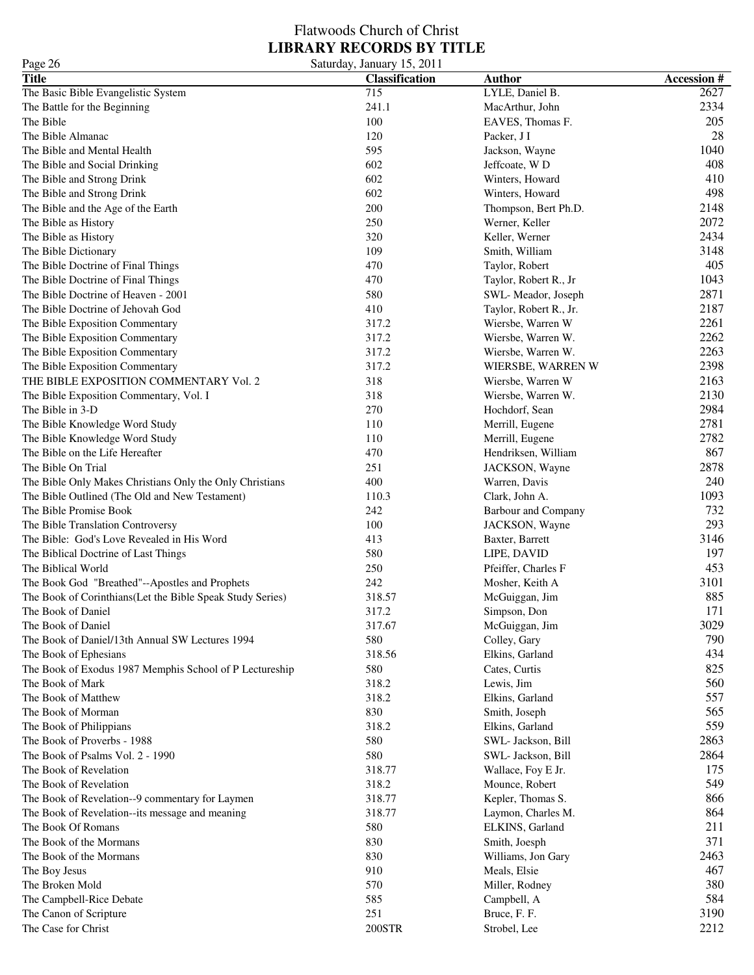### Flatwoods Church of Christ **LIBRARY RECORDS BY TITLE** Page 26 Saturday, January 15, 2011

| 145020<br><b>Title</b>                                    | $54.444$ , $34.444$ , $1.5, 2011$<br>Classification | <b>Author</b>              | <b>Accession#</b> |
|-----------------------------------------------------------|-----------------------------------------------------|----------------------------|-------------------|
| The Basic Bible Evangelistic System                       | 715                                                 | LYLE, Daniel B.            | 2627              |
|                                                           | 241.1                                               | MacArthur, John            | 2334              |
| The Battle for the Beginning<br>The Bible                 | 100                                                 |                            | 205               |
|                                                           |                                                     | EAVES, Thomas F.           | 28                |
| The Bible Almanac                                         | 120                                                 | Packer, J I                |                   |
| The Bible and Mental Health                               | 595                                                 | Jackson, Wayne             | 1040              |
| The Bible and Social Drinking                             | 602                                                 | Jeffcoate, WD              | 408               |
| The Bible and Strong Drink                                | 602                                                 | Winters, Howard            | 410               |
| The Bible and Strong Drink                                | 602                                                 | Winters, Howard            | 498               |
| The Bible and the Age of the Earth                        | 200                                                 | Thompson, Bert Ph.D.       | 2148              |
| The Bible as History                                      | 250                                                 | Werner, Keller             | 2072              |
| The Bible as History                                      | 320                                                 | Keller, Werner             | 2434              |
| The Bible Dictionary                                      | 109                                                 | Smith, William             | 3148              |
| The Bible Doctrine of Final Things                        | 470                                                 | Taylor, Robert             | 405               |
| The Bible Doctrine of Final Things                        | 470                                                 | Taylor, Robert R., Jr      | 1043              |
| The Bible Doctrine of Heaven - 2001                       | 580                                                 | SWL-Meador, Joseph         | 2871              |
| The Bible Doctrine of Jehovah God                         | 410                                                 | Taylor, Robert R., Jr.     | 2187              |
| The Bible Exposition Commentary                           | 317.2                                               | Wiersbe, Warren W          | 2261              |
| The Bible Exposition Commentary                           | 317.2                                               | Wiersbe, Warren W.         | 2262              |
| The Bible Exposition Commentary                           | 317.2                                               | Wiersbe, Warren W.         | 2263              |
| The Bible Exposition Commentary                           | 317.2                                               | WIERSBE, WARREN W          | 2398              |
| THE BIBLE EXPOSITION COMMENTARY Vol. 2                    | 318                                                 | Wiersbe, Warren W          | 2163              |
| The Bible Exposition Commentary, Vol. I                   | 318                                                 | Wiersbe, Warren W.         | 2130              |
| The Bible in 3-D                                          | 270                                                 | Hochdorf, Sean             | 2984              |
| The Bible Knowledge Word Study                            | 110                                                 | Merrill, Eugene            | 2781              |
| The Bible Knowledge Word Study                            | 110                                                 | Merrill, Eugene            | 2782              |
| The Bible on the Life Hereafter                           | 470                                                 | Hendriksen, William        | 867               |
| The Bible On Trial                                        | 251                                                 | JACKSON, Wayne             | 2878              |
| The Bible Only Makes Christians Only the Only Christians  | 400                                                 | Warren, Davis              | 240               |
| The Bible Outlined (The Old and New Testament)            | 110.3                                               | Clark, John A.             | 1093              |
| The Bible Promise Book                                    | 242                                                 | <b>Barbour and Company</b> | 732               |
| The Bible Translation Controversy                         | 100                                                 | JACKSON, Wayne             | 293               |
| The Bible: God's Love Revealed in His Word                | 413                                                 | Baxter, Barrett            | 3146              |
| The Biblical Doctrine of Last Things                      | 580                                                 | LIPE, DAVID                | 197               |
| The Biblical World                                        | 250                                                 | Pfeiffer, Charles F        | 453               |
| The Book God "Breathed"--Apostles and Prophets            | 242                                                 | Mosher, Keith A            | 3101              |
| The Book of Corinthians(Let the Bible Speak Study Series) | 318.57                                              | McGuiggan, Jim             | 885               |
| The Book of Daniel                                        | 317.2                                               | Simpson, Don               | 171               |
| The Book of Daniel                                        | 317.67                                              | McGuiggan, Jim             | 3029              |
| The Book of Daniel/13th Annual SW Lectures 1994           | 580                                                 |                            | 790               |
|                                                           | 318.56                                              | Colley, Gary               | 434               |
| The Book of Ephesians                                     |                                                     | Elkins, Garland            |                   |
| The Book of Exodus 1987 Memphis School of P Lectureship   | 580                                                 | Cates, Curtis              | 825               |
| The Book of Mark                                          | 318.2                                               | Lewis, Jim                 | 560               |
| The Book of Matthew                                       | 318.2                                               | Elkins, Garland            | 557               |
| The Book of Morman                                        | 830                                                 | Smith, Joseph              | 565               |
| The Book of Philippians                                   | 318.2                                               | Elkins, Garland            | 559               |
| The Book of Proverbs - 1988                               | 580                                                 | SWL- Jackson, Bill         | 2863              |
| The Book of Psalms Vol. 2 - 1990                          | 580                                                 | SWL- Jackson, Bill         | 2864              |
| The Book of Revelation                                    | 318.77                                              | Wallace, Foy E Jr.         | 175               |
| The Book of Revelation                                    | 318.2                                               | Mounce, Robert             | 549               |
| The Book of Revelation--9 commentary for Laymen           | 318.77                                              | Kepler, Thomas S.          | 866               |
| The Book of Revelation--its message and meaning           | 318.77                                              | Laymon, Charles M.         | 864               |
| The Book Of Romans                                        | 580                                                 | ELKINS, Garland            | 211               |
| The Book of the Mormans                                   | 830                                                 | Smith, Joesph              | 371               |
| The Book of the Mormans                                   | 830                                                 | Williams, Jon Gary         | 2463              |
| The Boy Jesus                                             | 910                                                 | Meals, Elsie               | 467               |
| The Broken Mold                                           | 570                                                 | Miller, Rodney             | 380               |
| The Campbell-Rice Debate                                  | 585                                                 | Campbell, A                | 584               |
| The Canon of Scripture                                    | 251                                                 | Bruce, F. F.               | 3190              |
| The Case for Christ                                       | 200STR                                              | Strobel, Lee               | 2212              |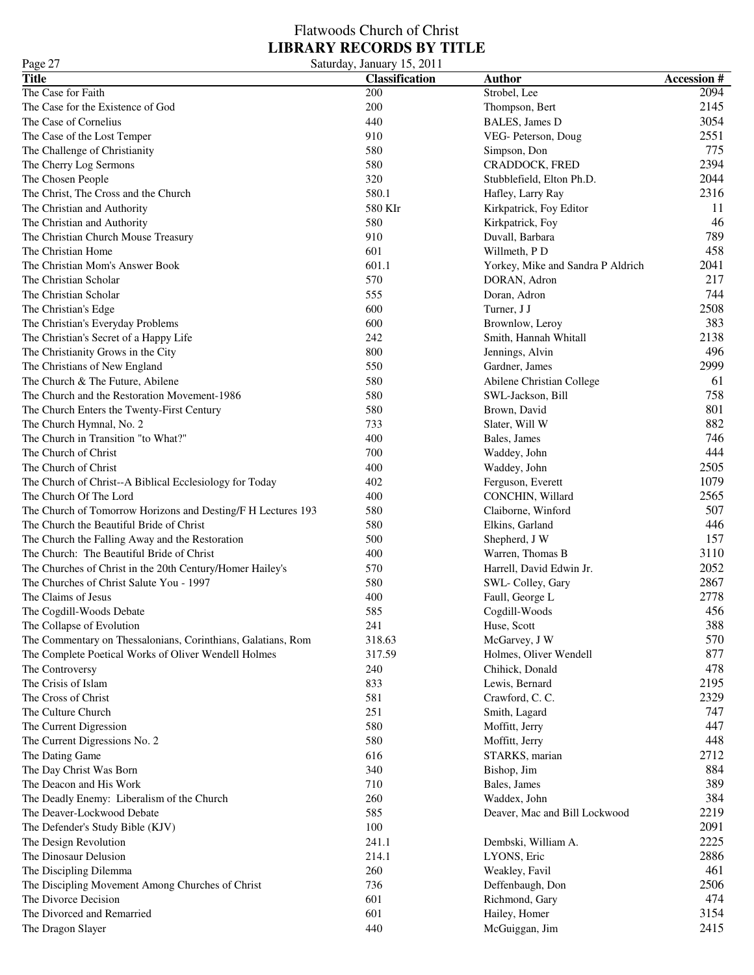| Page 27                                                      | Saturday, January 15, 2011 |                                   |                   |
|--------------------------------------------------------------|----------------------------|-----------------------------------|-------------------|
| <b>Title</b>                                                 | <b>Classification</b>      | <b>Author</b>                     | <b>Accession#</b> |
| The Case for Faith                                           | 200                        | Strobel, Lee                      | 2094              |
| The Case for the Existence of God                            | 200                        | Thompson, Bert                    | 2145              |
| The Case of Cornelius                                        | 440                        | BALES, James D                    | 3054              |
| The Case of the Lost Temper                                  | 910                        | VEG- Peterson, Doug               | 2551              |
| The Challenge of Christianity                                | 580                        | Simpson, Don                      | 775               |
| The Cherry Log Sermons                                       | 580                        | CRADDOCK, FRED                    | 2394              |
| The Chosen People                                            | 320                        | Stubblefield, Elton Ph.D.         | 2044              |
| The Christ, The Cross and the Church                         | 580.1                      | Hafley, Larry Ray                 | 2316              |
| The Christian and Authority                                  | 580 KIr                    | Kirkpatrick, Foy Editor           | 11                |
| The Christian and Authority                                  | 580                        | Kirkpatrick, Foy                  | 46                |
| The Christian Church Mouse Treasury                          | 910                        | Duvall, Barbara                   | 789               |
| The Christian Home                                           | 601                        | Willmeth, PD                      | 458               |
| The Christian Mom's Answer Book                              | 601.1                      | Yorkey, Mike and Sandra P Aldrich | 2041              |
| The Christian Scholar                                        | 570                        | DORAN, Adron                      | 217               |
| The Christian Scholar                                        | 555                        | Doran, Adron                      | 744               |
| The Christian's Edge                                         | 600                        | Turner, J J                       | 2508              |
| The Christian's Everyday Problems                            | 600                        | Brownlow, Leroy                   | 383               |
| The Christian's Secret of a Happy Life                       | 242                        | Smith, Hannah Whitall             | 2138              |
|                                                              | 800                        |                                   | 496               |
| The Christianity Grows in the City                           |                            | Jennings, Alvin                   |                   |
| The Christians of New England                                | 550                        | Gardner, James                    | 2999              |
| The Church & The Future, Abilene                             | 580                        | Abilene Christian College         | 61                |
| The Church and the Restoration Movement-1986                 | 580                        | SWL-Jackson, Bill                 | 758               |
| The Church Enters the Twenty-First Century                   | 580                        | Brown, David                      | 801               |
| The Church Hymnal, No. 2                                     | 733                        | Slater, Will W                    | 882               |
| The Church in Transition "to What?"                          | 400                        | Bales, James                      | 746               |
| The Church of Christ                                         | 700                        | Waddey, John                      | 444               |
| The Church of Christ                                         | 400                        | Waddey, John                      | 2505              |
| The Church of Christ--A Biblical Ecclesiology for Today      | 402                        | Ferguson, Everett                 | 1079              |
| The Church Of The Lord                                       | 400                        | CONCHIN, Willard                  | 2565              |
| The Church of Tomorrow Horizons and Desting/F H Lectures 193 | 580                        | Claiborne, Winford                | 507               |
| The Church the Beautiful Bride of Christ                     | 580                        | Elkins, Garland                   | 446               |
| The Church the Falling Away and the Restoration              | 500                        | Shepherd, J W                     | 157               |
| The Church: The Beautiful Bride of Christ                    | 400                        | Warren, Thomas B                  | 3110              |
| The Churches of Christ in the 20th Century/Homer Hailey's    | 570                        | Harrell, David Edwin Jr.          | 2052              |
| The Churches of Christ Salute You - 1997                     | 580                        | SWL-Colley, Gary                  | 2867              |
| The Claims of Jesus                                          | 400                        | Faull, George L                   | 2778              |
| The Cogdill-Woods Debate                                     | 585                        | Cogdill-Woods                     | 456               |
| The Collapse of Evolution                                    | 241                        | Huse, Scott                       | 388               |
| The Commentary on Thessalonians, Corinthians, Galatians, Rom | 318.63                     | McGarvey, J W                     | 570               |
| The Complete Poetical Works of Oliver Wendell Holmes         | 317.59                     | Holmes, Oliver Wendell            | 877               |
| The Controversy                                              | 240                        | Chihick, Donald                   | 478               |
| The Crisis of Islam                                          | 833                        | Lewis, Bernard                    | 2195              |
| The Cross of Christ                                          | 581                        | Crawford, C.C.                    | 2329              |
| The Culture Church                                           | 251                        | Smith, Lagard                     | 747               |
| The Current Digression                                       | 580                        | Moffitt, Jerry                    | 447               |
| The Current Digressions No. 2                                | 580                        | Moffitt, Jerry                    | 448               |
| The Dating Game                                              | 616                        | STARKS, marian                    | 2712              |
| The Day Christ Was Born                                      | 340                        | Bishop, Jim                       | 884               |
| The Deacon and His Work                                      | 710                        | Bales, James                      | 389               |
| The Deadly Enemy: Liberalism of the Church                   | 260                        | Waddex, John                      | 384               |
| The Deaver-Lockwood Debate                                   | 585                        | Deaver, Mac and Bill Lockwood     | 2219              |
|                                                              | 100                        |                                   | 2091              |
| The Defender's Study Bible (KJV)                             |                            |                                   |                   |
| The Design Revolution                                        | 241.1                      | Dembski, William A.               | 2225              |
| The Dinosaur Delusion                                        | 214.1                      | LYONS, Eric                       | 2886              |
| The Discipling Dilemma                                       | 260                        | Weakley, Favil                    | 461               |
| The Discipling Movement Among Churches of Christ             | 736                        | Deffenbaugh, Don                  | 2506              |
| The Divorce Decision                                         | 601                        | Richmond, Gary                    | 474               |
| The Divorced and Remarried                                   | 601                        | Hailey, Homer                     | 3154              |
| The Dragon Slayer                                            | 440                        | McGuiggan, Jim                    | 2415              |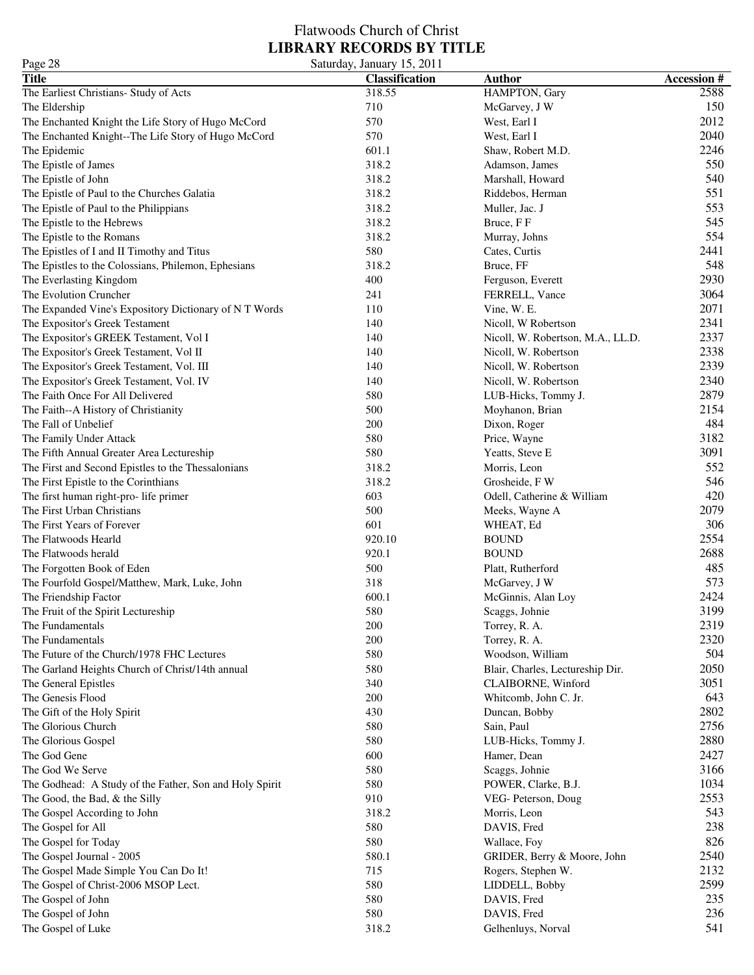| Page 28                                                 | Saturday, January 15, 2011 |                                     |                   |
|---------------------------------------------------------|----------------------------|-------------------------------------|-------------------|
| <b>Title</b>                                            | <b>Classification</b>      | <b>Author</b>                       | <b>Accession#</b> |
| The Earliest Christians- Study of Acts                  | 318.55                     | HAMPTON, Gary                       | 2588              |
| The Eldership                                           | 710                        | McGarvey, J W                       | 150               |
| The Enchanted Knight the Life Story of Hugo McCord      | 570                        | West, Earl I                        | 2012              |
| The Enchanted Knight--The Life Story of Hugo McCord     | 570                        | West, Earl I                        | 2040              |
| The Epidemic                                            | 601.1                      | Shaw, Robert M.D.                   | 2246              |
| The Epistle of James                                    | 318.2                      | Adamson, James                      | 550               |
| The Epistle of John                                     | 318.2                      | Marshall, Howard                    | 540               |
| The Epistle of Paul to the Churches Galatia             | 318.2                      | Riddebos, Herman                    | 551               |
| The Epistle of Paul to the Philippians                  | 318.2                      | Muller, Jac. J                      | 553               |
| The Epistle to the Hebrews                              | 318.2                      | Bruce, FF                           | 545               |
| The Epistle to the Romans                               | 318.2                      | Murray, Johns                       | 554               |
| The Epistles of I and II Timothy and Titus              | 580                        | Cates, Curtis                       | 2441              |
| The Epistles to the Colossians, Philemon, Ephesians     | 318.2                      | Bruce, FF                           | 548               |
| The Everlasting Kingdom                                 | 400                        |                                     | 2930              |
| The Evolution Cruncher                                  | 241                        | Ferguson, Everett<br>FERRELL, Vance | 3064              |
|                                                         | 110                        |                                     | 2071              |
| The Expanded Vine's Expository Dictionary of N T Words  |                            | Vine, W. E.                         | 2341              |
| The Expositor's Greek Testament                         | 140                        | Nicoll, W Robertson                 | 2337              |
| The Expositor's GREEK Testament, Vol I                  | 140                        | Nicoll, W. Robertson, M.A., LL.D.   |                   |
| The Expositor's Greek Testament, Vol II                 | 140                        | Nicoll, W. Robertson                | 2338              |
| The Expositor's Greek Testament, Vol. III               | 140                        | Nicoll, W. Robertson                | 2339              |
| The Expositor's Greek Testament, Vol. IV                | 140                        | Nicoll, W. Robertson                | 2340              |
| The Faith Once For All Delivered                        | 580                        | LUB-Hicks, Tommy J.                 | 2879              |
| The Faith--A History of Christianity                    | 500                        | Moyhanon, Brian                     | 2154              |
| The Fall of Unbelief                                    | 200                        | Dixon, Roger                        | 484               |
| The Family Under Attack                                 | 580                        | Price, Wayne                        | 3182              |
| The Fifth Annual Greater Area Lectureship               | 580                        | Yeatts, Steve E                     | 3091              |
| The First and Second Epistles to the Thessalonians      | 318.2                      | Morris, Leon                        | 552               |
| The First Epistle to the Corinthians                    | 318.2                      | Grosheide, F W                      | 546               |
| The first human right-pro- life primer                  | 603                        | Odell, Catherine & William          | 420               |
| The First Urban Christians                              | 500                        | Meeks, Wayne A                      | 2079              |
| The First Years of Forever                              | 601                        | WHEAT, Ed                           | 306               |
| The Flatwoods Hearld                                    | 920.10                     | <b>BOUND</b>                        | 2554              |
| The Flatwoods herald                                    | 920.1                      | <b>BOUND</b>                        | 2688              |
| The Forgotten Book of Eden                              | 500                        | Platt, Rutherford                   | 485               |
| The Fourfold Gospel/Matthew, Mark, Luke, John           | 318                        | McGarvey, J W                       | 573               |
| The Friendship Factor                                   | 600.1                      | McGinnis, Alan Loy                  | 2424              |
| The Fruit of the Spirit Lectureship                     | 580                        | Scaggs, Johnie                      | 3199              |
| The Fundamentals                                        | 200                        | Torrey, R. A.                       | 2319              |
| The Fundamentals                                        | 200                        | Torrey, R. A.                       | 2320              |
| The Future of the Church/1978 FHC Lectures              | 580                        | Woodson, William                    | 504               |
| The Garland Heights Church of Christ/14th annual        | 580                        | Blair, Charles, Lectureship Dir.    | 2050              |
| The General Epistles                                    | 340                        | CLAIBORNE, Winford                  | 3051              |
| The Genesis Flood                                       | 200                        | Whitcomb, John C. Jr.               | 643               |
| The Gift of the Holy Spirit                             | 430                        | Duncan, Bobby                       | 2802              |
| The Glorious Church                                     | 580                        | Sain, Paul                          | 2756              |
| The Glorious Gospel                                     | 580                        | LUB-Hicks, Tommy J.                 | 2880              |
| The God Gene                                            | 600                        | Hamer, Dean                         | 2427              |
| The God We Serve                                        | 580                        | Scaggs, Johnie                      | 3166              |
| The Godhead: A Study of the Father, Son and Holy Spirit | 580                        | POWER, Clarke, B.J.                 | 1034              |
| The Good, the Bad, & the Silly                          | 910                        | VEG- Peterson, Doug                 | 2553              |
| The Gospel According to John                            | 318.2                      | Morris, Leon                        | 543               |
| The Gospel for All                                      | 580                        | DAVIS, Fred                         | 238               |
| The Gospel for Today                                    | 580                        | Wallace, Foy                        | 826               |
| The Gospel Journal - 2005                               | 580.1                      | GRIDER, Berry & Moore, John         | 2540              |
| The Gospel Made Simple You Can Do It!                   | 715                        | Rogers, Stephen W.                  | 2132              |
| The Gospel of Christ-2006 MSOP Lect.                    | 580                        | LIDDELL, Bobby                      | 2599              |
| The Gospel of John                                      | 580                        | DAVIS, Fred                         | 235               |
| The Gospel of John                                      | 580                        | DAVIS, Fred                         | 236               |
| The Gospel of Luke                                      | 318.2                      | Gelhenluys, Norval                  | 541               |
|                                                         |                            |                                     |                   |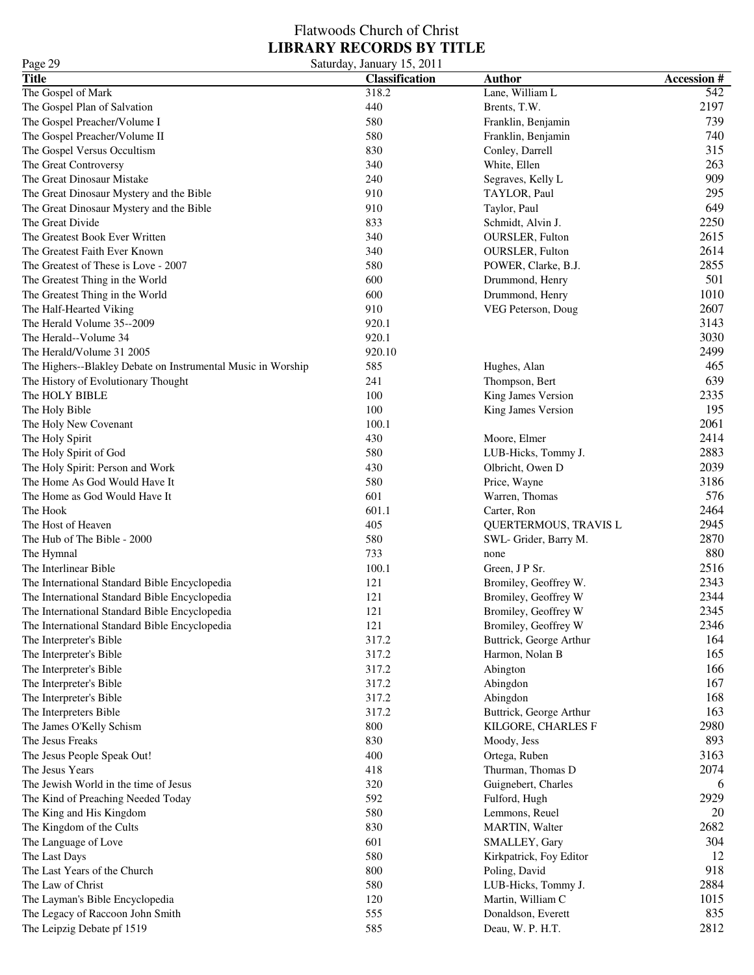### Flatwoods Church of Christ **LIBRARY RECORDS BY TITLE** Page 29 Saturday, January 15, 2011

| 1 agu 29<br><b>Title</b>                                     | Saturuay, Jamuary 19, 2011<br><b>Classification</b> | <b>Author</b>           | <b>Accession#</b> |
|--------------------------------------------------------------|-----------------------------------------------------|-------------------------|-------------------|
|                                                              | 318.2                                               | Lane, William L         | 542               |
| The Gospel of Mark                                           |                                                     |                         |                   |
| The Gospel Plan of Salvation                                 | 440                                                 | Brents, T.W.            | 2197              |
| The Gospel Preacher/Volume I                                 | 580                                                 | Franklin, Benjamin      | 739               |
| The Gospel Preacher/Volume II                                | 580                                                 | Franklin, Benjamin      | 740               |
| The Gospel Versus Occultism                                  | 830                                                 | Conley, Darrell         | 315               |
| The Great Controversy                                        | 340                                                 | White, Ellen            | 263               |
| The Great Dinosaur Mistake                                   | 240                                                 | Segraves, Kelly L       | 909               |
| The Great Dinosaur Mystery and the Bible                     | 910                                                 | TAYLOR, Paul            | 295               |
| The Great Dinosaur Mystery and the Bible                     | 910                                                 | Taylor, Paul            | 649               |
| The Great Divide                                             | 833                                                 | Schmidt, Alvin J.       | 2250              |
| The Greatest Book Ever Written                               | 340                                                 | OURSLER, Fulton         | 2615              |
| The Greatest Faith Ever Known                                | 340                                                 | OURSLER, Fulton         | 2614              |
| The Greatest of These is Love - 2007                         | 580                                                 | POWER, Clarke, B.J.     | 2855              |
| The Greatest Thing in the World                              | 600                                                 | Drummond, Henry         | 501               |
| The Greatest Thing in the World                              | 600                                                 | Drummond, Henry         | 1010              |
| The Half-Hearted Viking                                      | 910                                                 | VEG Peterson, Doug      | 2607              |
| The Herald Volume 35--2009                                   | 920.1                                               |                         | 3143              |
| The Herald--Volume 34                                        | 920.1                                               |                         | 3030              |
| The Herald/Volume 31 2005                                    | 920.10                                              |                         | 2499              |
| The Highers--Blakley Debate on Instrumental Music in Worship | 585                                                 | Hughes, Alan            | 465               |
| The History of Evolutionary Thought                          | 241                                                 | Thompson, Bert          | 639               |
| The HOLY BIBLE                                               | 100                                                 | King James Version      | 2335              |
| The Holy Bible                                               | 100                                                 | King James Version      | 195               |
| The Holy New Covenant                                        | 100.1                                               |                         | 2061              |
|                                                              | 430                                                 | Moore, Elmer            | 2414              |
| The Holy Spirit                                              | 580                                                 |                         | 2883              |
| The Holy Spirit of God                                       |                                                     | LUB-Hicks, Tommy J.     |                   |
| The Holy Spirit: Person and Work                             | 430                                                 | Olbricht, Owen D        | 2039              |
| The Home As God Would Have It                                | 580                                                 | Price, Wayne            | 3186              |
| The Home as God Would Have It                                | 601                                                 | Warren, Thomas          | 576               |
| The Hook                                                     | 601.1                                               | Carter, Ron             | 2464              |
| The Host of Heaven                                           | 405                                                 | QUERTERMOUS, TRAVIS L   | 2945              |
| The Hub of The Bible - 2000                                  | 580                                                 | SWL- Grider, Barry M.   | 2870              |
| The Hymnal                                                   | 733                                                 | none                    | 880               |
| The Interlinear Bible                                        | 100.1                                               | Green, J P Sr.          | 2516              |
| The International Standard Bible Encyclopedia                | 121                                                 | Bromiley, Geoffrey W.   | 2343              |
| The International Standard Bible Encyclopedia                | 121                                                 | Bromiley, Geoffrey W    | 2344              |
| The International Standard Bible Encyclopedia                | 121                                                 | Bromiley, Geoffrey W    | 2345              |
| The International Standard Bible Encyclopedia                | 121                                                 | Bromiley, Geoffrey W    | 2346              |
| The Interpreter's Bible                                      | 317.2                                               | Buttrick, George Arthur | 164               |
| The Interpreter's Bible                                      | 317.2                                               | Harmon, Nolan B         | 165               |
| The Interpreter's Bible                                      | 317.2                                               | Abington                | 166               |
| The Interpreter's Bible                                      | 317.2                                               | Abingdon                | 167               |
| The Interpreter's Bible                                      | 317.2                                               | Abingdon                | 168               |
| The Interpreters Bible                                       | 317.2                                               | Buttrick, George Arthur | 163               |
| The James O'Kelly Schism                                     | 800                                                 | KILGORE, CHARLES F      | 2980              |
| The Jesus Freaks                                             | 830                                                 | Moody, Jess             | 893               |
| The Jesus People Speak Out!                                  | 400                                                 | Ortega, Ruben           | 3163              |
| The Jesus Years                                              | 418                                                 | Thurman, Thomas D       | 2074              |
| The Jewish World in the time of Jesus                        | 320                                                 | Guignebert, Charles     | 6                 |
| The Kind of Preaching Needed Today                           | 592                                                 |                         | 2929              |
|                                                              |                                                     | Fulford, Hugh           |                   |
| The King and His Kingdom                                     | 580                                                 | Lemmons, Reuel          | 20                |
| The Kingdom of the Cults                                     | 830                                                 | MARTIN, Walter          | 2682              |
| The Language of Love                                         | 601                                                 | SMALLEY, Gary           | 304               |
| The Last Days                                                | 580                                                 | Kirkpatrick, Foy Editor | 12                |
| The Last Years of the Church                                 | 800                                                 | Poling, David           | 918               |
| The Law of Christ                                            | 580                                                 | LUB-Hicks, Tommy J.     | 2884              |
| The Layman's Bible Encyclopedia                              | 120                                                 | Martin, William C       | 1015              |
| The Legacy of Raccoon John Smith                             | 555                                                 | Donaldson, Everett      | 835               |
| The Leipzig Debate pf 1519                                   | 585                                                 | Deau, W. P. H.T.        | 2812              |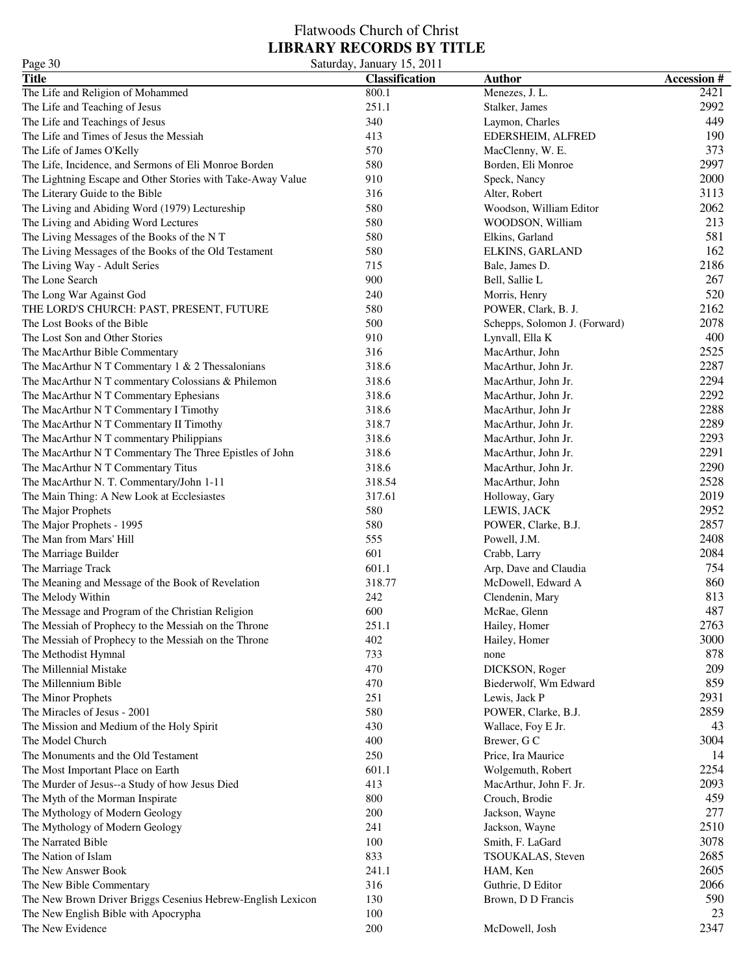### Flatwoods Church of Christ **LIBRARY RECORDS BY TITLE** Page 30 Saturday, January 15, 2011

| 2421<br>The Life and Religion of Mohammed<br>Menezes, J. L.<br>800.1<br>2992<br>The Life and Teaching of Jesus<br>251.1<br>Stalker, James<br>340<br>449<br>The Life and Teachings of Jesus<br>Laymon, Charles<br>190<br>The Life and Times of Jesus the Messiah<br>413<br>EDERSHEIM, ALFRED<br>373<br>The Life of James O'Kelly<br>570<br>MacClenny, W. E.<br>2997<br>580<br>The Life, Incidence, and Sermons of Eli Monroe Borden<br>Borden, Eli Monroe<br>2000<br>The Lightning Escape and Other Stories with Take-Away Value<br>910<br>Speck, Nancy<br>3113<br>The Literary Guide to the Bible<br>316<br>Alter, Robert<br>2062<br>580<br>The Living and Abiding Word (1979) Lectureship<br>Woodson, William Editor<br>213<br>580<br>The Living and Abiding Word Lectures<br>WOODSON, William<br>581<br>The Living Messages of the Books of the NT<br>580<br>Elkins, Garland<br>162<br>The Living Messages of the Books of the Old Testament<br>580<br>ELKINS, GARLAND<br>2186<br>The Living Way - Adult Series<br>715<br>Bale, James D.<br>900<br>267<br>The Lone Search<br>Bell, Sallie L<br>520<br>The Long War Against God<br>240<br>Morris, Henry<br>2162<br>THE LORD'S CHURCH: PAST, PRESENT, FUTURE<br>580<br>POWER, Clark, B. J.<br>2078<br>500<br>The Lost Books of the Bible<br>Schepps, Solomon J. (Forward)<br>910<br>400<br>The Lost Son and Other Stories<br>Lynvall, Ella K<br>2525<br>316<br>The MacArthur Bible Commentary<br>MacArthur, John<br>2287<br>318.6<br>The MacArthur N T Commentary $1 < 2$ Thessalonians<br>MacArthur, John Jr.<br>2294<br>318.6<br>The MacArthur N T commentary Colossians & Philemon<br>MacArthur, John Jr.<br>2292<br>318.6<br>The MacArthur N T Commentary Ephesians<br>MacArthur, John Jr.<br>2288<br>The MacArthur N T Commentary I Timothy<br>318.6<br>MacArthur, John Jr<br>2289<br>318.7<br>The MacArthur N T Commentary II Timothy<br>MacArthur, John Jr.<br>2293<br>318.6<br>The MacArthur N T commentary Philippians<br>MacArthur, John Jr.<br>2291<br>318.6<br>The MacArthur N T Commentary The Three Epistles of John<br>MacArthur, John Jr.<br>2290<br>318.6<br>MacArthur, John Jr.<br>2528<br>318.54<br>MacArthur, John<br>2019<br>317.61<br>Holloway, Gary<br>2952<br>580<br>LEWIS, JACK<br>2857<br>580<br>POWER, Clarke, B.J.<br>2408<br>555<br>Powell, J.M.<br>2084<br>601<br>Crabb, Larry<br>754<br>601.1<br>Arp, Dave and Claudia<br>860<br>318.77<br>McDowell, Edward A<br>813<br>242<br>Clendenin, Mary<br>487<br>600<br>McRae, Glenn<br>2763<br>Hailey, Homer<br>251.1<br>3000<br>402<br>Hailey, Homer<br>878<br>733<br>none<br>209<br>470<br>DICKSON, Roger<br>859<br>470<br>Biederwolf, Wm Edward<br>2931<br>251<br>Lewis, Jack P<br>2859<br>580<br>POWER, Clarke, B.J.<br>The Mission and Medium of the Holy Spirit<br>430<br>43<br>Wallace, Foy E Jr.<br>3004<br>400<br>Brewer, G C<br>250<br>14<br>Price, Ira Maurice<br>2254<br>601.1<br>The Most Important Place on Earth<br>Wolgemuth, Robert<br>2093<br>The Murder of Jesus--a Study of how Jesus Died<br>413<br>MacArthur, John F. Jr.<br>459<br>800<br>The Myth of the Morman Inspirate<br>Crouch, Brodie<br>200<br>277<br>The Mythology of Modern Geology<br>Jackson, Wayne<br>2510<br>241<br>The Mythology of Modern Geology<br>Jackson, Wayne<br>3078<br>100<br>The Narrated Bible<br>Smith, F. LaGard<br>2685<br>833<br>TSOUKALAS, Steven<br>2605<br>241.1<br>HAM, Ken<br>2066<br>The New Bible Commentary<br>316<br>Guthrie, D Editor<br>590<br>The New Brown Driver Briggs Cesenius Hebrew-English Lexicon<br>130<br>Brown, D D Francis<br>23<br>The New English Bible with Apocrypha<br>100<br>200<br>2347 | 145000<br><b>Title</b>                               | $54.444$ , $54.444$ , $15, 2011$<br><b>Classification</b> | <b>Author</b>  | <b>Accession#</b> |
|-----------------------------------------------------------------------------------------------------------------------------------------------------------------------------------------------------------------------------------------------------------------------------------------------------------------------------------------------------------------------------------------------------------------------------------------------------------------------------------------------------------------------------------------------------------------------------------------------------------------------------------------------------------------------------------------------------------------------------------------------------------------------------------------------------------------------------------------------------------------------------------------------------------------------------------------------------------------------------------------------------------------------------------------------------------------------------------------------------------------------------------------------------------------------------------------------------------------------------------------------------------------------------------------------------------------------------------------------------------------------------------------------------------------------------------------------------------------------------------------------------------------------------------------------------------------------------------------------------------------------------------------------------------------------------------------------------------------------------------------------------------------------------------------------------------------------------------------------------------------------------------------------------------------------------------------------------------------------------------------------------------------------------------------------------------------------------------------------------------------------------------------------------------------------------------------------------------------------------------------------------------------------------------------------------------------------------------------------------------------------------------------------------------------------------------------------------------------------------------------------------------------------------------------------------------------------------------------------------------------------------------------------------------------------------------------------------------------------------------------------------------------------------------------------------------------------------------------------------------------------------------------------------------------------------------------------------------------------------------------------------------------------------------------------------------------------------------------------------------------------------------------------------------------------------------------------------------------------------------------------------------------------------------------------------------------------------------------------------------------------------------------------------------------------------------------------------------------------------------------------------------------------------------------------------------------------------------------------------------------------------------------------------|------------------------------------------------------|-----------------------------------------------------------|----------------|-------------------|
|                                                                                                                                                                                                                                                                                                                                                                                                                                                                                                                                                                                                                                                                                                                                                                                                                                                                                                                                                                                                                                                                                                                                                                                                                                                                                                                                                                                                                                                                                                                                                                                                                                                                                                                                                                                                                                                                                                                                                                                                                                                                                                                                                                                                                                                                                                                                                                                                                                                                                                                                                                                                                                                                                                                                                                                                                                                                                                                                                                                                                                                                                                                                                                                                                                                                                                                                                                                                                                                                                                                                                                                                                                                     |                                                      |                                                           |                |                   |
|                                                                                                                                                                                                                                                                                                                                                                                                                                                                                                                                                                                                                                                                                                                                                                                                                                                                                                                                                                                                                                                                                                                                                                                                                                                                                                                                                                                                                                                                                                                                                                                                                                                                                                                                                                                                                                                                                                                                                                                                                                                                                                                                                                                                                                                                                                                                                                                                                                                                                                                                                                                                                                                                                                                                                                                                                                                                                                                                                                                                                                                                                                                                                                                                                                                                                                                                                                                                                                                                                                                                                                                                                                                     |                                                      |                                                           |                |                   |
|                                                                                                                                                                                                                                                                                                                                                                                                                                                                                                                                                                                                                                                                                                                                                                                                                                                                                                                                                                                                                                                                                                                                                                                                                                                                                                                                                                                                                                                                                                                                                                                                                                                                                                                                                                                                                                                                                                                                                                                                                                                                                                                                                                                                                                                                                                                                                                                                                                                                                                                                                                                                                                                                                                                                                                                                                                                                                                                                                                                                                                                                                                                                                                                                                                                                                                                                                                                                                                                                                                                                                                                                                                                     |                                                      |                                                           |                |                   |
|                                                                                                                                                                                                                                                                                                                                                                                                                                                                                                                                                                                                                                                                                                                                                                                                                                                                                                                                                                                                                                                                                                                                                                                                                                                                                                                                                                                                                                                                                                                                                                                                                                                                                                                                                                                                                                                                                                                                                                                                                                                                                                                                                                                                                                                                                                                                                                                                                                                                                                                                                                                                                                                                                                                                                                                                                                                                                                                                                                                                                                                                                                                                                                                                                                                                                                                                                                                                                                                                                                                                                                                                                                                     |                                                      |                                                           |                |                   |
|                                                                                                                                                                                                                                                                                                                                                                                                                                                                                                                                                                                                                                                                                                                                                                                                                                                                                                                                                                                                                                                                                                                                                                                                                                                                                                                                                                                                                                                                                                                                                                                                                                                                                                                                                                                                                                                                                                                                                                                                                                                                                                                                                                                                                                                                                                                                                                                                                                                                                                                                                                                                                                                                                                                                                                                                                                                                                                                                                                                                                                                                                                                                                                                                                                                                                                                                                                                                                                                                                                                                                                                                                                                     |                                                      |                                                           |                |                   |
|                                                                                                                                                                                                                                                                                                                                                                                                                                                                                                                                                                                                                                                                                                                                                                                                                                                                                                                                                                                                                                                                                                                                                                                                                                                                                                                                                                                                                                                                                                                                                                                                                                                                                                                                                                                                                                                                                                                                                                                                                                                                                                                                                                                                                                                                                                                                                                                                                                                                                                                                                                                                                                                                                                                                                                                                                                                                                                                                                                                                                                                                                                                                                                                                                                                                                                                                                                                                                                                                                                                                                                                                                                                     |                                                      |                                                           |                |                   |
|                                                                                                                                                                                                                                                                                                                                                                                                                                                                                                                                                                                                                                                                                                                                                                                                                                                                                                                                                                                                                                                                                                                                                                                                                                                                                                                                                                                                                                                                                                                                                                                                                                                                                                                                                                                                                                                                                                                                                                                                                                                                                                                                                                                                                                                                                                                                                                                                                                                                                                                                                                                                                                                                                                                                                                                                                                                                                                                                                                                                                                                                                                                                                                                                                                                                                                                                                                                                                                                                                                                                                                                                                                                     |                                                      |                                                           |                |                   |
|                                                                                                                                                                                                                                                                                                                                                                                                                                                                                                                                                                                                                                                                                                                                                                                                                                                                                                                                                                                                                                                                                                                                                                                                                                                                                                                                                                                                                                                                                                                                                                                                                                                                                                                                                                                                                                                                                                                                                                                                                                                                                                                                                                                                                                                                                                                                                                                                                                                                                                                                                                                                                                                                                                                                                                                                                                                                                                                                                                                                                                                                                                                                                                                                                                                                                                                                                                                                                                                                                                                                                                                                                                                     |                                                      |                                                           |                |                   |
|                                                                                                                                                                                                                                                                                                                                                                                                                                                                                                                                                                                                                                                                                                                                                                                                                                                                                                                                                                                                                                                                                                                                                                                                                                                                                                                                                                                                                                                                                                                                                                                                                                                                                                                                                                                                                                                                                                                                                                                                                                                                                                                                                                                                                                                                                                                                                                                                                                                                                                                                                                                                                                                                                                                                                                                                                                                                                                                                                                                                                                                                                                                                                                                                                                                                                                                                                                                                                                                                                                                                                                                                                                                     |                                                      |                                                           |                |                   |
|                                                                                                                                                                                                                                                                                                                                                                                                                                                                                                                                                                                                                                                                                                                                                                                                                                                                                                                                                                                                                                                                                                                                                                                                                                                                                                                                                                                                                                                                                                                                                                                                                                                                                                                                                                                                                                                                                                                                                                                                                                                                                                                                                                                                                                                                                                                                                                                                                                                                                                                                                                                                                                                                                                                                                                                                                                                                                                                                                                                                                                                                                                                                                                                                                                                                                                                                                                                                                                                                                                                                                                                                                                                     |                                                      |                                                           |                |                   |
|                                                                                                                                                                                                                                                                                                                                                                                                                                                                                                                                                                                                                                                                                                                                                                                                                                                                                                                                                                                                                                                                                                                                                                                                                                                                                                                                                                                                                                                                                                                                                                                                                                                                                                                                                                                                                                                                                                                                                                                                                                                                                                                                                                                                                                                                                                                                                                                                                                                                                                                                                                                                                                                                                                                                                                                                                                                                                                                                                                                                                                                                                                                                                                                                                                                                                                                                                                                                                                                                                                                                                                                                                                                     |                                                      |                                                           |                |                   |
|                                                                                                                                                                                                                                                                                                                                                                                                                                                                                                                                                                                                                                                                                                                                                                                                                                                                                                                                                                                                                                                                                                                                                                                                                                                                                                                                                                                                                                                                                                                                                                                                                                                                                                                                                                                                                                                                                                                                                                                                                                                                                                                                                                                                                                                                                                                                                                                                                                                                                                                                                                                                                                                                                                                                                                                                                                                                                                                                                                                                                                                                                                                                                                                                                                                                                                                                                                                                                                                                                                                                                                                                                                                     |                                                      |                                                           |                |                   |
|                                                                                                                                                                                                                                                                                                                                                                                                                                                                                                                                                                                                                                                                                                                                                                                                                                                                                                                                                                                                                                                                                                                                                                                                                                                                                                                                                                                                                                                                                                                                                                                                                                                                                                                                                                                                                                                                                                                                                                                                                                                                                                                                                                                                                                                                                                                                                                                                                                                                                                                                                                                                                                                                                                                                                                                                                                                                                                                                                                                                                                                                                                                                                                                                                                                                                                                                                                                                                                                                                                                                                                                                                                                     |                                                      |                                                           |                |                   |
|                                                                                                                                                                                                                                                                                                                                                                                                                                                                                                                                                                                                                                                                                                                                                                                                                                                                                                                                                                                                                                                                                                                                                                                                                                                                                                                                                                                                                                                                                                                                                                                                                                                                                                                                                                                                                                                                                                                                                                                                                                                                                                                                                                                                                                                                                                                                                                                                                                                                                                                                                                                                                                                                                                                                                                                                                                                                                                                                                                                                                                                                                                                                                                                                                                                                                                                                                                                                                                                                                                                                                                                                                                                     |                                                      |                                                           |                |                   |
|                                                                                                                                                                                                                                                                                                                                                                                                                                                                                                                                                                                                                                                                                                                                                                                                                                                                                                                                                                                                                                                                                                                                                                                                                                                                                                                                                                                                                                                                                                                                                                                                                                                                                                                                                                                                                                                                                                                                                                                                                                                                                                                                                                                                                                                                                                                                                                                                                                                                                                                                                                                                                                                                                                                                                                                                                                                                                                                                                                                                                                                                                                                                                                                                                                                                                                                                                                                                                                                                                                                                                                                                                                                     |                                                      |                                                           |                |                   |
|                                                                                                                                                                                                                                                                                                                                                                                                                                                                                                                                                                                                                                                                                                                                                                                                                                                                                                                                                                                                                                                                                                                                                                                                                                                                                                                                                                                                                                                                                                                                                                                                                                                                                                                                                                                                                                                                                                                                                                                                                                                                                                                                                                                                                                                                                                                                                                                                                                                                                                                                                                                                                                                                                                                                                                                                                                                                                                                                                                                                                                                                                                                                                                                                                                                                                                                                                                                                                                                                                                                                                                                                                                                     |                                                      |                                                           |                |                   |
|                                                                                                                                                                                                                                                                                                                                                                                                                                                                                                                                                                                                                                                                                                                                                                                                                                                                                                                                                                                                                                                                                                                                                                                                                                                                                                                                                                                                                                                                                                                                                                                                                                                                                                                                                                                                                                                                                                                                                                                                                                                                                                                                                                                                                                                                                                                                                                                                                                                                                                                                                                                                                                                                                                                                                                                                                                                                                                                                                                                                                                                                                                                                                                                                                                                                                                                                                                                                                                                                                                                                                                                                                                                     |                                                      |                                                           |                |                   |
|                                                                                                                                                                                                                                                                                                                                                                                                                                                                                                                                                                                                                                                                                                                                                                                                                                                                                                                                                                                                                                                                                                                                                                                                                                                                                                                                                                                                                                                                                                                                                                                                                                                                                                                                                                                                                                                                                                                                                                                                                                                                                                                                                                                                                                                                                                                                                                                                                                                                                                                                                                                                                                                                                                                                                                                                                                                                                                                                                                                                                                                                                                                                                                                                                                                                                                                                                                                                                                                                                                                                                                                                                                                     |                                                      |                                                           |                |                   |
|                                                                                                                                                                                                                                                                                                                                                                                                                                                                                                                                                                                                                                                                                                                                                                                                                                                                                                                                                                                                                                                                                                                                                                                                                                                                                                                                                                                                                                                                                                                                                                                                                                                                                                                                                                                                                                                                                                                                                                                                                                                                                                                                                                                                                                                                                                                                                                                                                                                                                                                                                                                                                                                                                                                                                                                                                                                                                                                                                                                                                                                                                                                                                                                                                                                                                                                                                                                                                                                                                                                                                                                                                                                     |                                                      |                                                           |                |                   |
|                                                                                                                                                                                                                                                                                                                                                                                                                                                                                                                                                                                                                                                                                                                                                                                                                                                                                                                                                                                                                                                                                                                                                                                                                                                                                                                                                                                                                                                                                                                                                                                                                                                                                                                                                                                                                                                                                                                                                                                                                                                                                                                                                                                                                                                                                                                                                                                                                                                                                                                                                                                                                                                                                                                                                                                                                                                                                                                                                                                                                                                                                                                                                                                                                                                                                                                                                                                                                                                                                                                                                                                                                                                     |                                                      |                                                           |                |                   |
|                                                                                                                                                                                                                                                                                                                                                                                                                                                                                                                                                                                                                                                                                                                                                                                                                                                                                                                                                                                                                                                                                                                                                                                                                                                                                                                                                                                                                                                                                                                                                                                                                                                                                                                                                                                                                                                                                                                                                                                                                                                                                                                                                                                                                                                                                                                                                                                                                                                                                                                                                                                                                                                                                                                                                                                                                                                                                                                                                                                                                                                                                                                                                                                                                                                                                                                                                                                                                                                                                                                                                                                                                                                     |                                                      |                                                           |                |                   |
|                                                                                                                                                                                                                                                                                                                                                                                                                                                                                                                                                                                                                                                                                                                                                                                                                                                                                                                                                                                                                                                                                                                                                                                                                                                                                                                                                                                                                                                                                                                                                                                                                                                                                                                                                                                                                                                                                                                                                                                                                                                                                                                                                                                                                                                                                                                                                                                                                                                                                                                                                                                                                                                                                                                                                                                                                                                                                                                                                                                                                                                                                                                                                                                                                                                                                                                                                                                                                                                                                                                                                                                                                                                     |                                                      |                                                           |                |                   |
|                                                                                                                                                                                                                                                                                                                                                                                                                                                                                                                                                                                                                                                                                                                                                                                                                                                                                                                                                                                                                                                                                                                                                                                                                                                                                                                                                                                                                                                                                                                                                                                                                                                                                                                                                                                                                                                                                                                                                                                                                                                                                                                                                                                                                                                                                                                                                                                                                                                                                                                                                                                                                                                                                                                                                                                                                                                                                                                                                                                                                                                                                                                                                                                                                                                                                                                                                                                                                                                                                                                                                                                                                                                     |                                                      |                                                           |                |                   |
|                                                                                                                                                                                                                                                                                                                                                                                                                                                                                                                                                                                                                                                                                                                                                                                                                                                                                                                                                                                                                                                                                                                                                                                                                                                                                                                                                                                                                                                                                                                                                                                                                                                                                                                                                                                                                                                                                                                                                                                                                                                                                                                                                                                                                                                                                                                                                                                                                                                                                                                                                                                                                                                                                                                                                                                                                                                                                                                                                                                                                                                                                                                                                                                                                                                                                                                                                                                                                                                                                                                                                                                                                                                     |                                                      |                                                           |                |                   |
|                                                                                                                                                                                                                                                                                                                                                                                                                                                                                                                                                                                                                                                                                                                                                                                                                                                                                                                                                                                                                                                                                                                                                                                                                                                                                                                                                                                                                                                                                                                                                                                                                                                                                                                                                                                                                                                                                                                                                                                                                                                                                                                                                                                                                                                                                                                                                                                                                                                                                                                                                                                                                                                                                                                                                                                                                                                                                                                                                                                                                                                                                                                                                                                                                                                                                                                                                                                                                                                                                                                                                                                                                                                     |                                                      |                                                           |                |                   |
|                                                                                                                                                                                                                                                                                                                                                                                                                                                                                                                                                                                                                                                                                                                                                                                                                                                                                                                                                                                                                                                                                                                                                                                                                                                                                                                                                                                                                                                                                                                                                                                                                                                                                                                                                                                                                                                                                                                                                                                                                                                                                                                                                                                                                                                                                                                                                                                                                                                                                                                                                                                                                                                                                                                                                                                                                                                                                                                                                                                                                                                                                                                                                                                                                                                                                                                                                                                                                                                                                                                                                                                                                                                     |                                                      |                                                           |                |                   |
|                                                                                                                                                                                                                                                                                                                                                                                                                                                                                                                                                                                                                                                                                                                                                                                                                                                                                                                                                                                                                                                                                                                                                                                                                                                                                                                                                                                                                                                                                                                                                                                                                                                                                                                                                                                                                                                                                                                                                                                                                                                                                                                                                                                                                                                                                                                                                                                                                                                                                                                                                                                                                                                                                                                                                                                                                                                                                                                                                                                                                                                                                                                                                                                                                                                                                                                                                                                                                                                                                                                                                                                                                                                     |                                                      |                                                           |                |                   |
|                                                                                                                                                                                                                                                                                                                                                                                                                                                                                                                                                                                                                                                                                                                                                                                                                                                                                                                                                                                                                                                                                                                                                                                                                                                                                                                                                                                                                                                                                                                                                                                                                                                                                                                                                                                                                                                                                                                                                                                                                                                                                                                                                                                                                                                                                                                                                                                                                                                                                                                                                                                                                                                                                                                                                                                                                                                                                                                                                                                                                                                                                                                                                                                                                                                                                                                                                                                                                                                                                                                                                                                                                                                     | The MacArthur N T Commentary Titus                   |                                                           |                |                   |
|                                                                                                                                                                                                                                                                                                                                                                                                                                                                                                                                                                                                                                                                                                                                                                                                                                                                                                                                                                                                                                                                                                                                                                                                                                                                                                                                                                                                                                                                                                                                                                                                                                                                                                                                                                                                                                                                                                                                                                                                                                                                                                                                                                                                                                                                                                                                                                                                                                                                                                                                                                                                                                                                                                                                                                                                                                                                                                                                                                                                                                                                                                                                                                                                                                                                                                                                                                                                                                                                                                                                                                                                                                                     | The MacArthur N. T. Commentary/John 1-11             |                                                           |                |                   |
|                                                                                                                                                                                                                                                                                                                                                                                                                                                                                                                                                                                                                                                                                                                                                                                                                                                                                                                                                                                                                                                                                                                                                                                                                                                                                                                                                                                                                                                                                                                                                                                                                                                                                                                                                                                                                                                                                                                                                                                                                                                                                                                                                                                                                                                                                                                                                                                                                                                                                                                                                                                                                                                                                                                                                                                                                                                                                                                                                                                                                                                                                                                                                                                                                                                                                                                                                                                                                                                                                                                                                                                                                                                     | The Main Thing: A New Look at Ecclesiastes           |                                                           |                |                   |
|                                                                                                                                                                                                                                                                                                                                                                                                                                                                                                                                                                                                                                                                                                                                                                                                                                                                                                                                                                                                                                                                                                                                                                                                                                                                                                                                                                                                                                                                                                                                                                                                                                                                                                                                                                                                                                                                                                                                                                                                                                                                                                                                                                                                                                                                                                                                                                                                                                                                                                                                                                                                                                                                                                                                                                                                                                                                                                                                                                                                                                                                                                                                                                                                                                                                                                                                                                                                                                                                                                                                                                                                                                                     | The Major Prophets                                   |                                                           |                |                   |
|                                                                                                                                                                                                                                                                                                                                                                                                                                                                                                                                                                                                                                                                                                                                                                                                                                                                                                                                                                                                                                                                                                                                                                                                                                                                                                                                                                                                                                                                                                                                                                                                                                                                                                                                                                                                                                                                                                                                                                                                                                                                                                                                                                                                                                                                                                                                                                                                                                                                                                                                                                                                                                                                                                                                                                                                                                                                                                                                                                                                                                                                                                                                                                                                                                                                                                                                                                                                                                                                                                                                                                                                                                                     | The Major Prophets - 1995                            |                                                           |                |                   |
|                                                                                                                                                                                                                                                                                                                                                                                                                                                                                                                                                                                                                                                                                                                                                                                                                                                                                                                                                                                                                                                                                                                                                                                                                                                                                                                                                                                                                                                                                                                                                                                                                                                                                                                                                                                                                                                                                                                                                                                                                                                                                                                                                                                                                                                                                                                                                                                                                                                                                                                                                                                                                                                                                                                                                                                                                                                                                                                                                                                                                                                                                                                                                                                                                                                                                                                                                                                                                                                                                                                                                                                                                                                     | The Man from Mars' Hill                              |                                                           |                |                   |
|                                                                                                                                                                                                                                                                                                                                                                                                                                                                                                                                                                                                                                                                                                                                                                                                                                                                                                                                                                                                                                                                                                                                                                                                                                                                                                                                                                                                                                                                                                                                                                                                                                                                                                                                                                                                                                                                                                                                                                                                                                                                                                                                                                                                                                                                                                                                                                                                                                                                                                                                                                                                                                                                                                                                                                                                                                                                                                                                                                                                                                                                                                                                                                                                                                                                                                                                                                                                                                                                                                                                                                                                                                                     | The Marriage Builder                                 |                                                           |                |                   |
|                                                                                                                                                                                                                                                                                                                                                                                                                                                                                                                                                                                                                                                                                                                                                                                                                                                                                                                                                                                                                                                                                                                                                                                                                                                                                                                                                                                                                                                                                                                                                                                                                                                                                                                                                                                                                                                                                                                                                                                                                                                                                                                                                                                                                                                                                                                                                                                                                                                                                                                                                                                                                                                                                                                                                                                                                                                                                                                                                                                                                                                                                                                                                                                                                                                                                                                                                                                                                                                                                                                                                                                                                                                     | The Marriage Track                                   |                                                           |                |                   |
|                                                                                                                                                                                                                                                                                                                                                                                                                                                                                                                                                                                                                                                                                                                                                                                                                                                                                                                                                                                                                                                                                                                                                                                                                                                                                                                                                                                                                                                                                                                                                                                                                                                                                                                                                                                                                                                                                                                                                                                                                                                                                                                                                                                                                                                                                                                                                                                                                                                                                                                                                                                                                                                                                                                                                                                                                                                                                                                                                                                                                                                                                                                                                                                                                                                                                                                                                                                                                                                                                                                                                                                                                                                     | The Meaning and Message of the Book of Revelation    |                                                           |                |                   |
|                                                                                                                                                                                                                                                                                                                                                                                                                                                                                                                                                                                                                                                                                                                                                                                                                                                                                                                                                                                                                                                                                                                                                                                                                                                                                                                                                                                                                                                                                                                                                                                                                                                                                                                                                                                                                                                                                                                                                                                                                                                                                                                                                                                                                                                                                                                                                                                                                                                                                                                                                                                                                                                                                                                                                                                                                                                                                                                                                                                                                                                                                                                                                                                                                                                                                                                                                                                                                                                                                                                                                                                                                                                     | The Melody Within                                    |                                                           |                |                   |
|                                                                                                                                                                                                                                                                                                                                                                                                                                                                                                                                                                                                                                                                                                                                                                                                                                                                                                                                                                                                                                                                                                                                                                                                                                                                                                                                                                                                                                                                                                                                                                                                                                                                                                                                                                                                                                                                                                                                                                                                                                                                                                                                                                                                                                                                                                                                                                                                                                                                                                                                                                                                                                                                                                                                                                                                                                                                                                                                                                                                                                                                                                                                                                                                                                                                                                                                                                                                                                                                                                                                                                                                                                                     | The Message and Program of the Christian Religion    |                                                           |                |                   |
|                                                                                                                                                                                                                                                                                                                                                                                                                                                                                                                                                                                                                                                                                                                                                                                                                                                                                                                                                                                                                                                                                                                                                                                                                                                                                                                                                                                                                                                                                                                                                                                                                                                                                                                                                                                                                                                                                                                                                                                                                                                                                                                                                                                                                                                                                                                                                                                                                                                                                                                                                                                                                                                                                                                                                                                                                                                                                                                                                                                                                                                                                                                                                                                                                                                                                                                                                                                                                                                                                                                                                                                                                                                     | The Messiah of Prophecy to the Messiah on the Throne |                                                           |                |                   |
|                                                                                                                                                                                                                                                                                                                                                                                                                                                                                                                                                                                                                                                                                                                                                                                                                                                                                                                                                                                                                                                                                                                                                                                                                                                                                                                                                                                                                                                                                                                                                                                                                                                                                                                                                                                                                                                                                                                                                                                                                                                                                                                                                                                                                                                                                                                                                                                                                                                                                                                                                                                                                                                                                                                                                                                                                                                                                                                                                                                                                                                                                                                                                                                                                                                                                                                                                                                                                                                                                                                                                                                                                                                     | The Messiah of Prophecy to the Messiah on the Throne |                                                           |                |                   |
|                                                                                                                                                                                                                                                                                                                                                                                                                                                                                                                                                                                                                                                                                                                                                                                                                                                                                                                                                                                                                                                                                                                                                                                                                                                                                                                                                                                                                                                                                                                                                                                                                                                                                                                                                                                                                                                                                                                                                                                                                                                                                                                                                                                                                                                                                                                                                                                                                                                                                                                                                                                                                                                                                                                                                                                                                                                                                                                                                                                                                                                                                                                                                                                                                                                                                                                                                                                                                                                                                                                                                                                                                                                     | The Methodist Hymnal                                 |                                                           |                |                   |
|                                                                                                                                                                                                                                                                                                                                                                                                                                                                                                                                                                                                                                                                                                                                                                                                                                                                                                                                                                                                                                                                                                                                                                                                                                                                                                                                                                                                                                                                                                                                                                                                                                                                                                                                                                                                                                                                                                                                                                                                                                                                                                                                                                                                                                                                                                                                                                                                                                                                                                                                                                                                                                                                                                                                                                                                                                                                                                                                                                                                                                                                                                                                                                                                                                                                                                                                                                                                                                                                                                                                                                                                                                                     | The Millennial Mistake                               |                                                           |                |                   |
|                                                                                                                                                                                                                                                                                                                                                                                                                                                                                                                                                                                                                                                                                                                                                                                                                                                                                                                                                                                                                                                                                                                                                                                                                                                                                                                                                                                                                                                                                                                                                                                                                                                                                                                                                                                                                                                                                                                                                                                                                                                                                                                                                                                                                                                                                                                                                                                                                                                                                                                                                                                                                                                                                                                                                                                                                                                                                                                                                                                                                                                                                                                                                                                                                                                                                                                                                                                                                                                                                                                                                                                                                                                     | The Millennium Bible                                 |                                                           |                |                   |
|                                                                                                                                                                                                                                                                                                                                                                                                                                                                                                                                                                                                                                                                                                                                                                                                                                                                                                                                                                                                                                                                                                                                                                                                                                                                                                                                                                                                                                                                                                                                                                                                                                                                                                                                                                                                                                                                                                                                                                                                                                                                                                                                                                                                                                                                                                                                                                                                                                                                                                                                                                                                                                                                                                                                                                                                                                                                                                                                                                                                                                                                                                                                                                                                                                                                                                                                                                                                                                                                                                                                                                                                                                                     | The Minor Prophets                                   |                                                           |                |                   |
|                                                                                                                                                                                                                                                                                                                                                                                                                                                                                                                                                                                                                                                                                                                                                                                                                                                                                                                                                                                                                                                                                                                                                                                                                                                                                                                                                                                                                                                                                                                                                                                                                                                                                                                                                                                                                                                                                                                                                                                                                                                                                                                                                                                                                                                                                                                                                                                                                                                                                                                                                                                                                                                                                                                                                                                                                                                                                                                                                                                                                                                                                                                                                                                                                                                                                                                                                                                                                                                                                                                                                                                                                                                     | The Miracles of Jesus - 2001                         |                                                           |                |                   |
|                                                                                                                                                                                                                                                                                                                                                                                                                                                                                                                                                                                                                                                                                                                                                                                                                                                                                                                                                                                                                                                                                                                                                                                                                                                                                                                                                                                                                                                                                                                                                                                                                                                                                                                                                                                                                                                                                                                                                                                                                                                                                                                                                                                                                                                                                                                                                                                                                                                                                                                                                                                                                                                                                                                                                                                                                                                                                                                                                                                                                                                                                                                                                                                                                                                                                                                                                                                                                                                                                                                                                                                                                                                     |                                                      |                                                           |                |                   |
|                                                                                                                                                                                                                                                                                                                                                                                                                                                                                                                                                                                                                                                                                                                                                                                                                                                                                                                                                                                                                                                                                                                                                                                                                                                                                                                                                                                                                                                                                                                                                                                                                                                                                                                                                                                                                                                                                                                                                                                                                                                                                                                                                                                                                                                                                                                                                                                                                                                                                                                                                                                                                                                                                                                                                                                                                                                                                                                                                                                                                                                                                                                                                                                                                                                                                                                                                                                                                                                                                                                                                                                                                                                     | The Model Church                                     |                                                           |                |                   |
|                                                                                                                                                                                                                                                                                                                                                                                                                                                                                                                                                                                                                                                                                                                                                                                                                                                                                                                                                                                                                                                                                                                                                                                                                                                                                                                                                                                                                                                                                                                                                                                                                                                                                                                                                                                                                                                                                                                                                                                                                                                                                                                                                                                                                                                                                                                                                                                                                                                                                                                                                                                                                                                                                                                                                                                                                                                                                                                                                                                                                                                                                                                                                                                                                                                                                                                                                                                                                                                                                                                                                                                                                                                     | The Monuments and the Old Testament                  |                                                           |                |                   |
|                                                                                                                                                                                                                                                                                                                                                                                                                                                                                                                                                                                                                                                                                                                                                                                                                                                                                                                                                                                                                                                                                                                                                                                                                                                                                                                                                                                                                                                                                                                                                                                                                                                                                                                                                                                                                                                                                                                                                                                                                                                                                                                                                                                                                                                                                                                                                                                                                                                                                                                                                                                                                                                                                                                                                                                                                                                                                                                                                                                                                                                                                                                                                                                                                                                                                                                                                                                                                                                                                                                                                                                                                                                     |                                                      |                                                           |                |                   |
|                                                                                                                                                                                                                                                                                                                                                                                                                                                                                                                                                                                                                                                                                                                                                                                                                                                                                                                                                                                                                                                                                                                                                                                                                                                                                                                                                                                                                                                                                                                                                                                                                                                                                                                                                                                                                                                                                                                                                                                                                                                                                                                                                                                                                                                                                                                                                                                                                                                                                                                                                                                                                                                                                                                                                                                                                                                                                                                                                                                                                                                                                                                                                                                                                                                                                                                                                                                                                                                                                                                                                                                                                                                     |                                                      |                                                           |                |                   |
|                                                                                                                                                                                                                                                                                                                                                                                                                                                                                                                                                                                                                                                                                                                                                                                                                                                                                                                                                                                                                                                                                                                                                                                                                                                                                                                                                                                                                                                                                                                                                                                                                                                                                                                                                                                                                                                                                                                                                                                                                                                                                                                                                                                                                                                                                                                                                                                                                                                                                                                                                                                                                                                                                                                                                                                                                                                                                                                                                                                                                                                                                                                                                                                                                                                                                                                                                                                                                                                                                                                                                                                                                                                     |                                                      |                                                           |                |                   |
|                                                                                                                                                                                                                                                                                                                                                                                                                                                                                                                                                                                                                                                                                                                                                                                                                                                                                                                                                                                                                                                                                                                                                                                                                                                                                                                                                                                                                                                                                                                                                                                                                                                                                                                                                                                                                                                                                                                                                                                                                                                                                                                                                                                                                                                                                                                                                                                                                                                                                                                                                                                                                                                                                                                                                                                                                                                                                                                                                                                                                                                                                                                                                                                                                                                                                                                                                                                                                                                                                                                                                                                                                                                     |                                                      |                                                           |                |                   |
|                                                                                                                                                                                                                                                                                                                                                                                                                                                                                                                                                                                                                                                                                                                                                                                                                                                                                                                                                                                                                                                                                                                                                                                                                                                                                                                                                                                                                                                                                                                                                                                                                                                                                                                                                                                                                                                                                                                                                                                                                                                                                                                                                                                                                                                                                                                                                                                                                                                                                                                                                                                                                                                                                                                                                                                                                                                                                                                                                                                                                                                                                                                                                                                                                                                                                                                                                                                                                                                                                                                                                                                                                                                     |                                                      |                                                           |                |                   |
|                                                                                                                                                                                                                                                                                                                                                                                                                                                                                                                                                                                                                                                                                                                                                                                                                                                                                                                                                                                                                                                                                                                                                                                                                                                                                                                                                                                                                                                                                                                                                                                                                                                                                                                                                                                                                                                                                                                                                                                                                                                                                                                                                                                                                                                                                                                                                                                                                                                                                                                                                                                                                                                                                                                                                                                                                                                                                                                                                                                                                                                                                                                                                                                                                                                                                                                                                                                                                                                                                                                                                                                                                                                     |                                                      |                                                           |                |                   |
|                                                                                                                                                                                                                                                                                                                                                                                                                                                                                                                                                                                                                                                                                                                                                                                                                                                                                                                                                                                                                                                                                                                                                                                                                                                                                                                                                                                                                                                                                                                                                                                                                                                                                                                                                                                                                                                                                                                                                                                                                                                                                                                                                                                                                                                                                                                                                                                                                                                                                                                                                                                                                                                                                                                                                                                                                                                                                                                                                                                                                                                                                                                                                                                                                                                                                                                                                                                                                                                                                                                                                                                                                                                     | The Nation of Islam                                  |                                                           |                |                   |
|                                                                                                                                                                                                                                                                                                                                                                                                                                                                                                                                                                                                                                                                                                                                                                                                                                                                                                                                                                                                                                                                                                                                                                                                                                                                                                                                                                                                                                                                                                                                                                                                                                                                                                                                                                                                                                                                                                                                                                                                                                                                                                                                                                                                                                                                                                                                                                                                                                                                                                                                                                                                                                                                                                                                                                                                                                                                                                                                                                                                                                                                                                                                                                                                                                                                                                                                                                                                                                                                                                                                                                                                                                                     | The New Answer Book                                  |                                                           |                |                   |
|                                                                                                                                                                                                                                                                                                                                                                                                                                                                                                                                                                                                                                                                                                                                                                                                                                                                                                                                                                                                                                                                                                                                                                                                                                                                                                                                                                                                                                                                                                                                                                                                                                                                                                                                                                                                                                                                                                                                                                                                                                                                                                                                                                                                                                                                                                                                                                                                                                                                                                                                                                                                                                                                                                                                                                                                                                                                                                                                                                                                                                                                                                                                                                                                                                                                                                                                                                                                                                                                                                                                                                                                                                                     |                                                      |                                                           |                |                   |
|                                                                                                                                                                                                                                                                                                                                                                                                                                                                                                                                                                                                                                                                                                                                                                                                                                                                                                                                                                                                                                                                                                                                                                                                                                                                                                                                                                                                                                                                                                                                                                                                                                                                                                                                                                                                                                                                                                                                                                                                                                                                                                                                                                                                                                                                                                                                                                                                                                                                                                                                                                                                                                                                                                                                                                                                                                                                                                                                                                                                                                                                                                                                                                                                                                                                                                                                                                                                                                                                                                                                                                                                                                                     |                                                      |                                                           |                |                   |
|                                                                                                                                                                                                                                                                                                                                                                                                                                                                                                                                                                                                                                                                                                                                                                                                                                                                                                                                                                                                                                                                                                                                                                                                                                                                                                                                                                                                                                                                                                                                                                                                                                                                                                                                                                                                                                                                                                                                                                                                                                                                                                                                                                                                                                                                                                                                                                                                                                                                                                                                                                                                                                                                                                                                                                                                                                                                                                                                                                                                                                                                                                                                                                                                                                                                                                                                                                                                                                                                                                                                                                                                                                                     |                                                      |                                                           |                |                   |
|                                                                                                                                                                                                                                                                                                                                                                                                                                                                                                                                                                                                                                                                                                                                                                                                                                                                                                                                                                                                                                                                                                                                                                                                                                                                                                                                                                                                                                                                                                                                                                                                                                                                                                                                                                                                                                                                                                                                                                                                                                                                                                                                                                                                                                                                                                                                                                                                                                                                                                                                                                                                                                                                                                                                                                                                                                                                                                                                                                                                                                                                                                                                                                                                                                                                                                                                                                                                                                                                                                                                                                                                                                                     | The New Evidence                                     |                                                           | McDowell, Josh |                   |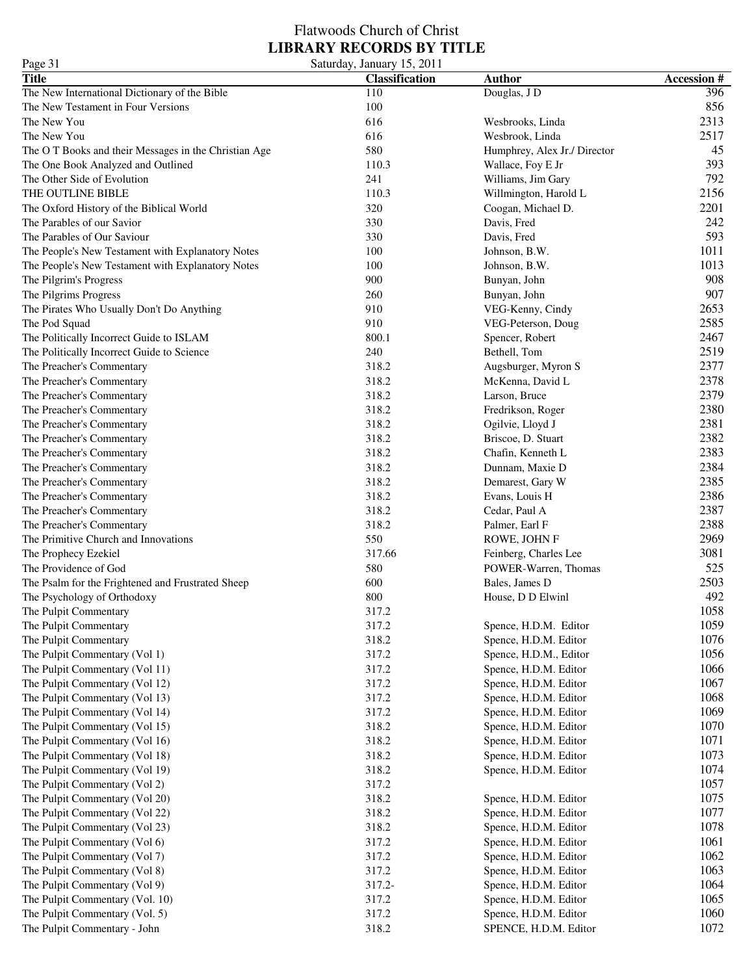| Page 31                                                                          | Saturday, January 15, 2011 |                                               |                    |
|----------------------------------------------------------------------------------|----------------------------|-----------------------------------------------|--------------------|
| <b>Title</b>                                                                     | <b>Classification</b>      | <b>Author</b>                                 | <b>Accession #</b> |
| The New International Dictionary of the Bible                                    | 110                        | Douglas, J D                                  | 396                |
| The New Testament in Four Versions                                               | 100                        |                                               | 856                |
| The New You                                                                      | 616                        | Wesbrooks, Linda                              | 2313               |
| The New You                                                                      | 616                        | Wesbrook, Linda                               | 2517               |
| The OT Books and their Messages in the Christian Age                             | 580                        | Humphrey, Alex Jr./ Director                  | 45                 |
| The One Book Analyzed and Outlined                                               | 110.3                      | Wallace, Foy E Jr                             | 393                |
| The Other Side of Evolution                                                      | 241                        | Williams, Jim Gary                            | 792                |
| THE OUTLINE BIBLE                                                                | 110.3                      | Willmington, Harold L                         | 2156               |
| The Oxford History of the Biblical World                                         | 320                        | Coogan, Michael D.                            | 2201               |
| The Parables of our Savior                                                       | 330                        | Davis, Fred                                   | 242                |
| The Parables of Our Saviour                                                      | 330                        | Davis, Fred                                   | 593                |
| The People's New Testament with Explanatory Notes                                | 100                        | Johnson, B.W.                                 | 1011               |
| The People's New Testament with Explanatory Notes                                | 100                        | Johnson, B.W.                                 | 1013               |
| The Pilgrim's Progress                                                           | 900                        | Bunyan, John                                  | 908                |
| The Pilgrims Progress                                                            | 260                        | Bunyan, John                                  | 907                |
| The Pirates Who Usually Don't Do Anything                                        | 910                        | VEG-Kenny, Cindy                              | 2653               |
| The Pod Squad                                                                    | 910                        | VEG-Peterson, Doug                            | 2585               |
| The Politically Incorrect Guide to ISLAM                                         | 800.1                      | Spencer, Robert                               | 2467               |
| The Politically Incorrect Guide to Science                                       | 240                        | Bethell, Tom                                  | 2519               |
| The Preacher's Commentary                                                        | 318.2                      | Augsburger, Myron S                           | 2377               |
| The Preacher's Commentary                                                        | 318.2                      | McKenna, David L                              | 2378               |
| The Preacher's Commentary                                                        | 318.2                      | Larson, Bruce                                 | 2379               |
| The Preacher's Commentary                                                        | 318.2                      | Fredrikson, Roger                             | 2380               |
| The Preacher's Commentary                                                        | 318.2                      | Ogilvie, Lloyd J                              | 2381               |
| The Preacher's Commentary                                                        | 318.2                      | Briscoe, D. Stuart                            | 2382               |
| The Preacher's Commentary                                                        | 318.2                      | Chafin, Kenneth L                             | 2383               |
| The Preacher's Commentary                                                        | 318.2                      | Dunnam, Maxie D                               | 2384               |
| The Preacher's Commentary                                                        | 318.2                      | Demarest, Gary W                              | 2385               |
| The Preacher's Commentary                                                        | 318.2                      | Evans, Louis H                                | 2386               |
| The Preacher's Commentary                                                        | 318.2                      | Cedar, Paul A                                 | 2387               |
| The Preacher's Commentary                                                        | 318.2                      | Palmer, Earl F                                | 2388               |
| The Primitive Church and Innovations                                             | 550                        |                                               | 2969               |
|                                                                                  | 317.66                     | ROWE, JOHN F                                  | 3081               |
| The Prophecy Ezekiel<br>The Providence of God                                    | 580                        | Feinberg, Charles Lee<br>POWER-Warren, Thomas | 525                |
|                                                                                  | 600                        | Bales, James D                                | 2503               |
| The Psalm for the Frightened and Frustrated Sheep<br>The Psychology of Orthodoxy | 800                        | House, D D Elwinl                             | 492                |
|                                                                                  |                            |                                               |                    |
| The Pulpit Commentary<br>The Pulpit Commentary                                   | 317.2                      |                                               | 1058<br>1059       |
|                                                                                  | 317.2<br>318.2             | Spence, H.D.M. Editor                         | 1076               |
| The Pulpit Commentary                                                            |                            | Spence, H.D.M. Editor                         | 1056               |
| The Pulpit Commentary (Vol 1)                                                    | 317.2                      | Spence, H.D.M., Editor                        |                    |
| The Pulpit Commentary (Vol 11)                                                   | 317.2                      | Spence, H.D.M. Editor                         | 1066<br>1067       |
| The Pulpit Commentary (Vol 12)                                                   | 317.2                      | Spence, H.D.M. Editor                         |                    |
| The Pulpit Commentary (Vol 13)                                                   | 317.2                      | Spence, H.D.M. Editor                         | 1068               |
| The Pulpit Commentary (Vol 14)                                                   | 317.2                      | Spence, H.D.M. Editor                         | 1069<br>1070       |
| The Pulpit Commentary (Vol 15)<br>The Pulpit Commentary (Vol 16)                 | 318.2                      | Spence, H.D.M. Editor                         | 1071               |
|                                                                                  | 318.2                      | Spence, H.D.M. Editor                         |                    |
| The Pulpit Commentary (Vol 18)                                                   | 318.2                      | Spence, H.D.M. Editor                         | 1073               |
| The Pulpit Commentary (Vol 19)                                                   | 318.2                      | Spence, H.D.M. Editor                         | 1074               |
| The Pulpit Commentary (Vol 2)                                                    | 317.2                      |                                               | 1057               |
| The Pulpit Commentary (Vol 20)                                                   | 318.2                      | Spence, H.D.M. Editor                         | 1075               |
| The Pulpit Commentary (Vol 22)                                                   | 318.2                      | Spence, H.D.M. Editor                         | 1077               |
| The Pulpit Commentary (Vol 23)                                                   | 318.2                      | Spence, H.D.M. Editor                         | 1078               |
| The Pulpit Commentary (Vol 6)                                                    | 317.2                      | Spence, H.D.M. Editor                         | 1061               |
| The Pulpit Commentary (Vol 7)                                                    | 317.2                      | Spence, H.D.M. Editor                         | 1062               |
| The Pulpit Commentary (Vol 8)                                                    | 317.2                      | Spence, H.D.M. Editor                         | 1063               |
| The Pulpit Commentary (Vol 9)                                                    | 317.2-                     | Spence, H.D.M. Editor                         | 1064               |
| The Pulpit Commentary (Vol. 10)                                                  | 317.2                      | Spence, H.D.M. Editor                         | 1065               |
| The Pulpit Commentary (Vol. 5)                                                   | 317.2                      | Spence, H.D.M. Editor                         | 1060               |
| The Pulpit Commentary - John                                                     | 318.2                      | SPENCE, H.D.M. Editor                         | 1072               |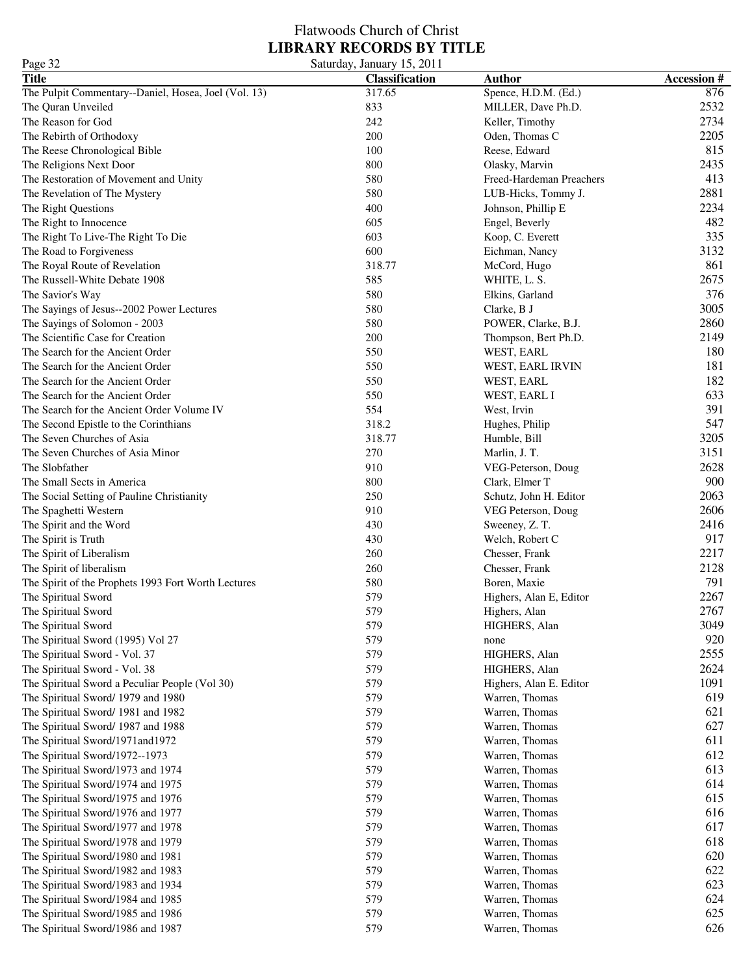### Flatwoods Church of Christ **LIBRARY RECORDS BY TITLE** Page 32 Saturday, January 15, 2011

| $1 \text{ age}$                                      | $\cup$ aturuay, Jamaary 19, 2011 |                          |                   |
|------------------------------------------------------|----------------------------------|--------------------------|-------------------|
| <b>Title</b>                                         | <b>Classification</b>            | <b>Author</b>            | <b>Accession#</b> |
| The Pulpit Commentary--Daniel, Hosea, Joel (Vol. 13) | 317.65                           | Spence, H.D.M. (Ed.)     | 876               |
| The Quran Unveiled                                   | 833                              | MILLER, Dave Ph.D.       | 2532              |
| The Reason for God                                   | 242                              | Keller, Timothy          | 2734              |
| The Rebirth of Orthodoxy                             | 200                              | Oden, Thomas C           | 2205              |
| The Reese Chronological Bible                        | 100                              | Reese, Edward            | 815               |
| The Religions Next Door                              | 800                              | Olasky, Marvin           | 2435              |
| The Restoration of Movement and Unity                | 580                              | Freed-Hardeman Preachers | 413               |
| The Revelation of The Mystery                        | 580                              | LUB-Hicks, Tommy J.      | 2881              |
| The Right Questions                                  | 400                              | Johnson, Phillip E       | 2234              |
| The Right to Innocence                               | 605                              | Engel, Beverly           | 482               |
| The Right To Live-The Right To Die                   | 603                              | Koop, C. Everett         | 335               |
| The Road to Forgiveness                              | 600                              | Eichman, Nancy           | 3132              |
| The Royal Route of Revelation                        | 318.77                           | McCord, Hugo             | 861               |
| The Russell-White Debate 1908                        | 585                              | WHITE, L. S.             | 2675              |
|                                                      |                                  |                          |                   |
| The Savior's Way                                     | 580                              | Elkins, Garland          | 376               |
| The Sayings of Jesus--2002 Power Lectures            | 580                              | Clarke, B J              | 3005              |
| The Sayings of Solomon - 2003                        | 580                              | POWER, Clarke, B.J.      | 2860              |
| The Scientific Case for Creation                     | 200                              | Thompson, Bert Ph.D.     | 2149              |
| The Search for the Ancient Order                     | 550                              | WEST, EARL               | 180               |
| The Search for the Ancient Order                     | 550                              | WEST, EARL IRVIN         | 181               |
| The Search for the Ancient Order                     | 550                              | WEST, EARL               | 182               |
| The Search for the Ancient Order                     | 550                              | WEST, EARL I             | 633               |
| The Search for the Ancient Order Volume IV           | 554                              | West, Irvin              | 391               |
| The Second Epistle to the Corinthians                | 318.2                            | Hughes, Philip           | 547               |
| The Seven Churches of Asia                           | 318.77                           | Humble, Bill             | 3205              |
| The Seven Churches of Asia Minor                     | 270                              | Marlin, J. T.            | 3151              |
| The Slobfather                                       | 910                              | VEG-Peterson, Doug       | 2628              |
| The Small Sects in America                           | 800                              | Clark, Elmer T           | 900               |
| The Social Setting of Pauline Christianity           | 250                              | Schutz, John H. Editor   | 2063              |
| The Spaghetti Western                                | 910                              | VEG Peterson, Doug       | 2606              |
| The Spirit and the Word                              | 430                              | Sweeney, Z. T.           | 2416              |
| The Spirit is Truth                                  | 430                              | Welch, Robert C          | 917               |
| The Spirit of Liberalism                             | 260                              | Chesser, Frank           | 2217              |
|                                                      |                                  |                          | 2128              |
| The Spirit of liberalism                             | 260                              | Chesser, Frank           |                   |
| The Spirit of the Prophets 1993 Fort Worth Lectures  | 580                              | Boren, Maxie             | 791               |
| The Spiritual Sword                                  | 579                              | Highers, Alan E, Editor  | 2267              |
| The Spiritual Sword                                  | 579                              | Highers, Alan            | 2767              |
| The Spiritual Sword                                  | 579                              | HIGHERS, Alan            | 3049              |
| The Spiritual Sword (1995) Vol 27                    | 579                              | none                     | 920               |
| The Spiritual Sword - Vol. 37                        | 579                              | HIGHERS, Alan            | 2555              |
| The Spiritual Sword - Vol. 38                        | 579                              | HIGHERS, Alan            | 2624              |
| The Spiritual Sword a Peculiar People (Vol 30)       | 579                              | Highers, Alan E. Editor  | 1091              |
| The Spiritual Sword/ 1979 and 1980                   | 579                              | Warren, Thomas           | 619               |
| The Spiritual Sword/ 1981 and 1982                   | 579                              | Warren, Thomas           | 621               |
| The Spiritual Sword/ 1987 and 1988                   | 579                              | Warren, Thomas           | 627               |
| The Spiritual Sword/1971and1972                      | 579                              | Warren, Thomas           | 611               |
| The Spiritual Sword/1972--1973                       | 579                              | Warren, Thomas           | 612               |
| The Spiritual Sword/1973 and 1974                    | 579                              | Warren, Thomas           | 613               |
| The Spiritual Sword/1974 and 1975                    | 579                              | Warren, Thomas           | 614               |
| The Spiritual Sword/1975 and 1976                    | 579                              | Warren, Thomas           | 615               |
| The Spiritual Sword/1976 and 1977                    | 579                              | Warren, Thomas           | 616               |
| The Spiritual Sword/1977 and 1978                    | 579                              | Warren, Thomas           | 617               |
|                                                      |                                  |                          |                   |
| The Spiritual Sword/1978 and 1979                    | 579                              | Warren, Thomas           | 618               |
| The Spiritual Sword/1980 and 1981                    | 579                              | Warren, Thomas           | 620               |
| The Spiritual Sword/1982 and 1983                    | 579                              | Warren, Thomas           | 622               |
| The Spiritual Sword/1983 and 1934                    | 579                              | Warren, Thomas           | 623               |
| The Spiritual Sword/1984 and 1985                    | 579                              | Warren, Thomas           | 624               |
| The Spiritual Sword/1985 and 1986                    | 579                              | Warren, Thomas           | 625               |
| The Spiritual Sword/1986 and 1987                    | 579                              | Warren, Thomas           | 626               |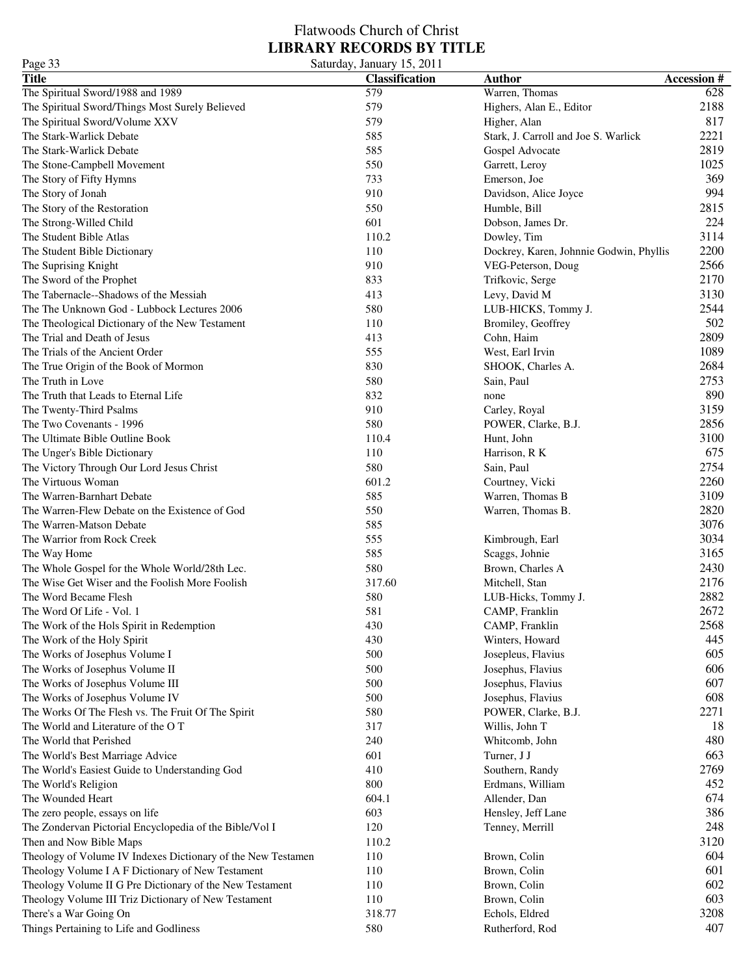| Page 33                                                                                    | Saturday, January 15, 2011 |                                         |                   |
|--------------------------------------------------------------------------------------------|----------------------------|-----------------------------------------|-------------------|
| <b>Title</b>                                                                               | <b>Classification</b>      | <b>Author</b>                           | <b>Accession#</b> |
| The Spiritual Sword/1988 and 1989                                                          | 579                        | Warren, Thomas                          | 628               |
| The Spiritual Sword/Things Most Surely Believed                                            | 579                        | Highers, Alan E., Editor                | 2188              |
| The Spiritual Sword/Volume XXV                                                             | 579                        | Higher, Alan                            | 817               |
| The Stark-Warlick Debate                                                                   | 585                        | Stark, J. Carroll and Joe S. Warlick    | 2221              |
| The Stark-Warlick Debate                                                                   | 585                        | Gospel Advocate                         | 2819              |
| The Stone-Campbell Movement                                                                | 550                        | Garrett, Leroy                          | 1025              |
| The Story of Fifty Hymns                                                                   | 733                        | Emerson, Joe                            | 369               |
| The Story of Jonah                                                                         | 910                        | Davidson, Alice Joyce                   | 994               |
| The Story of the Restoration                                                               | 550                        | Humble, Bill                            | 2815              |
| The Strong-Willed Child                                                                    | 601                        | Dobson, James Dr.                       | 224               |
| The Student Bible Atlas                                                                    | 110.2                      | Dowley, Tim                             | 3114              |
| The Student Bible Dictionary                                                               | 110                        | Dockrey, Karen, Johnnie Godwin, Phyllis | 2200              |
| The Suprising Knight                                                                       | 910                        | VEG-Peterson, Doug                      | 2566              |
| The Sword of the Prophet                                                                   | 833                        | Trifkovic, Serge                        | 2170              |
| The Tabernacle--Shadows of the Messiah                                                     | 413                        | Levy, David M                           | 3130              |
| The The Unknown God - Lubbock Lectures 2006                                                | 580                        | LUB-HICKS, Tommy J.                     | 2544              |
|                                                                                            |                            |                                         | 502               |
| The Theological Dictionary of the New Testament<br>The Trial and Death of Jesus            | 110                        | Bromiley, Geoffrey                      | 2809              |
|                                                                                            | 413                        | Cohn, Haim                              |                   |
| The Trials of the Ancient Order                                                            | 555                        | West, Earl Irvin                        | 1089              |
| The True Origin of the Book of Mormon                                                      | 830                        | SHOOK, Charles A.                       | 2684              |
| The Truth in Love                                                                          | 580                        | Sain, Paul                              | 2753              |
| The Truth that Leads to Eternal Life                                                       | 832                        | none                                    | 890               |
| The Twenty-Third Psalms                                                                    | 910                        | Carley, Royal                           | 3159              |
| The Two Covenants - 1996                                                                   | 580                        | POWER, Clarke, B.J.                     | 2856              |
| The Ultimate Bible Outline Book                                                            | 110.4                      | Hunt, John                              | 3100              |
| The Unger's Bible Dictionary                                                               | 110                        | Harrison, R K                           | 675               |
| The Victory Through Our Lord Jesus Christ                                                  | 580                        | Sain, Paul                              | 2754              |
| The Virtuous Woman                                                                         | 601.2                      | Courtney, Vicki                         | 2260              |
| The Warren-Barnhart Debate                                                                 | 585                        | Warren, Thomas B                        | 3109              |
| The Warren-Flew Debate on the Existence of God                                             | 550                        | Warren, Thomas B.                       | 2820              |
| The Warren-Matson Debate                                                                   | 585                        |                                         | 3076              |
| The Warrior from Rock Creek                                                                | 555                        | Kimbrough, Earl                         | 3034              |
| The Way Home                                                                               | 585                        | Scaggs, Johnie                          | 3165              |
| The Whole Gospel for the Whole World/28th Lec.                                             | 580                        | Brown, Charles A                        | 2430              |
| The Wise Get Wiser and the Foolish More Foolish                                            | 317.60                     | Mitchell, Stan                          | 2176              |
| The Word Became Flesh                                                                      | 580                        | LUB-Hicks, Tommy J.                     | 2882              |
| The Word Of Life - Vol. 1                                                                  | 581                        | CAMP, Franklin                          | 2672              |
| The Work of the Hols Spirit in Redemption                                                  | 430                        | CAMP, Franklin                          | 2568              |
| The Work of the Holy Spirit                                                                | 430                        | Winters, Howard                         | 445               |
| The Works of Josephus Volume I                                                             | 500                        | Josepleus, Flavius                      | 605               |
| The Works of Josephus Volume II                                                            | 500                        | Josephus, Flavius                       | 606               |
| The Works of Josephus Volume III                                                           | 500                        | Josephus, Flavius                       | 607               |
| The Works of Josephus Volume IV                                                            | 500                        | Josephus, Flavius                       | 608               |
| The Works Of The Flesh vs. The Fruit Of The Spirit                                         | 580                        | POWER, Clarke, B.J.                     | 2271              |
| The World and Literature of the OT                                                         | 317                        | Willis, John T                          | 18                |
| The World that Perished                                                                    | 240                        | Whitcomb, John                          | 480               |
| The World's Best Marriage Advice                                                           | 601                        | Turner, J J                             | 663               |
| The World's Easiest Guide to Understanding God                                             | 410                        | Southern, Randy                         | 2769              |
| The World's Religion                                                                       | 800                        | Erdmans, William                        | 452               |
| The Wounded Heart                                                                          | 604.1                      | Allender, Dan                           | 674               |
|                                                                                            | 603                        |                                         | 386               |
| The zero people, essays on life<br>The Zondervan Pictorial Encyclopedia of the Bible/Vol I | 120                        | Hensley, Jeff Lane                      | 248               |
|                                                                                            |                            | Tenney, Merrill                         | 3120              |
| Then and Now Bible Maps                                                                    | 110.2                      |                                         | 604               |
| Theology of Volume IV Indexes Dictionary of the New Testamen                               | 110                        | Brown, Colin                            |                   |
| Theology Volume I A F Dictionary of New Testament                                          | 110                        | Brown, Colin                            | 601               |
| Theology Volume II G Pre Dictionary of the New Testament                                   | 110                        | Brown, Colin                            | 602               |
| Theology Volume III Triz Dictionary of New Testament                                       | 110                        | Brown, Colin                            | 603               |
| There's a War Going On                                                                     | 318.77                     | Echols, Eldred                          | 3208              |
| Things Pertaining to Life and Godliness                                                    | 580                        | Rutherford, Rod                         | 407               |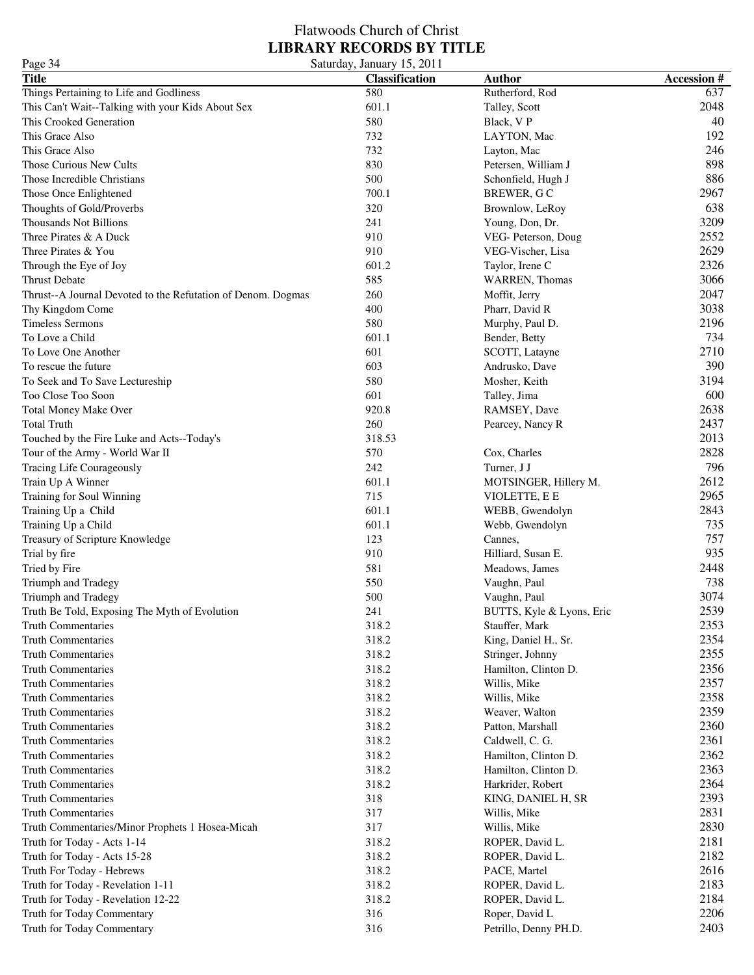| Page 34                                                      | Saturday, January 15, 2011 |                           |                   |
|--------------------------------------------------------------|----------------------------|---------------------------|-------------------|
| <b>Title</b>                                                 | Classification             | <b>Author</b>             | <b>Accession#</b> |
| Things Pertaining to Life and Godliness                      | 580                        | Rutherford, Rod           | 637               |
| This Can't Wait--Talking with your Kids About Sex            | 601.1                      | Talley, Scott             | 2048              |
| This Crooked Generation                                      | 580                        | Black, VP                 | 40                |
| This Grace Also                                              | 732                        | LAYTON, Mac               | 192               |
| This Grace Also                                              | 732                        | Layton, Mac               | 246               |
| Those Curious New Cults                                      | 830                        | Petersen, William J       | 898               |
| Those Incredible Christians                                  | 500                        | Schonfield, Hugh J        | 886               |
| Those Once Enlightened                                       | 700.1                      | BREWER, GC                | 2967              |
| Thoughts of Gold/Proverbs                                    | 320                        | Brownlow, LeRoy           | 638               |
| <b>Thousands Not Billions</b>                                | 241                        | Young, Don, Dr.           | 3209              |
| Three Pirates & A Duck                                       | 910                        | VEG- Peterson, Doug       | 2552              |
| Three Pirates & You                                          | 910                        | VEG-Vischer, Lisa         | 2629              |
| Through the Eye of Joy                                       | 601.2                      | Taylor, Irene C           | 2326              |
| Thrust Debate                                                | 585                        | <b>WARREN, Thomas</b>     | 3066              |
| Thrust--A Journal Devoted to the Refutation of Denom. Dogmas | 260                        | Moffit, Jerry             | 2047              |
| Thy Kingdom Come                                             | 400                        | Pharr, David R            | 3038              |
| <b>Timeless Sermons</b>                                      | 580                        | Murphy, Paul D.           | 2196              |
| To Love a Child                                              | 601.1                      | Bender, Betty             | 734               |
| To Love One Another                                          | 601                        | SCOTT, Latayne            | 2710              |
| To rescue the future                                         | 603                        |                           | 390               |
|                                                              |                            | Andrusko, Dave            |                   |
| To Seek and To Save Lectureship                              | 580                        | Mosher, Keith             | 3194              |
| Too Close Too Soon                                           | 601                        | Talley, Jima              | 600               |
| <b>Total Money Make Over</b>                                 | 920.8                      | RAMSEY, Dave              | 2638              |
| <b>Total Truth</b>                                           | 260                        | Pearcey, Nancy R          | 2437              |
| Touched by the Fire Luke and Acts--Today's                   | 318.53                     |                           | 2013              |
| Tour of the Army - World War II                              | 570                        | Cox, Charles              | 2828              |
| Tracing Life Courageously                                    | 242                        | Turner, J J               | 796               |
| Train Up A Winner                                            | 601.1                      | MOTSINGER, Hillery M.     | 2612              |
| Training for Soul Winning                                    | 715                        | VIOLETTE, E E             | 2965              |
| Training Up a Child                                          | 601.1                      | WEBB, Gwendolyn           | 2843              |
| Training Up a Child                                          | 601.1                      | Webb, Gwendolyn           | 735               |
| Treasury of Scripture Knowledge                              | 123                        | Cannes,                   | 757               |
| Trial by fire                                                | 910                        | Hilliard, Susan E.        | 935               |
| Tried by Fire                                                | 581                        | Meadows, James            | 2448              |
| Triumph and Tradegy                                          | 550                        | Vaughn, Paul              | 738               |
| Triumph and Tradegy                                          | 500                        | Vaughn, Paul              | 3074              |
| Truth Be Told, Exposing The Myth of Evolution                | 241                        | BUTTS, Kyle & Lyons, Eric | 2539              |
| <b>Truth Commentaries</b>                                    | 318.2                      | Stauffer, Mark            | 2353              |
| <b>Truth Commentaries</b>                                    | 318.2                      | King, Daniel H., Sr.      | 2354              |
| <b>Truth Commentaries</b>                                    | 318.2                      | Stringer, Johnny          | 2355              |
| <b>Truth Commentaries</b>                                    | 318.2                      | Hamilton, Clinton D.      | 2356              |
| <b>Truth Commentaries</b>                                    | 318.2                      | Willis, Mike              | 2357              |
| <b>Truth Commentaries</b>                                    | 318.2                      | Willis, Mike              | 2358              |
| <b>Truth Commentaries</b>                                    | 318.2                      | Weaver, Walton            | 2359              |
| <b>Truth Commentaries</b>                                    | 318.2                      | Patton, Marshall          | 2360              |
| <b>Truth Commentaries</b>                                    | 318.2                      | Caldwell, C. G.           | 2361              |
| <b>Truth Commentaries</b>                                    | 318.2                      | Hamilton, Clinton D.      | 2362              |
| <b>Truth Commentaries</b>                                    | 318.2                      | Hamilton, Clinton D.      | 2363              |
| <b>Truth Commentaries</b>                                    | 318.2                      | Harkrider, Robert         | 2364              |
| <b>Truth Commentaries</b>                                    | 318                        | KING, DANIEL H, SR        | 2393              |
| <b>Truth Commentaries</b>                                    | 317                        | Willis, Mike              | 2831              |
| Truth Commentaries/Minor Prophets 1 Hosea-Micah              | 317                        | Willis, Mike              | 2830              |
| Truth for Today - Acts 1-14                                  | 318.2                      | ROPER, David L.           | 2181              |
| Truth for Today - Acts 15-28                                 | 318.2                      | ROPER, David L.           | 2182              |
|                                                              | 318.2                      |                           | 2616              |
| Truth For Today - Hebrews                                    | 318.2                      | PACE, Martel              | 2183              |
| Truth for Today - Revelation 1-11                            |                            | ROPER, David L.           |                   |
| Truth for Today - Revelation 12-22                           | 318.2                      | ROPER, David L.           | 2184              |
| Truth for Today Commentary                                   | 316                        | Roper, David L            | 2206              |
| Truth for Today Commentary                                   | 316                        | Petrillo, Denny PH.D.     | 2403              |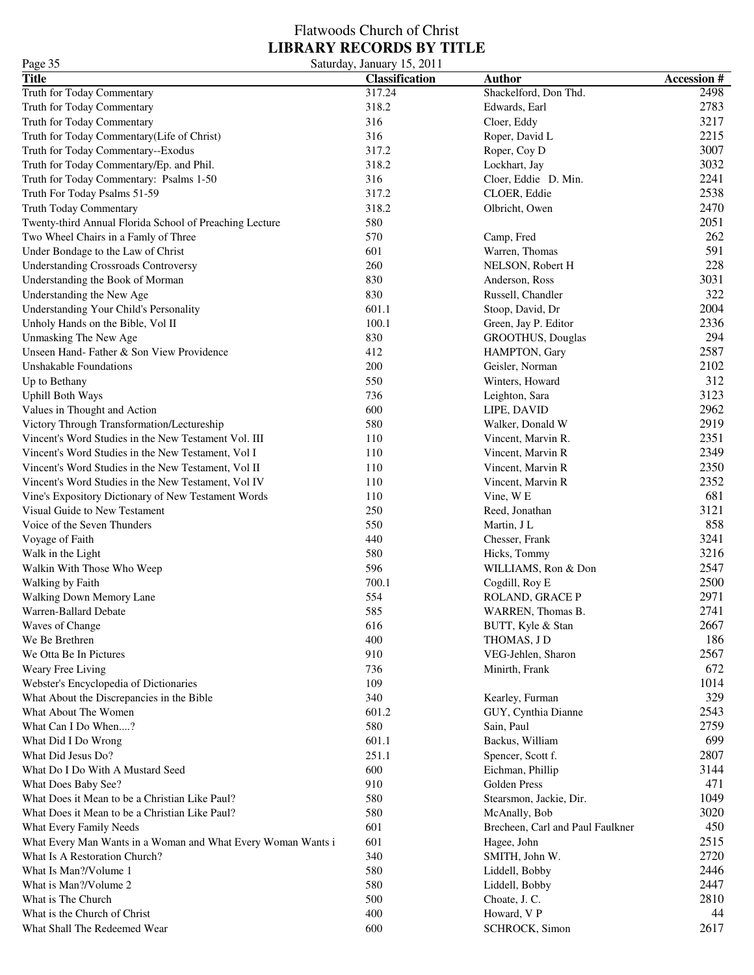### Flatwoods Church of Christ **LIBRARY RECORDS BY TITLE** Page 35 Saturday, January 15, 2011

| $1 \mu$ gu Ji<br><b>Title</b>                                | $50$ and $100$ , $100$ , $100$ , $2011$<br><b>Classification</b> | <b>Author</b>                    | <b>Accession#</b> |
|--------------------------------------------------------------|------------------------------------------------------------------|----------------------------------|-------------------|
| Truth for Today Commentary                                   | 317.24                                                           | Shackelford, Don Thd.            | 2498              |
|                                                              |                                                                  |                                  | 2783              |
| Truth for Today Commentary                                   | 318.2                                                            | Edwards, Earl                    | 3217              |
| Truth for Today Commentary                                   | 316                                                              | Cloer, Eddy                      |                   |
| Truth for Today Commentary(Life of Christ)                   | 316                                                              | Roper, David L                   | 2215              |
| Truth for Today Commentary--Exodus                           | 317.2                                                            | Roper, Coy D                     | 3007              |
| Truth for Today Commentary/Ep. and Phil.                     | 318.2                                                            | Lockhart, Jay                    | 3032              |
| Truth for Today Commentary: Psalms 1-50                      | 316                                                              | Cloer, Eddie D. Min.             | 2241              |
| Truth For Today Psalms 51-59                                 | 317.2                                                            | CLOER, Eddie                     | 2538              |
| Truth Today Commentary                                       | 318.2                                                            | Olbricht, Owen                   | 2470              |
| Twenty-third Annual Florida School of Preaching Lecture      | 580                                                              |                                  | 2051              |
| Two Wheel Chairs in a Famly of Three                         | 570                                                              | Camp, Fred                       | 262               |
| Under Bondage to the Law of Christ                           | 601                                                              | Warren, Thomas                   | 591               |
| <b>Understanding Crossroads Controversy</b>                  | 260                                                              | NELSON, Robert H                 | 228               |
| Understanding the Book of Morman                             | 830                                                              | Anderson, Ross                   | 3031              |
| Understanding the New Age                                    | 830                                                              | Russell, Chandler                | 322               |
| Understanding Your Child's Personality                       | 601.1                                                            | Stoop, David, Dr                 | 2004              |
| Unholy Hands on the Bible, Vol II                            | 100.1                                                            | Green, Jay P. Editor             | 2336              |
| Unmasking The New Age                                        | 830                                                              | <b>GROOTHUS</b> , Douglas        | 294               |
| Unseen Hand-Father & Son View Providence                     | 412                                                              | HAMPTON, Gary                    | 2587              |
| <b>Unshakable Foundations</b>                                | 200                                                              | Geisler, Norman                  | 2102              |
| Up to Bethany                                                | 550                                                              | Winters, Howard                  | 312               |
| <b>Uphill Both Ways</b>                                      | 736                                                              | Leighton, Sara                   | 3123              |
| Values in Thought and Action                                 | 600                                                              | LIPE, DAVID                      | 2962              |
| Victory Through Transformation/Lectureship                   | 580                                                              | Walker, Donald W                 | 2919              |
| Vincent's Word Studies in the New Testament Vol. III         | 110                                                              | Vincent, Marvin R.               | 2351              |
| Vincent's Word Studies in the New Testament, Vol I           | 110                                                              | Vincent, Marvin R                | 2349              |
| Vincent's Word Studies in the New Testament, Vol II          | 110                                                              | Vincent, Marvin R                | 2350              |
| Vincent's Word Studies in the New Testament, Vol IV          | 110                                                              | Vincent, Marvin R                | 2352              |
| Vine's Expository Dictionary of New Testament Words          | 110                                                              | Vine, WE                         | 681               |
| Visual Guide to New Testament                                | 250                                                              | Reed, Jonathan                   | 3121              |
| Voice of the Seven Thunders                                  | 550                                                              | Martin, J L                      | 858               |
| Voyage of Faith                                              | 440                                                              | Chesser, Frank                   | 3241              |
| Walk in the Light                                            | 580                                                              | Hicks, Tommy                     | 3216              |
| Walkin With Those Who Weep                                   | 596                                                              | WILLIAMS, Ron & Don              | 2547              |
|                                                              | 700.1                                                            | Cogdill, Roy E                   | 2500              |
| Walking by Faith                                             | 554                                                              | ROLAND, GRACE P                  | 2971              |
| Walking Down Memory Lane<br>Warren-Ballard Debate            | 585                                                              |                                  | 2741              |
|                                                              |                                                                  | WARREN, Thomas B.                |                   |
| Waves of Change                                              | 616                                                              | BUTT, Kyle & Stan                | 2667              |
| We Be Brethren                                               | 400                                                              | THOMAS, J D                      | 186               |
| We Otta Be In Pictures                                       | 910                                                              | VEG-Jehlen, Sharon               | 2567              |
| Weary Free Living                                            | 736                                                              | Minirth, Frank                   | 672               |
| Webster's Encyclopedia of Dictionaries                       | 109                                                              |                                  | 1014              |
| What About the Discrepancies in the Bible                    | 340                                                              | Kearley, Furman                  | 329               |
| What About The Women                                         | 601.2                                                            | GUY, Cynthia Dianne              | 2543              |
| What Can I Do When?                                          | 580                                                              | Sain, Paul                       | 2759              |
| What Did I Do Wrong                                          | 601.1                                                            | Backus, William                  | 699               |
| What Did Jesus Do?                                           | 251.1                                                            | Spencer, Scott f.                | 2807              |
| What Do I Do With A Mustard Seed                             | 600                                                              | Eichman, Phillip                 | 3144              |
| What Does Baby See?                                          | 910                                                              | <b>Golden Press</b>              | 471               |
| What Does it Mean to be a Christian Like Paul?               | 580                                                              | Stearsmon, Jackie, Dir.          | 1049              |
| What Does it Mean to be a Christian Like Paul?               | 580                                                              | McAnally, Bob                    | 3020              |
| What Every Family Needs                                      | 601                                                              | Brecheen, Carl and Paul Faulkner | 450               |
| What Every Man Wants in a Woman and What Every Woman Wants i | 601                                                              | Hagee, John                      | 2515              |
| What Is A Restoration Church?                                | 340                                                              | SMITH, John W.                   | 2720              |
| What Is Man?/Volume 1                                        | 580                                                              | Liddell, Bobby                   | 2446              |
| What is Man?/Volume 2                                        | 580                                                              | Liddell, Bobby                   | 2447              |
| What is The Church                                           | 500                                                              | Choate, J. C.                    | 2810              |
| What is the Church of Christ                                 | 400                                                              | Howard, V P                      | 44                |
| What Shall The Redeemed Wear                                 | 600                                                              | SCHROCK, Simon                   | 2617              |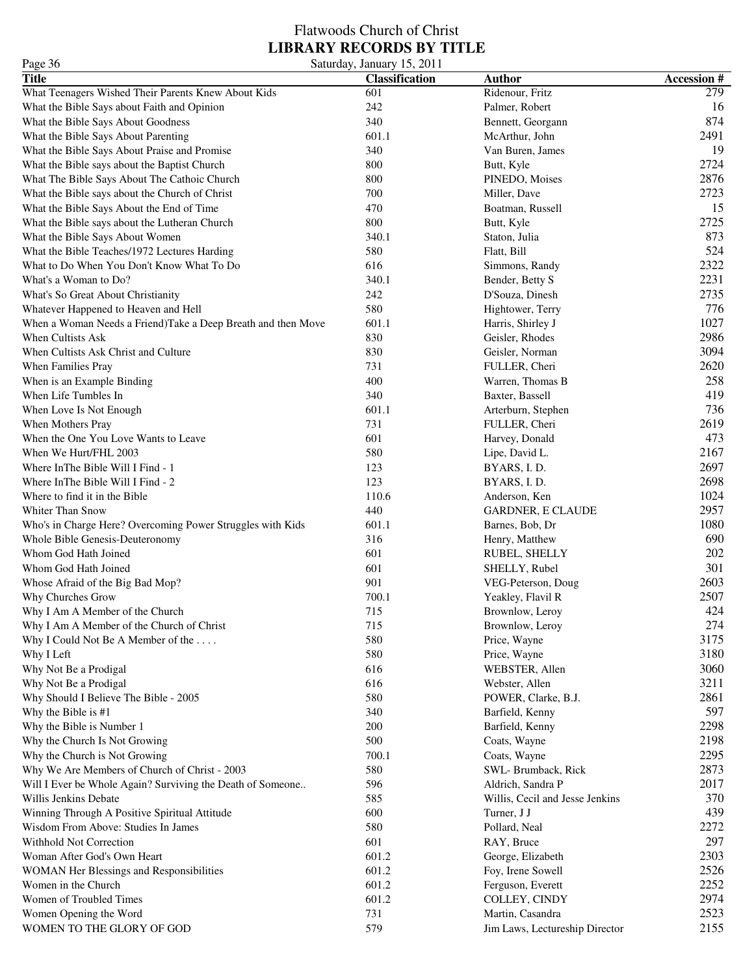### Flatwoods Church of Christ **LIBRARY RECORDS BY TITLE** Page 36 Saturday, January 15, 2011

| 1 agu ju                                                     | Saturuay, Jamaar y 19, 2011 |                                 |                   |
|--------------------------------------------------------------|-----------------------------|---------------------------------|-------------------|
| <b>Title</b>                                                 | <b>Classification</b>       | <b>Author</b>                   | <b>Accession#</b> |
| What Teenagers Wished Their Parents Knew About Kids          | 601                         | Ridenour, Fritz                 | 279               |
| What the Bible Says about Faith and Opinion                  | 242                         | Palmer, Robert                  | 16                |
| What the Bible Says About Goodness                           | 340                         | Bennett, Georgann               | 874               |
| What the Bible Says About Parenting                          | 601.1                       | McArthur, John                  | 2491              |
| What the Bible Says About Praise and Promise                 | 340                         | Van Buren, James                | 19                |
| What the Bible says about the Baptist Church                 | 800                         | Butt, Kyle                      | 2724              |
| What The Bible Says About The Cathoic Church                 | 800                         | PINEDO, Moises                  | 2876              |
| What the Bible says about the Church of Christ               | 700                         | Miller, Dave                    | 2723              |
| What the Bible Says About the End of Time                    | 470                         | Boatman, Russell                | 15                |
| What the Bible says about the Lutheran Church                | 800                         | Butt, Kyle                      | 2725              |
| What the Bible Says About Women                              | 340.1                       | Staton, Julia                   | 873               |
| What the Bible Teaches/1972 Lectures Harding                 | 580                         | Flatt, Bill                     | 524               |
| What to Do When You Don't Know What To Do                    | 616                         | Simmons, Randy                  | 2322              |
| What's a Woman to Do?                                        | 340.1                       | Bender, Betty S                 | 2231              |
| What's So Great About Christianity                           | 242                         | D'Souza, Dinesh                 | 2735              |
|                                                              | 580                         |                                 | 776               |
| Whatever Happened to Heaven and Hell                         |                             | Hightower, Terry                |                   |
| When a Woman Needs a Friend)Take a Deep Breath and then Move | 601.1                       | Harris, Shirley J               | 1027              |
| When Cultists Ask                                            | 830                         | Geisler, Rhodes                 | 2986              |
| When Cultists Ask Christ and Culture                         | 830                         | Geisler, Norman                 | 3094              |
| When Families Pray                                           | 731                         | FULLER, Cheri                   | 2620              |
| When is an Example Binding                                   | 400                         | Warren, Thomas B                | 258               |
| When Life Tumbles In                                         | 340                         | Baxter, Bassell                 | 419               |
| When Love Is Not Enough                                      | 601.1                       | Arterburn, Stephen              | 736               |
| When Mothers Pray                                            | 731                         | FULLER, Cheri                   | 2619              |
| When the One You Love Wants to Leave                         | 601                         | Harvey, Donald                  | 473               |
| When We Hurt/FHL 2003                                        | 580                         | Lipe, David L.                  | 2167              |
| Where In The Bible Will I Find - 1                           | 123                         | BYARS, I.D.                     | 2697              |
| Where In The Bible Will I Find - 2                           | 123                         | BYARS, I.D.                     | 2698              |
| Where to find it in the Bible                                | 110.6                       | Anderson, Ken                   | 1024              |
| <b>Whiter Than Snow</b>                                      | 440                         | GARDNER, E CLAUDE               | 2957              |
| Who's in Charge Here? Overcoming Power Struggles with Kids   | 601.1                       | Barnes, Bob, Dr                 | 1080              |
| Whole Bible Genesis-Deuteronomy                              | 316                         | Henry, Matthew                  | 690               |
| Whom God Hath Joined                                         | 601                         | RUBEL, SHELLY                   | 202               |
| Whom God Hath Joined                                         | 601                         | SHELLY, Rubel                   | 301               |
|                                                              | 901                         |                                 | 2603              |
| Whose Afraid of the Big Bad Mop?                             |                             | VEG-Peterson, Doug              | 2507              |
| Why Churches Grow                                            | 700.1                       | Yeakley, Flavil R               |                   |
| Why I Am A Member of the Church                              | 715                         | Brownlow, Leroy                 | 424               |
| Why I Am A Member of the Church of Christ                    | 715                         | Brownlow, Leroy                 | 274               |
| Why I Could Not Be A Member of the $\dots$                   | 580                         | Price, Wayne                    | 3175              |
| Why I Left                                                   | 580                         | Price, Wayne                    | 3180              |
| Why Not Be a Prodigal                                        | 616                         | WEBSTER, Allen                  | 3060              |
| Why Not Be a Prodigal                                        | 616                         | Webster, Allen                  | 3211              |
| Why Should I Believe The Bible - 2005                        | 580                         | POWER, Clarke, B.J.             | 2861              |
| Why the Bible is #1                                          | 340                         | Barfield, Kenny                 | 597               |
| Why the Bible is Number 1                                    | 200                         | Barfield, Kenny                 | 2298              |
| Why the Church Is Not Growing                                | 500                         | Coats, Wayne                    | 2198              |
| Why the Church is Not Growing                                | 700.1                       | Coats, Wayne                    | 2295              |
| Why We Are Members of Church of Christ - 2003                | 580                         | SWL-Brumback, Rick              | 2873              |
| Will I Ever be Whole Again? Surviving the Death of Someone   | 596                         | Aldrich, Sandra P               | 2017              |
| Willis Jenkins Debate                                        | 585                         | Willis, Cecil and Jesse Jenkins | 370               |
| Winning Through A Positive Spiritual Attitude                | 600                         | Turner, J J                     | 439               |
| Wisdom From Above: Studies In James                          | 580                         | Pollard, Neal                   | 2272              |
| Withhold Not Correction                                      | 601                         | RAY, Bruce                      | 297               |
|                                                              | 601.2                       |                                 | 2303              |
| Woman After God's Own Heart                                  |                             | George, Elizabeth               |                   |
| WOMAN Her Blessings and Responsibilities                     | 601.2                       | Foy, Irene Sowell               | 2526              |
| Women in the Church                                          | 601.2                       | Ferguson, Everett               | 2252              |
| Women of Troubled Times                                      | 601.2                       | COLLEY, CINDY                   | 2974              |
| Women Opening the Word                                       | 731                         | Martin, Casandra                | 2523              |
| WOMEN TO THE GLORY OF GOD                                    | 579                         | Jim Laws, Lectureship Director  | 2155              |